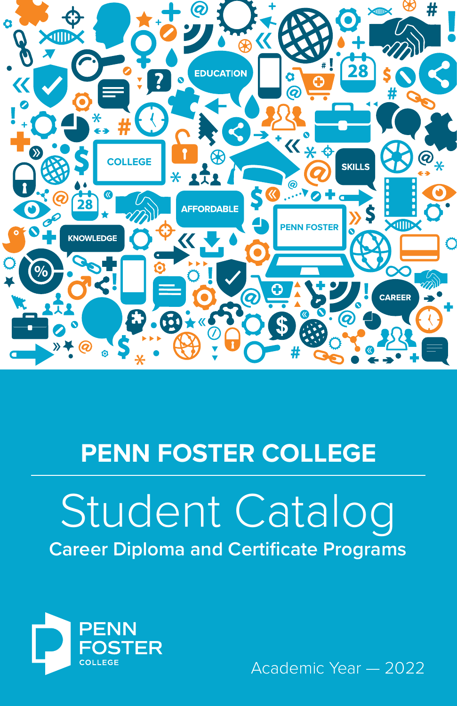

# **PENN FOSTER COLLEGE**

# Student Catalog **Career Diploma and Certificate Programs**



Academic Year — 2022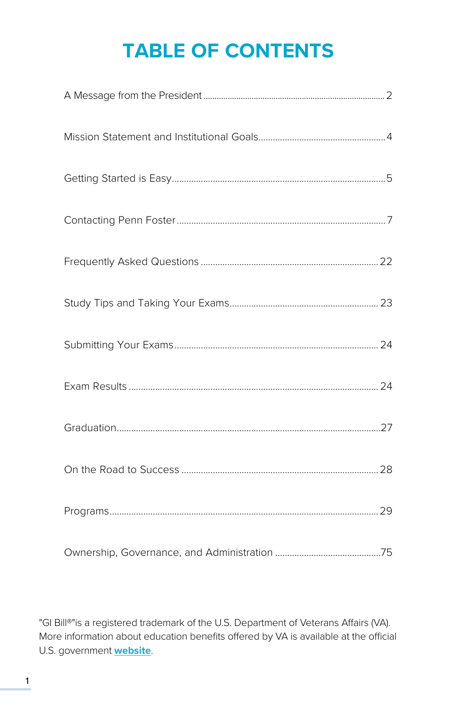# **TABLE OF CONTENTS**

"GI Bill®"is a registered trademark of the U.S. Department of Veterans Affairs (VA). More information about education benefits offered by VA is available at the official U.S. government **[website](http://www.benefits.va.gov/gibill)**.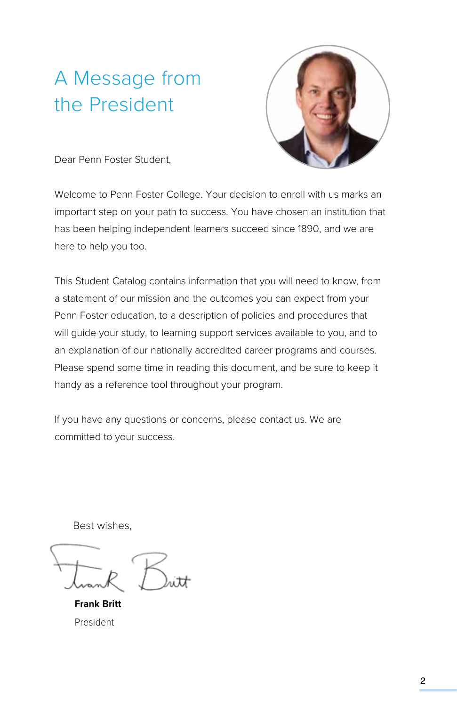## A Message from the President



Dear Penn Foster Student,

Welcome to Penn Foster College. Your decision to enroll with us marks an important step on your path to success. You have chosen an institution that has been helping independent learners succeed since 1890, and we are here to help you too.

This Student Catalog contains information that you will need to know, from a statement of our mission and the outcomes you can expect from your Penn Foster education, to a description of policies and procedures that will guide your study, to learning support services available to you, and to an explanation of our nationally accredited career programs and courses. Please spend some time in reading this document, and be sure to keep it handy as a reference tool throughout your program.

If you have any questions or concerns, please contact us. We are committed to your success.

Best wishes,

**Frank Britt** President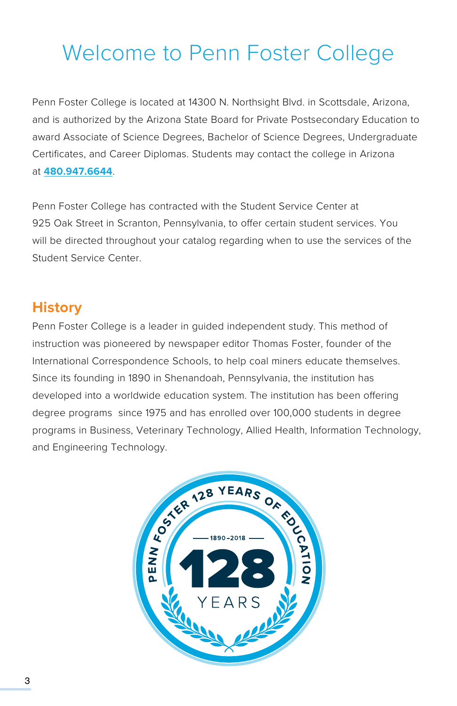# Welcome to Penn Foster College

Penn Foster College is located at 14300 N. Northsight Blvd. in Scottsdale, Arizona, and is authorized by the Arizona State Board for Private Postsecondary Education to award Associate of Science Degrees, Bachelor of Science Degrees, Undergraduate Certificates, and Career Diplomas. Students may contact the college in Arizona at **[480.947.6644](Tel:480.947.6644)**.

Penn Foster College has contracted with the Student Service Center at 925 Oak Street in Scranton, Pennsylvania, to offer certain student services. You will be directed throughout your catalog regarding when to use the services of the Student Service Center.

### **History**

Penn Foster College is a leader in guided independent study. This method of instruction was pioneered by newspaper editor Thomas Foster, founder of the International Correspondence Schools, to help coal miners educate themselves. Since its founding in 1890 in Shenandoah, Pennsylvania, the institution has developed into a worldwide education system. The institution has been offering degree programs since 1975 and has enrolled over 100,000 students in degree programs in Business, Veterinary Technology, Allied Health, Information Technology, and Engineering Technology.

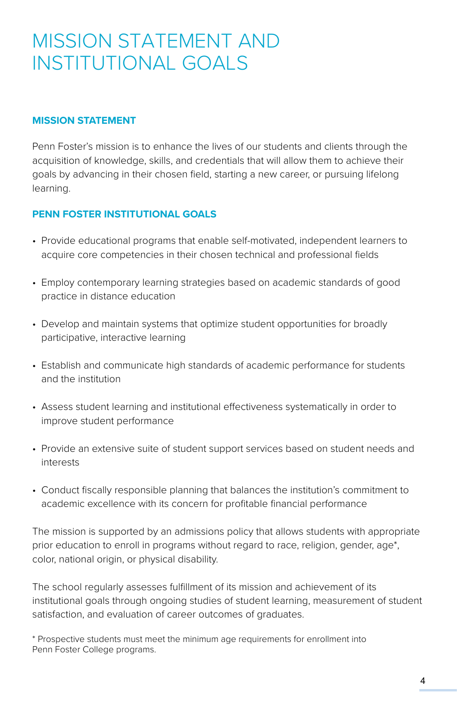## MISSION STATEMENT AND INSTITUTIONAL GOALS

### **MISSION STATEMENT**

Penn Foster's mission is to enhance the lives of our students and clients through the acquisition of knowledge, skills, and credentials that will allow them to achieve their goals by advancing in their chosen field, starting a new career, or pursuing lifelong learning.

### **PENN FOSTER INSTITUTIONAL GOALS**

- Provide educational programs that enable self-motivated, independent learners to acquire core competencies in their chosen technical and professional fields
- Employ contemporary learning strategies based on academic standards of good practice in distance education
- Develop and maintain systems that optimize student opportunities for broadly participative, interactive learning
- Establish and communicate high standards of academic performance for students and the institution
- Assess student learning and institutional effectiveness systematically in order to improve student performance
- Provide an extensive suite of student support services based on student needs and interests
- Conduct fiscally responsible planning that balances the institution's commitment to academic excellence with its concern for profitable financial performance

The mission is supported by an admissions policy that allows students with appropriate prior education to enroll in programs without regard to race, religion, gender, age\*, color, national origin, or physical disability.

The school regularly assesses fulfillment of its mission and achievement of its institutional goals through ongoing studies of student learning, measurement of student satisfaction, and evaluation of career outcomes of graduates.

\* Prospective students must meet the minimum age requirements for enrollment into Penn Foster College programs.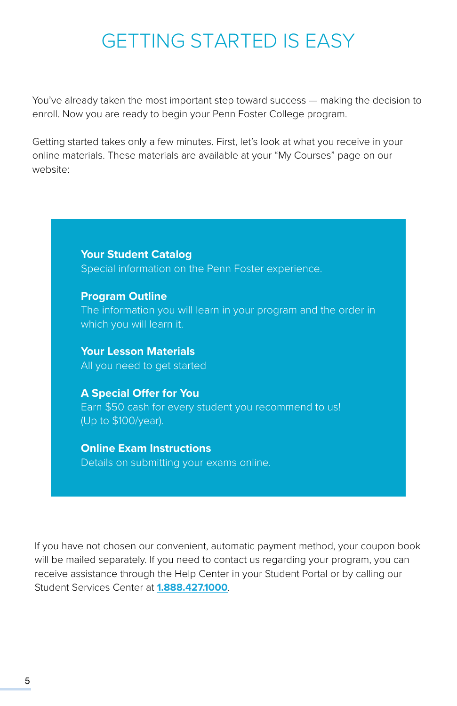## GETTING STARTED IS EASY

You've already taken the most important step toward success — making the decision to enroll. Now you are ready to begin your Penn Foster College program.

Getting started takes only a few minutes. First, let's look at what you receive in your online materials. These materials are available at your "My Courses" page on our website:

> **Your Student Catalog** Special information on the Penn Foster experience.

**Program Outline** The information you will learn in your program and the order in which you will learn it.

**Your Lesson Materials** All you need to get started

**A Special Offer for You** Earn \$50 cash for every student you recommend to us! (Up to \$100/year).

**Online Exam Instructions** Details on submitting your exams online.

If you have not chosen our convenient, automatic payment method, your coupon book will be mailed separately. If you need to contact us regarding your program, you can receive assistance through the Help Center in your Student Portal or by calling our Student Services Center at **[1.888.427.1000](tel:1.888.427.1000)**.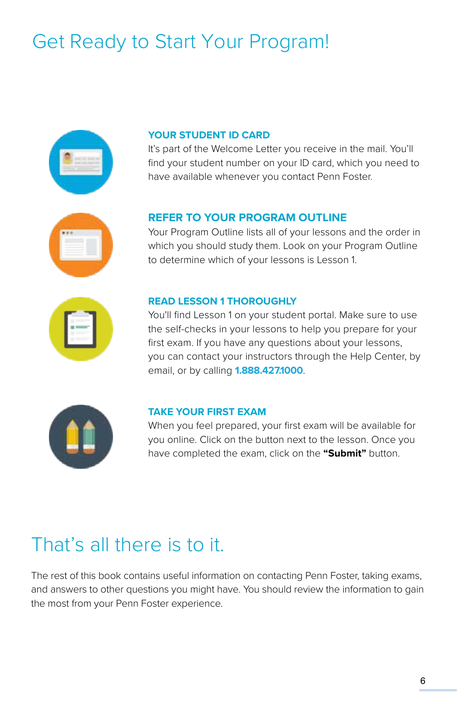# Get Ready to Start Your Program!



### **YOUR STUDENT ID CARD**

It's part of the Welcome Letter you receive in the mail. You'll find your student number on your ID card, which you need to have available whenever you contact Penn Foster.

### **REFER TO YOUR PROGRAM OUTLINE**

Your Program Outline lists all of your lessons and the order in which you should study them. Look on your Program Outline to determine which of your lessons is Lesson 1.



### **READ LESSON 1 THOROUGHLY**

You'll find Lesson 1 on your student portal. Make sure to use the self-checks in your lessons to help you prepare for your first exam. If you have any questions about your lessons, you can contact your instructors through the Help Center, by email, or by calling **[1.888.427.1000](Tel:1.888.427.1000)**.



### **TAKE YOUR FIRST EXAM**

When you feel prepared, your first exam will be available for you online. Click on the button next to the lesson. Once you have completed the exam, click on the **"Submit"** button.

## That's all there is to it.

The rest of this book contains useful information on contacting Penn Foster, taking exams, and answers to other questions you might have. You should review the information to gain the most from your Penn Foster experience.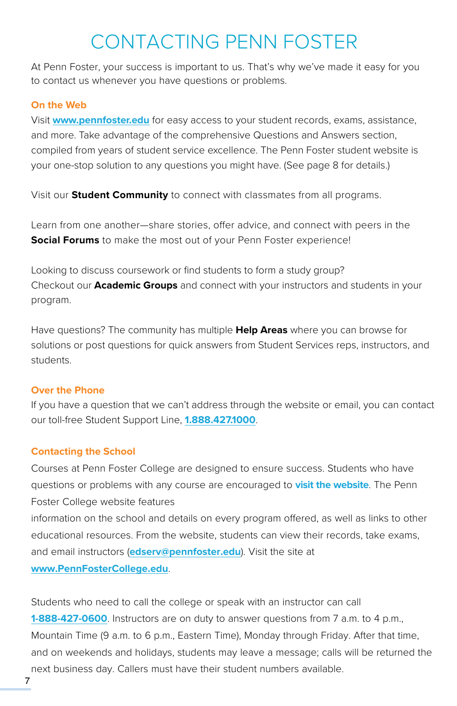## CONTACTING PENN FOSTER

At Penn Foster, your success is important to us. That's why we've made it easy for you to contact us whenever you have questions or problems.

### **On the Web**

Visit **[www.pennfoster.edu](http://www.pennfoster.edu)** for easy access to your student records, exams, assistance, and more. Take advantage of the comprehensive Questions and Answers section, compiled from years of student service excellence. The Penn Foster student website is your one-stop solution to any questions you might have. (See page 8 for details.)

Visit our **Student Community** to connect with classmates from all programs.

Learn from one another—share stories, offer advice, and connect with peers in the **Social Forums** to make the most out of your Penn Foster experience!

Looking to discuss coursework or find students to form a study group? Checkout our **Academic Groups** and connect with your instructors and students in your program.

Have questions? The community has multiple **Help Areas** where you can browse for solutions or post questions for quick answers from Student Services reps, instructors, and students.

### **Over the Phone**

If you have a question that we can't address through the website or email, you can contact our toll-free Student Support Line, **[1.888.427.1000](Tel:1.888.427.1000)**.

### **Contacting the School**

Courses at Penn Foster College are designed to ensure success. Students who have questions or problems with any course are encouraged to **[visit the website](http://Login.PennFosterCollege.edu)**. The Penn Foster College website features information on the school and details on every program offered, as well as links to other educational resources. From the website, students can view their records, take exams, and email instructors (**[edserv@pennfoster.edu](mailto:mailto:edserv%40pennfoster.edu?subject=)**). Visit the site at **[www.PennFosterCollege.edu](https://www.pennfoster.edu/programs)**.

Students who need to call the college or speak with an instructor can call **[1-888-427-0600](Tel:1-888-427-0600)**. Instructors are on duty to answer questions from 7 a.m. to 4 p.m., Mountain Time (9 a.m. to 6 p.m., Eastern Time), Monday through Friday. After that time, and on weekends and holidays, students may leave a message; calls will be returned the next business day. Callers must have their student numbers available.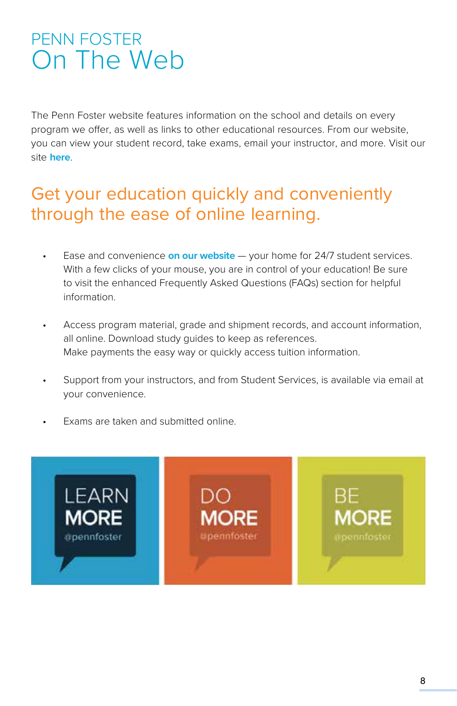## PENN FOSTER On The Web

The Penn Foster website features information on the school and details on every program we offer, as well as links to other educational resources. From our website, you can view your student record, take exams, email your instructor, and more. Visit our site **[here](http://www.pennfoster.edu)**.

## Get your education quickly and conveniently through the ease of online learning.

- Ease and convenience **[on our website](http://www.pennfoster.edu)** your home for 24/7 student services. With a few clicks of your mouse, you are in control of your education! Be sure to visit the enhanced Frequently Asked Questions (FAQs) section for helpful information.
- Access program material, grade and shipment records, and account information, all online. Download study guides to keep as references. Make payments the easy way or quickly access tuition information.
- Support from your instructors, and from Student Services, is available via email at your convenience.
- Exams are taken and submitted online.

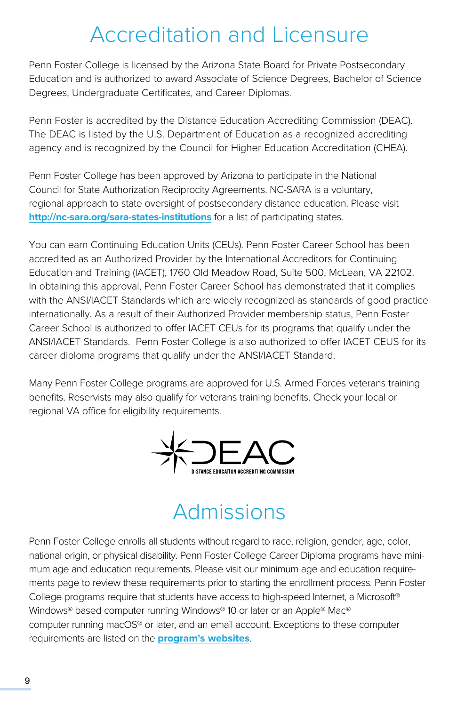## Accreditation and Licensure

Penn Foster College is licensed by the Arizona State Board for Private Postsecondary Education and is authorized to award Associate of Science Degrees, Bachelor of Science Degrees, Undergraduate Certificates, and Career Diplomas.

Penn Foster is accredited by the Distance Education Accrediting Commission (DEAC). The DEAC is listed by the U.S. Department of Education as a recognized accrediting agency and is recognized by the Council for Higher Education Accreditation (CHEA).

Penn Foster College has been approved by Arizona to participate in the National Council for State Authorization Reciprocity Agreements. NC-SARA is a voluntary, regional approach to state oversight of postsecondary distance education. Please visit **<http://nc-sara.org/sara-states-institutions>** for a list of participating states.

You can earn Continuing Education Units (CEUs). Penn Foster Career School has been accredited as an Authorized Provider by the International Accreditors for Continuing Education and Training (IACET), 1760 Old Meadow Road, Suite 500, McLean, VA 22102. In obtaining this approval, Penn Foster Career School has demonstrated that it complies with the ANSI/IACET Standards which are widely recognized as standards of good practice internationally. As a result of their Authorized Provider membership status, Penn Foster Career School is authorized to offer IACET CEUs for its programs that qualify under the ANSI/IACET Standards. Penn Foster College is also authorized to offer IACET CEUS for its career diploma programs that qualify under the ANSI/IACET Standard.

Many Penn Foster College programs are approved for U.S. Armed Forces veterans training benefits. Reservists may also qualify for veterans training benefits. Check your local or regional VA office for eligibility requirements.



## Admissions

Penn Foster College enrolls all students without regard to race, religion, gender, age, color, national origin, or physical disability. Penn Foster College Career Diploma programs have minimum age and education requirements. Please visit our minimum age and education requirements page to review these requirements prior to starting the enrollment process. Penn Foster College programs require that students have access to high-speed Internet, a Microsoft® Windows® based computer running Windows® 10 or later or an Apple® Mac® computer running macOS® or later, and an email account. Exceptions to these computer requirements are listed on the **[program's websites](https://www.pennfoster.edu/admissions)**.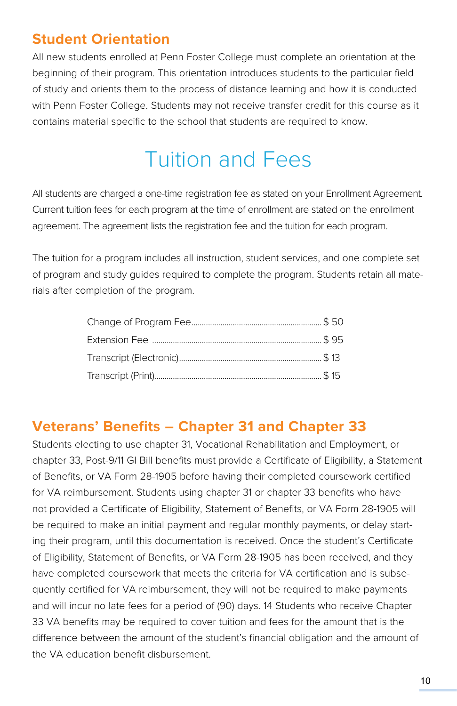## **Student Orientation**

All new students enrolled at Penn Foster College must complete an orientation at the beginning of their program. This orientation introduces students to the particular field of study and orients them to the process of distance learning and how it is conducted with Penn Foster College. Students may not receive transfer credit for this course as it contains material specific to the school that students are required to know.

# Tuition and Fees

All students are charged a one-time registration fee as stated on your Enrollment Agreement. Current tuition fees for each program at the time of enrollment are stated on the enrollment agreement. The agreement lists the registration fee and the tuition for each program.

The tuition for a program includes all instruction, student services, and one complete set of program and study guides required to complete the program. Students retain all materials after completion of the program.

### **Veterans' Benefits – Chapter 31 and Chapter 33**

Students electing to use chapter 31, Vocational Rehabilitation and Employment, or chapter 33, Post-9/11 GI Bill benefits must provide a Certificate of Eligibility, a Statement of Benefits, or VA Form 28-1905 before having their completed coursework certified for VA reimbursement. Students using chapter 31 or chapter 33 benefits who have not provided a Certificate of Eligibility, Statement of Benefits, or VA Form 28-1905 will be required to make an initial payment and regular monthly payments, or delay starting their program, until this documentation is received. Once the student's Certificate of Eligibility, Statement of Benefits, or VA Form 28-1905 has been received, and they have completed coursework that meets the criteria for VA certification and is subsequently certified for VA reimbursement, they will not be required to make payments and will incur no late fees for a period of (90) days. 14 Students who receive Chapter 33 VA benefits may be required to cover tuition and fees for the amount that is the difference between the amount of the student's financial obligation and the amount of the VA education benefit disbursement.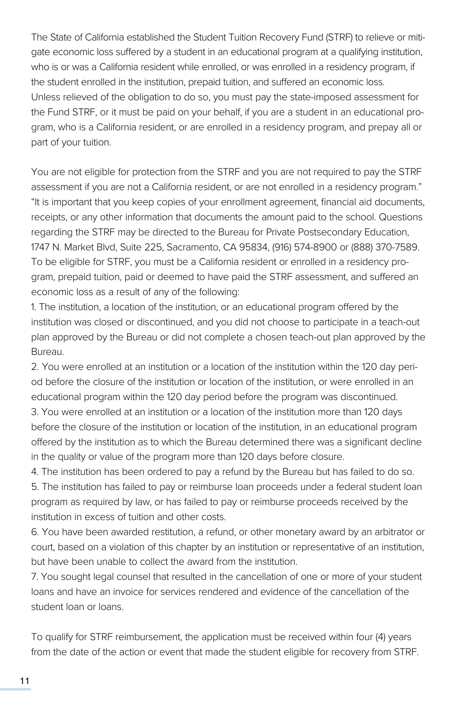The State of California established the Student Tuition Recovery Fund (STRF) to relieve or mitigate economic loss suffered by a student in an educational program at a qualifying institution, who is or was a California resident while enrolled, or was enrolled in a residency program, if the student enrolled in the institution, prepaid tuition, and suffered an economic loss. Unless relieved of the obligation to do so, you must pay the state-imposed assessment for the Fund STRF, or it must be paid on your behalf, if you are a student in an educational program, who is a California resident, or are enrolled in a residency program, and prepay all or part of your tuition.

You are not eligible for protection from the STRF and you are not required to pay the STRF assessment if you are not a California resident, or are not enrolled in a residency program." "It is important that you keep copies of your enrollment agreement, financial aid documents, receipts, or any other information that documents the amount paid to the school. Questions regarding the STRF may be directed to the Bureau for Private Postsecondary Education, 1747 N. Market Blvd, Suite 225, Sacramento, CA 95834, (916) 574-8900 or (888) 370-7589. To be eligible for STRF, you must be a California resident or enrolled in a residency program, prepaid tuition, paid or deemed to have paid the STRF assessment, and suffered an economic loss as a result of any of the following:

1. The institution, a location of the institution, or an educational program offered by the institution was closed or discontinued, and you did not choose to participate in a teach-out plan approved by the Bureau or did not complete a chosen teach-out plan approved by the Bureau.

2. You were enrolled at an institution or a location of the institution within the 120 day period before the closure of the institution or location of the institution, or were enrolled in an educational program within the 120 day period before the program was discontinued.

3. You were enrolled at an institution or a location of the institution more than 120 days before the closure of the institution or location of the institution, in an educational program offered by the institution as to which the Bureau determined there was a significant decline in the quality or value of the program more than 120 days before closure.

4. The institution has been ordered to pay a refund by the Bureau but has failed to do so. 5. The institution has failed to pay or reimburse loan proceeds under a federal student loan program as required by law, or has failed to pay or reimburse proceeds received by the institution in excess of tuition and other costs.

6. You have been awarded restitution, a refund, or other monetary award by an arbitrator or court, based on a violation of this chapter by an institution or representative of an institution, but have been unable to collect the award from the institution.

7. You sought legal counsel that resulted in the cancellation of one or more of your student loans and have an invoice for services rendered and evidence of the cancellation of the student loan or loans.

To qualify for STRF reimbursement, the application must be received within four (4) years from the date of the action or event that made the student eligible for recovery from STRF.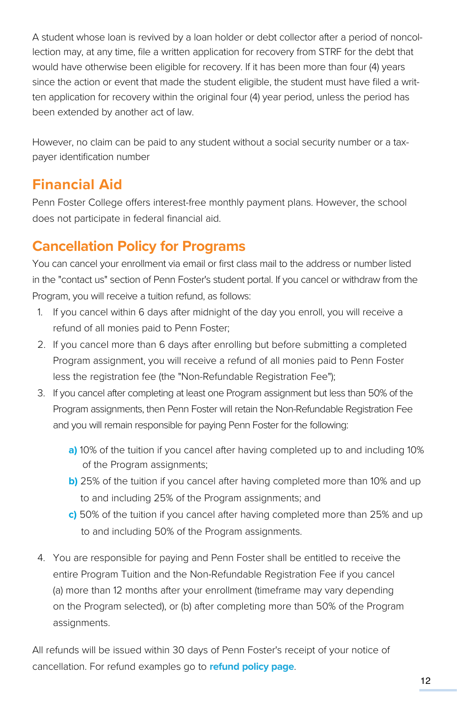A student whose loan is revived by a loan holder or debt collector after a period of noncollection may, at any time, file a written application for recovery from STRF for the debt that would have otherwise been eligible for recovery. If it has been more than four (4) years since the action or event that made the student eligible, the student must have filed a written application for recovery within the original four (4) year period, unless the period has been extended by another act of law.

However, no claim can be paid to any student without a social security number or a taxpayer identification number

## **Financial Aid**

Penn Foster College offers interest-free monthly payment plans. However, the school does not participate in federal financial aid.

## **Cancellation Policy for Programs**

You can cancel your enrollment via email or first class mail to the address or number listed in the "contact us" section of Penn Foster's student portal. If you cancel or withdraw from the Program, you will receive a tuition refund, as follows:

- 1. If you cancel within 6 days after midnight of the day you enroll, you will receive a refund of all monies paid to Penn Foster;
- 2. If you cancel more than 6 days after enrolling but before submitting a completed Program assignment, you will receive a refund of all monies paid to Penn Foster less the registration fee (the "Non-Refundable Registration Fee");
- 3. If you cancel after completing at least one Program assignment but less than 50% of the Program assignments, then Penn Foster will retain the Non-Refundable Registration Fee and you will remain responsible for paying Penn Foster for the following:
	- **a)** 10% of the tuition if you cancel after having completed up to and including 10% of the Program assignments;
	- **b)** 25% of the tuition if you cancel after having completed more than 10% and up to and including 25% of the Program assignments; and
	- **c)** 50% of the tuition if you cancel after having completed more than 25% and up to and including 50% of the Program assignments.
- 4. You are responsible for paying and Penn Foster shall be entitled to receive the entire Program Tuition and the Non-Refundable Registration Fee if you cancel (a) more than 12 months after your enrollment (timeframe may vary depending on the Program selected), or (b) after completing more than 50% of the Program assignments.

All refunds will be issued within 30 days of Penn Foster's receipt of your notice of cancellation. For refund examples go to **[refund policy page](https://www.pennfoster.edu/admissions/policies/refund-policy)**.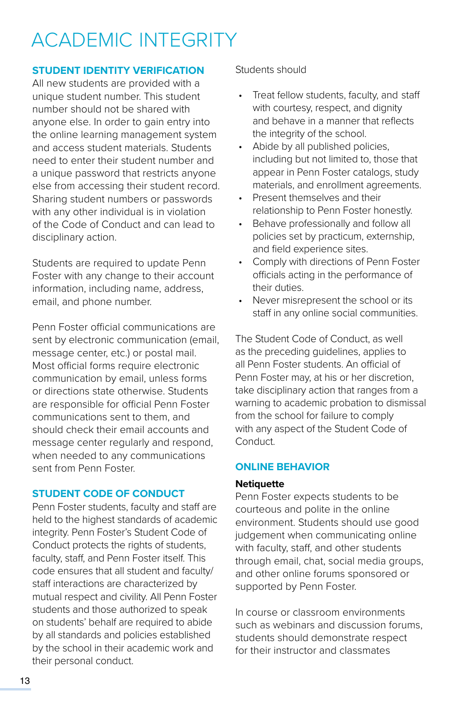# ACADEMIC INTEGRITY

### **STUDENT IDENTITY VERIFICATION**

All new students are provided with a unique student number. This student number should not be shared with anyone else. In order to gain entry into the online learning management system and access student materials. Students need to enter their student number and a unique password that restricts anyone else from accessing their student record. Sharing student numbers or passwords with any other individual is in violation of the Code of Conduct and can lead to disciplinary action.

Students are required to update Penn Foster with any change to their account information, including name, address, email, and phone number.

Penn Foster official communications are sent by electronic communication (email, message center, etc.) or postal mail. Most official forms require electronic communication by email, unless forms or directions state otherwise. Students are responsible for official Penn Foster communications sent to them, and should check their email accounts and message center regularly and respond, when needed to any communications sent from Penn Foster.

### **STUDENT CODE OF CONDUCT**

Penn Foster students, faculty and staff are held to the highest standards of academic integrity. Penn Foster's Student Code of Conduct protects the rights of students, faculty, staff, and Penn Foster itself. This code ensures that all student and faculty/ staff interactions are characterized by mutual respect and civility. All Penn Foster students and those authorized to speak on students' behalf are required to abide by all standards and policies established by the school in their academic work and their personal conduct.

Students should

- Treat fellow students, faculty, and staff with courtesy, respect, and dignity and behave in a manner that reflects the integrity of the school.
- Abide by all published policies, including but not limited to, those that appear in Penn Foster catalogs, study materials, and enrollment agreements.
- Present themselves and their relationship to Penn Foster honestly.
- Behave professionally and follow all policies set by practicum, externship, and field experience sites.
- Comply with directions of Penn Foster officials acting in the performance of their duties.
- Never misrepresent the school or its staff in any online social communities.

The Student Code of Conduct, as well as the preceding guidelines, applies to all Penn Foster students. An official of Penn Foster may, at his or her discretion, take disciplinary action that ranges from a warning to academic probation to dismissal from the school for failure to comply with any aspect of the Student Code of Conduct.

### **ONLINE BEHAVIOR**

### **Netiquette**

Penn Foster expects students to be courteous and polite in the online environment. Students should use good judgement when communicating online with faculty, staff, and other students through email, chat, social media groups, and other online forums sponsored or supported by Penn Foster.

In course or classroom environments such as webinars and discussion forums, students should demonstrate respect for their instructor and classmates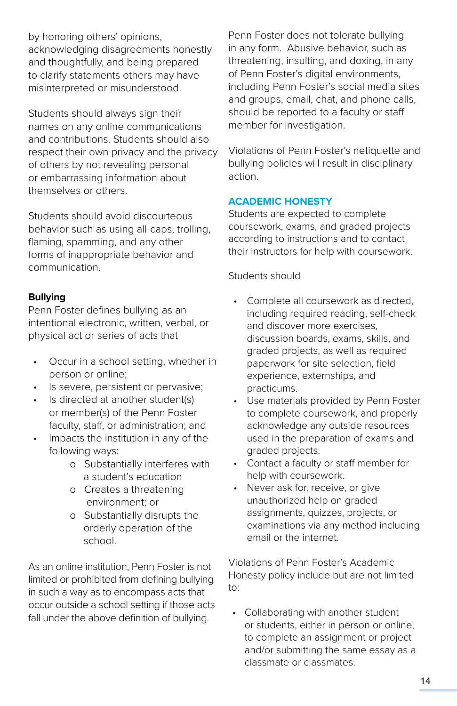by honoring others' opinions, acknowledging disagreements honestly and thoughtfully, and being prepared to clarify statements others may have misinterpreted or misunderstood.

Students should always sign their names on any online communications and contributions. Students should also respect their own privacy and the privacy of others by not revealing personal or embarrassing information about themselves or others.

Students should avoid discourteous behavior such as using all-caps, trolling, flaming, spamming, and any other forms of inappropriate behavior and communication.

### **Bullying**

Penn Foster defines bullying as an intentional electronic, written, verbal, or physical act or series of acts that

- Occur in a school setting, whether in person or online;
- Is severe, persistent or pervasive;
- Is directed at another student(s) or member(s) of the Penn Foster faculty, staff, or administration; and
- Impacts the institution in any of the following ways:
	- o Substantially interferes with a student's education
	- o Creates a threatening environment; or
	- o Substantially disrupts the orderly operation of the school.

As an online institution, Penn Foster is not limited or prohibited from defining bullying in such a way as to encompass acts that occur outside a school setting if those acts fall under the above definition of bullying.

Penn Foster does not tolerate bullying in any form. Abusive behavior, such as threatening, insulting, and doxing, in any of Penn Foster's digital environments, including Penn Foster's social media sites and groups, email, chat, and phone calls, should be reported to a faculty or staff member for investigation.

Violations of Penn Foster's netiquette and bullying policies will result in disciplinary action.

### **ACADEMIC HONESTY**

Students are expected to complete coursework, exams, and graded projects according to instructions and to contact their instructors for help with coursework.

### Students should

- Complete all coursework as directed. including required reading, self-check and discover more exercises, discussion boards, exams, skills, and graded projects, as well as required paperwork for site selection, field experience, externships, and practicums.
- Use materials provided by Penn Foster to complete coursework, and properly acknowledge any outside resources used in the preparation of exams and graded projects.
- Contact a faculty or staff member for help with coursework.
- Never ask for, receive, or give unauthorized help on graded assignments, quizzes, projects, or examinations via any method including email or the internet.

Violations of Penn Foster's Academic Honesty policy include but are not limited to:

• Collaborating with another student or students, either in person or online, to complete an assignment or project and/or submitting the same essay as a classmate or classmates.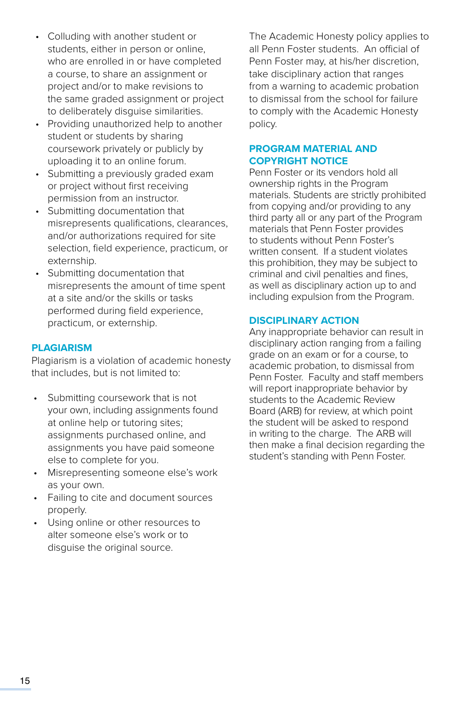- Colluding with another student or students, either in person or online, who are enrolled in or have completed a course, to share an assignment or project and/or to make revisions to the same graded assignment or project to deliberately disguise similarities.
- Providing unauthorized help to another student or students by sharing coursework privately or publicly by uploading it to an online forum.
- Submitting a previously graded exam or project without first receiving permission from an instructor.
- Submitting documentation that misrepresents qualifications, clearances, and/or authorizations required for site selection, field experience, practicum, or externship.
- Submitting documentation that misrepresents the amount of time spent at a site and/or the skills or tasks performed during field experience, practicum, or externship.

### **PLAGIARISM**

Plagiarism is a violation of academic honesty that includes, but is not limited to:

- Submitting coursework that is not your own, including assignments found at online help or tutoring sites; assignments purchased online, and assignments you have paid someone else to complete for you.
- Misrepresenting someone else's work as your own.
- Failing to cite and document sources properly.
- Using online or other resources to alter someone else's work or to disguise the original source.

The Academic Honesty policy applies to all Penn Foster students. An official of Penn Foster may, at his/her discretion, take disciplinary action that ranges from a warning to academic probation to dismissal from the school for failure to comply with the Academic Honesty policy.

### **PROGRAM MATERIAL AND COPYRIGHT NOTICE**

Penn Foster or its vendors hold all ownership rights in the Program materials. Students are strictly prohibited from copying and/or providing to any third party all or any part of the Program materials that Penn Foster provides to students without Penn Foster's written consent. If a student violates this prohibition, they may be subject to criminal and civil penalties and fines, as well as disciplinary action up to and including expulsion from the Program.

### **DISCIPLINARY ACTION**

Any inappropriate behavior can result in disciplinary action ranging from a failing grade on an exam or for a course, to academic probation, to dismissal from Penn Foster. Faculty and staff members will report inappropriate behavior by students to the Academic Review Board (ARB) for review, at which point the student will be asked to respond in writing to the charge. The ARB will then make a final decision regarding the student's standing with Penn Foster.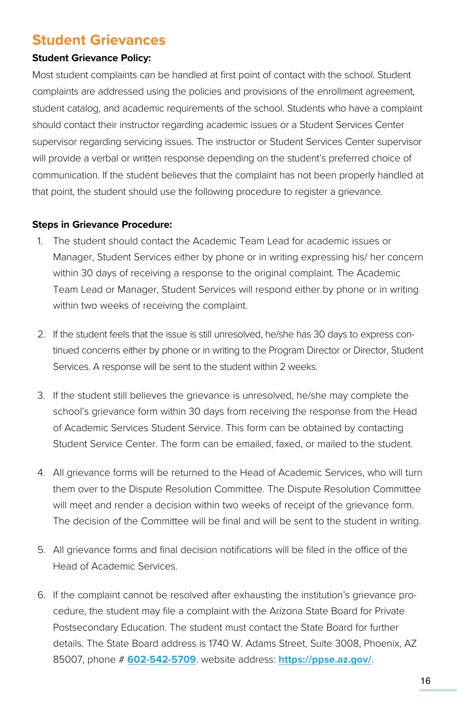### **Student Grievances**

### **Student Grievance Policy:**

Most student complaints can be handled at first point of contact with the school. Student complaints are addressed using the policies and provisions of the enrollment agreement, student catalog, and academic requirements of the school. Students who have a complaint should contact their instructor regarding academic issues or a Student Services Center supervisor regarding servicing issues. The instructor or Student Services Center supervisor will provide a verbal or written response depending on the student's preferred choice of communication. If the student believes that the complaint has not been properly handled at that point, the student should use the following procedure to register a grievance.

### **Steps in Grievance Procedure:**

- 1. The student should contact the Academic Team Lead for academic issues or Manager, Student Services either by phone or in writing expressing his/ her concern within 30 days of receiving a response to the original complaint. The Academic Team Lead or Manager, Student Services will respond either by phone or in writing within two weeks of receiving the complaint.
- 2. If the student feels that the issue is still unresolved, he/she has 30 days to express continued concerns either by phone or in writing to the Program Director or Director, Student Services. A response will be sent to the student within 2 weeks.
- 3. If the student still believes the grievance is unresolved, he/she may complete the school's grievance form within 30 days from receiving the response from the Head of Academic Services Student Service. This form can be obtained by contacting Student Service Center. The form can be emailed, faxed, or mailed to the student.
- 4. All grievance forms will be returned to the Head of Academic Services, who will turn them over to the Dispute Resolution Committee. The Dispute Resolution Committee will meet and render a decision within two weeks of receipt of the grievance form. The decision of the Committee will be final and will be sent to the student in writing.
- 5. All grievance forms and final decision notifications will be filed in the office of the Head of Academic Services.
- 6. If the complaint cannot be resolved after exhausting the institution's grievance procedure, the student may file a complaint with the Arizona State Board for Private Postsecondary Education. The student must contact the State Board for further details. The State Board address is 1740 W. Adams Street, Suite 3008, Phoenix, AZ 85007, phone # **[602-542-5709](Tel:602-542-5709)**. website address: **<https://ppse.az.gov/>**.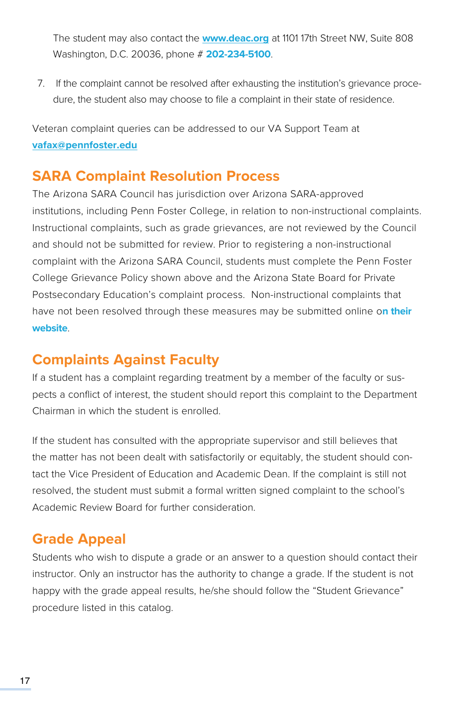The student may also contact the **[www.deac.org](http://www.deac.org)** at 1101 17th Street NW, Suite 808 Washington, D.C. 20036, phone # **[202-234-5100](Tel://202-234-5100)**.

7. If the complaint cannot be resolved after exhausting the institution's grievance procedure, the student also may choose to file a complaint in their state of residence.

Veteran complaint queries can be addressed to our VA Support Team at **[vafax@pennfoster.edu](mailto:mailto:vafax%40pennfoster.edu?subject=)**

## **SARA Complaint Resolution Process**

The Arizona SARA Council has jurisdiction over Arizona SARA-approved institutions, including Penn Foster College, in relation to non-instructional complaints. Instructional complaints, such as grade grievances, are not reviewed by the Council and should not be submitted for review. Prior to registering a non-instructional complaint with the Arizona SARA Council, students must complete the Penn Foster College Grievance Policy shown above and the Arizona State Board for Private Postsecondary Education's complaint process. Non-instructional complaints that have not been resolved through these measures may be submitted online o**[n their](https://azsara.arizona.edu/complaints)  [website](https://azsara.arizona.edu/complaints)**.

## **Complaints Against Faculty**

If a student has a complaint regarding treatment by a member of the faculty or suspects a conflict of interest, the student should report this complaint to the Department Chairman in which the student is enrolled.

If the student has consulted with the appropriate supervisor and still believes that the matter has not been dealt with satisfactorily or equitably, the student should contact the Vice President of Education and Academic Dean. If the complaint is still not resolved, the student must submit a formal written signed complaint to the school's Academic Review Board for further consideration.

### **Grade Appeal**

Students who wish to dispute a grade or an answer to a question should contact their instructor. Only an instructor has the authority to change a grade. If the student is not happy with the grade appeal results, he/she should follow the "Student Grievance" procedure listed in this catalog.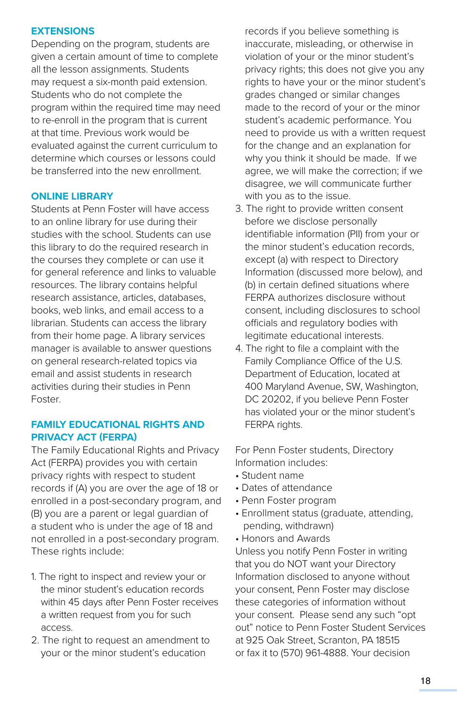### **EXTENSIONS**

Depending on the program, students are given a certain amount of time to complete all the lesson assignments. Students may request a six-month paid extension. Students who do not complete the program within the required time may need to re-enroll in the program that is current at that time. Previous work would be evaluated against the current curriculum to determine which courses or lessons could be transferred into the new enrollment.

### **ONLINE LIBRARY**

Students at Penn Foster will have access to an online library for use during their studies with the school. Students can use this library to do the required research in the courses they complete or can use it for general reference and links to valuable resources. The library contains helpful research assistance, articles, databases, books, web links, and email access to a librarian. Students can access the library from their home page. A library services manager is available to answer questions on general research-related topics via email and assist students in research activities during their studies in Penn Foster.

### **FAMILY EDUCATIONAL RIGHTS AND PRIVACY ACT (FERPA)**

The Family Educational Rights and Privacy Act (FERPA) provides you with certain privacy rights with respect to student records if (A) you are over the age of 18 or enrolled in a post-secondary program, and (B) you are a parent or legal guardian of a student who is under the age of 18 and not enrolled in a post-secondary program. These rights include:

- 1. The right to inspect and review your or the minor student's education records within 45 days after Penn Foster receives a written request from you for such access.
- 2. The right to request an amendment to your or the minor student's education

records if you believe something is inaccurate, misleading, or otherwise in violation of your or the minor student's privacy rights; this does not give you any rights to have your or the minor student's grades changed or similar changes made to the record of your or the minor student's academic performance. You need to provide us with a written request for the change and an explanation for why you think it should be made. If we agree, we will make the correction; if we disagree, we will communicate further with you as to the issue.

- 3. The right to provide written consent before we disclose personally identifiable information (PII) from your or the minor student's education records, except (a) with respect to Directory Information (discussed more below), and (b) in certain defined situations where FERPA authorizes disclosure without consent, including disclosures to school officials and regulatory bodies with legitimate educational interests.
- 4. The right to file a complaint with the Family Compliance Office of the U.S. Department of Education, located at 400 Maryland Avenue, SW, Washington, DC 20202, if you believe Penn Foster has violated your or the minor student's FERPA rights.

For Penn Foster students, Directory Information includes:

- Student name
- Dates of attendance
- Penn Foster program
- Enrollment status (graduate, attending, pending, withdrawn)
- Honors and Awards

Unless you notify Penn Foster in writing that you do NOT want your Directory Information disclosed to anyone without your consent, Penn Foster may disclose these categories of information without your consent. Please send any such "opt out" notice to Penn Foster Student Services at 925 Oak Street, Scranton, PA 18515 or fax it to (570) 961-4888. Your decision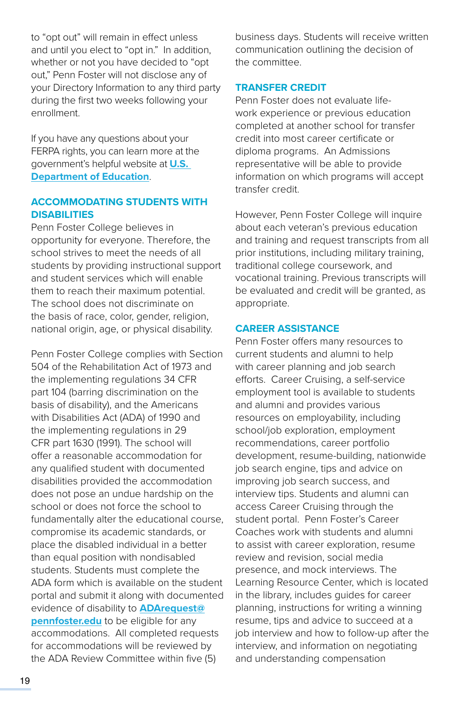to "opt out" will remain in effect unless and until you elect to "opt in." In addition, whether or not you have decided to "opt out," Penn Foster will not disclose any of your Directory Information to any third party during the first two weeks following your enrollment.

If you have any questions about your FERPA rights, you can learn more at the government's helpful website at **[U.S.](https://www2.ed.gov/policy/gen/guid/fpco/ferpa/index.html)  [Department of Education](https://www2.ed.gov/policy/gen/guid/fpco/ferpa/index.html)**.

### **ACCOMMODATING STUDENTS WITH DISABILITIES**

Penn Foster College believes in opportunity for everyone. Therefore, the school strives to meet the needs of all students by providing instructional support and student services which will enable them to reach their maximum potential. The school does not discriminate on the basis of race, color, gender, religion, national origin, age, or physical disability.

Penn Foster College complies with Section 504 of the Rehabilitation Act of 1973 and the implementing regulations 34 CFR part 104 (barring discrimination on the basis of disability), and the Americans with Disabilities Act (ADA) of 1990 and the implementing regulations in 29 CFR part 1630 (1991). The school will offer a reasonable accommodation for any qualified student with documented disabilities provided the accommodation does not pose an undue hardship on the school or does not force the school to fundamentally alter the educational course, compromise its academic standards, or place the disabled individual in a better than equal position with nondisabled students. Students must complete the ADA form which is available on the student portal and submit it along with documented evidence of disability to **[ADArequest@](mailto:ADArequest@pennfoster.edu) [pennfoster.edu](mailto:ADArequest@pennfoster.edu)** to be eligible for any accommodations. All completed requests for accommodations will be reviewed by the ADA Review Committee within five (5)

business days. Students will receive written communication outlining the decision of the committee.

### **TRANSFER CREDIT**

Penn Foster does not evaluate lifework experience or previous education completed at another school for transfer credit into most career certificate or diploma programs. An Admissions representative will be able to provide information on which programs will accept transfer credit.

However, Penn Foster College will inquire about each veteran's previous education and training and request transcripts from all prior institutions, including military training, traditional college coursework, and vocational training. Previous transcripts will be evaluated and credit will be granted, as appropriate.

### **CAREER ASSISTANCE**

Penn Foster offers many resources to current students and alumni to help with career planning and job search efforts. Career Cruising, a self-service employment tool is available to students and alumni and provides various resources on employability, including school/job exploration, employment recommendations, career portfolio development, resume-building, nationwide job search engine, tips and advice on improving job search success, and interview tips. Students and alumni can access Career Cruising through the student portal. Penn Foster's Career Coaches work with students and alumni to assist with career exploration, resume review and revision, social media presence, and mock interviews. The Learning Resource Center, which is located in the library, includes guides for career planning, instructions for writing a winning resume, tips and advice to succeed at a job interview and how to follow-up after the interview, and information on negotiating and understanding compensation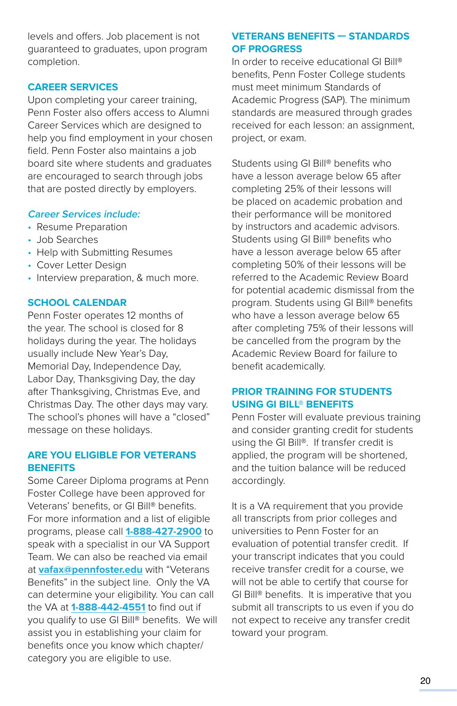levels and offers. Job placement is not guaranteed to graduates, upon program completion.

### **CAREER SERVICES**

Upon completing your career training, Penn Foster also offers access to Alumni Career Services which are designed to help you find employment in your chosen field. Penn Foster also maintains a job board site where students and graduates are encouraged to search through jobs that are posted directly by employers.

### **Career Services include:**

- Resume Preparation
- Job Searches
- Help with Submitting Resumes
- Cover Letter Design
- Interview preparation, & much more.

### **SCHOOL CALENDAR**

Penn Foster operates 12 months of the year. The school is closed for 8 holidays during the year. The holidays usually include New Year's Day, Memorial Day, Independence Day, Labor Day, Thanksgiving Day, the day after Thanksgiving, Christmas Eve, and Christmas Day. The other days may vary. The school's phones will have a "closed" message on these holidays.

### **ARE YOU ELIGIBLE FOR VETERANS BENEFITS**

Some Career Diploma programs at Penn Foster College have been approved for Veterans' benefits, or GI Bill® benefits. For more information and a list of eligible programs, please call **[1-888-427-2900](Tel:1-888-427-2900)** to speak with a specialist in our VA Support Team. We can also be reached via email at **[vafax@pennfoster.edu](mailto:mailto:vafax%40pennfoster.edu?subject=)** with "Veterans Benefits" in the subject line. Only the VA can determine your eligibility. You can call the VA at **[1-888-442-4551](Tel:1-888-442-4551)** to find out if you qualify to use GI Bill® benefits. We will assist you in establishing your claim for benefits once you know which chapter/ category you are eligible to use.

### **VETERANS BENEFITS — STANDARDS OF PROGRESS**

In order to receive educational GI Bill® benefits, Penn Foster College students must meet minimum Standards of Academic Progress (SAP). The minimum standards are measured through grades received for each lesson: an assignment, project, or exam.

Students using GI Bill® benefits who have a lesson average below 65 after completing 25% of their lessons will be placed on academic probation and their performance will be monitored by instructors and academic advisors. Students using GI Bill® benefits who have a lesson average below 65 after completing 50% of their lessons will be referred to the Academic Review Board for potential academic dismissal from the program. Students using GI Bill® benefits who have a lesson average below 65 after completing 75% of their lessons will be cancelled from the program by the Academic Review Board for failure to benefit academically.

### **PRIOR TRAINING FOR STUDENTS USING GI BILL® BENEFITS**

Penn Foster will evaluate previous training and consider granting credit for students using the GI Bill®. If transfer credit is applied, the program will be shortened, and the tuition balance will be reduced accordingly.

It is a VA requirement that you provide all transcripts from prior colleges and universities to Penn Foster for an evaluation of potential transfer credit. If your transcript indicates that you could receive transfer credit for a course, we will not be able to certify that course for GI Bill® benefits. It is imperative that you submit all transcripts to us even if you do not expect to receive any transfer credit toward your program.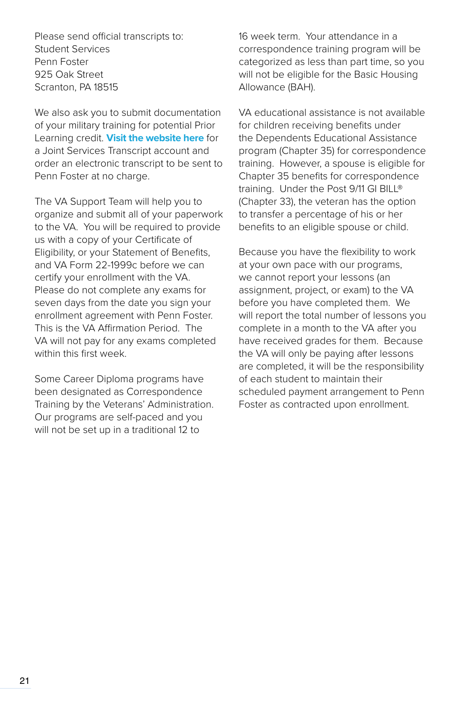Please send official transcripts to: Student Services Penn Foster 925 Oak Street Scranton, PA 18515

We also ask you to submit documentation of your military training for potential Prior Learning credit. **[Visit the website here](https://jst.doded.mil/jst/)** for a Joint Services Transcript account and order an electronic transcript to be sent to Penn Foster at no charge.

The VA Support Team will help you to organize and submit all of your paperwork to the VA. You will be required to provide us with a copy of your Certificate of Eligibility, or your Statement of Benefits, and VA Form 22-1999c before we can certify your enrollment with the VA. Please do not complete any exams for seven days from the date you sign your enrollment agreement with Penn Foster. This is the VA Affirmation Period. The VA will not pay for any exams completed within this first week.

Some Career Diploma programs have been designated as Correspondence Training by the Veterans' Administration. Our programs are self-paced and you will not be set up in a traditional 12 to

16 week term. Your attendance in a correspondence training program will be categorized as less than part time, so you will not be eligible for the Basic Housing Allowance (BAH).

VA educational assistance is not available for children receiving benefits under the Dependents Educational Assistance program (Chapter 35) for correspondence training. However, a spouse is eligible for Chapter 35 benefits for correspondence training. Under the Post 9/11 GI BILL® (Chapter 33), the veteran has the option to transfer a percentage of his or her benefits to an eligible spouse or child.

Because you have the flexibility to work at your own pace with our programs, we cannot report your lessons (an assignment, project, or exam) to the VA before you have completed them. We will report the total number of lessons you complete in a month to the VA after you have received grades for them. Because the VA will only be paying after lessons are completed, it will be the responsibility of each student to maintain their scheduled payment arrangement to Penn Foster as contracted upon enrollment.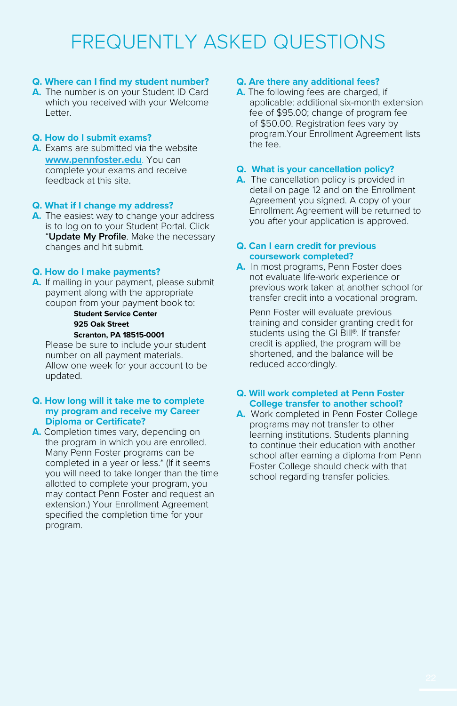## FREQUENTLY ASKED QUESTIONS

### **Q. Where can I find my student number?**

**A.** The number is on your Student ID Card which you received with your Welcome Letter.

### **Q. How do I submit exams?**

**A.** Exams are submitted via the website **[www.pennfoster.edu](http://www.pennfoster.edu)**. You can complete your exams and receive feedback at this site.

### **Q. What if I change my address?**

**A.** The easiest way to change your address is to log on to your Student Portal. Click "**Update My Profile**. Make the necessary changes and hit submit.

### **Q. How do I make payments?**

**A.** If mailing in your payment, please submit payment along with the appropriate coupon from your payment book to:

#### **Student Service Center 925 Oak Street Scranton, PA 18515-0001**

Please be sure to include your student number on all payment materials. Allow one week for your account to be updated.

### **Q. How long will it take me to complete my program and receive my Career Diploma or Certificate?**

**A.** Completion times vary, depending on the program in which you are enrolled. Many Penn Foster programs can be completed in a year or less.\* (If it seems you will need to take longer than the time allotted to complete your program, you may contact Penn Foster and request an extension.) Your Enrollment Agreement specified the completion time for your program.

### **Q. Are there any additional fees?**

**A.** The following fees are charged, if applicable: additional six-month extension fee of \$95.00; change of program fee of \$50.00. Registration fees vary by program.Your Enrollment Agreement lists the fee.

### **Q. What is your cancellation policy?**

**A.** The cancellation policy is provided in detail on page 12 and on the Enrollment Agreement you signed. A copy of your Enrollment Agreement will be returned to you after your application is approved.

### **Q. Can I earn credit for previous coursework completed?**

**A.** In most programs, Penn Foster does not evaluate life-work experience or previous work taken at another school for transfer credit into a vocational program.

Penn Foster will evaluate previous training and consider granting credit for students using the GI Bill®. If transfer credit is applied, the program will be shortened, and the balance will be reduced accordingly.

### **Q. Will work completed at Penn Foster College transfer to another school?**

**A.** Work completed in Penn Foster College programs may not transfer to other learning institutions. Students planning to continue their education with another school after earning a diploma from Penn Foster College should check with that school regarding transfer policies.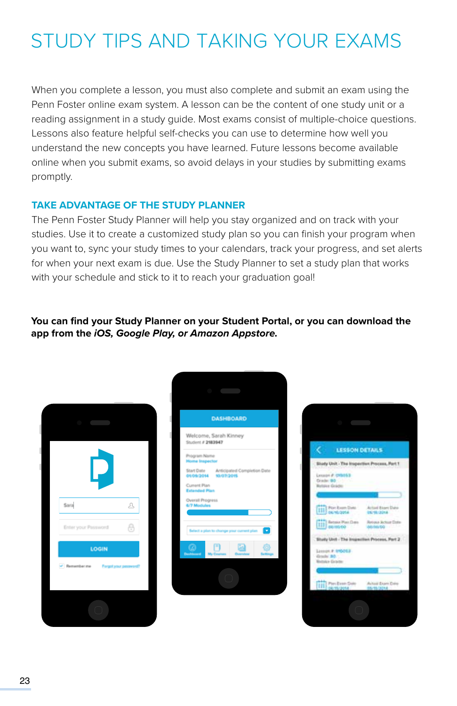# STUDY TIPS AND TAKING YOUR EXAMS

When you complete a lesson, you must also complete and submit an exam using the Penn Foster online exam system. A lesson can be the content of one study unit or a reading assignment in a study guide. Most exams consist of multiple-choice questions. Lessons also feature helpful self-checks you can use to determine how well you understand the new concepts you have learned. Future lessons become available online when you submit exams, so avoid delays in your studies by submitting exams promptly.

### **TAKE ADVANTAGE OF THE STUDY PLANNER**

The Penn Foster Study Planner will help you stay organized and on track with your studies. Use it to create a customized study plan so you can finish your program when you want to, sync your study times to your calendars, track your progress, and set alerts for when your next exam is due. Use the Study Planner to set a study plan that works with your schedule and stick to it to reach your graduation goal!

**You can find your Study Planner on your Student Portal, or you can download the app from the** *iOS, Google Play, or Amazon Appstore.*



| <b>DASHBOARD</b>                                                   |  |  |
|--------------------------------------------------------------------|--|--|
| Welcome, Sarah Kinney<br>Student # 2183947                         |  |  |
| Program Name<br><b>Home Inspector</b>                              |  |  |
| Start Date Anticipated Completion Date<br>01/09/2014<br>10/07/2015 |  |  |
| Current Plan<br><b>Extended Plan</b>                               |  |  |
| Overall Progress<br>6/7 Modules                                    |  |  |
|                                                                    |  |  |
| $\bar{\mathbf{v}}$<br>Select a plan to change your current plan    |  |  |
| о<br><b>Dentisement</b>                                            |  |  |
|                                                                    |  |  |
|                                                                    |  |  |

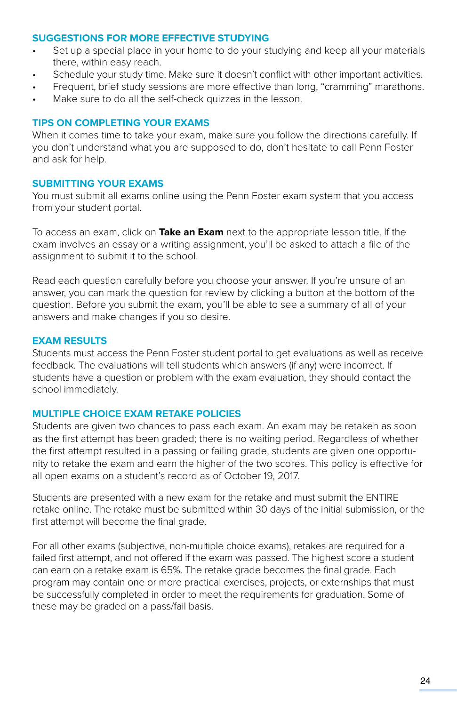### **SUGGESTIONS FOR MORE EFFECTIVE STUDYING**

- Set up a special place in your home to do your studying and keep all your materials there, within easy reach.
- Schedule your study time. Make sure it doesn't conflict with other important activities.
- Frequent, brief study sessions are more effective than long, "cramming" marathons.
- Make sure to do all the self-check quizzes in the lesson.

### **TIPS ON COMPLETING YOUR EXAMS**

When it comes time to take your exam, make sure you follow the directions carefully. If you don't understand what you are supposed to do, don't hesitate to call Penn Foster and ask for help.

### **SUBMITTING YOUR EXAMS**

You must submit all exams online using the Penn Foster exam system that you access from your student portal.

To access an exam, click on **Take an Exam** next to the appropriate lesson title. If the exam involves an essay or a writing assignment, you'll be asked to attach a file of the assignment to submit it to the school.

Read each question carefully before you choose your answer. If you're unsure of an answer, you can mark the question for review by clicking a button at the bottom of the question. Before you submit the exam, you'll be able to see a summary of all of your answers and make changes if you so desire.

### **EXAM RESULTS**

Students must access the Penn Foster student portal to get evaluations as well as receive feedback. The evaluations will tell students which answers (if any) were incorrect. If students have a question or problem with the exam evaluation, they should contact the school immediately.

### **MULTIPLE CHOICE EXAM RETAKE POLICIES**

Students are given two chances to pass each exam. An exam may be retaken as soon as the first attempt has been graded; there is no waiting period. Regardless of whether the first attempt resulted in a passing or failing grade, students are given one opportunity to retake the exam and earn the higher of the two scores. This policy is effective for all open exams on a student's record as of October 19, 2017.

Students are presented with a new exam for the retake and must submit the ENTIRE retake online. The retake must be submitted within 30 days of the initial submission, or the first attempt will become the final grade.

For all other exams (subjective, non-multiple choice exams), retakes are required for a failed first attempt, and not offered if the exam was passed. The highest score a student can earn on a retake exam is 65%. The retake grade becomes the final grade. Each program may contain one or more practical exercises, projects, or externships that must be successfully completed in order to meet the requirements for graduation. Some of these may be graded on a pass/fail basis.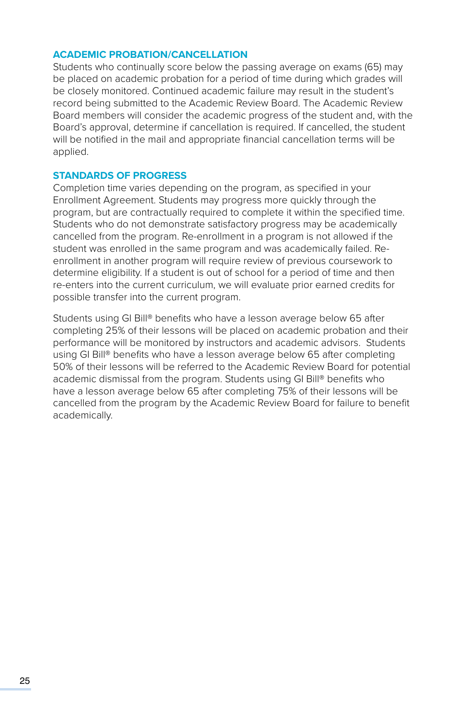### **ACADEMIC PROBATION/CANCELLATION**

Students who continually score below the passing average on exams (65) may be placed on academic probation for a period of time during which grades will be closely monitored. Continued academic failure may result in the student's record being submitted to the Academic Review Board. The Academic Review Board members will consider the academic progress of the student and, with the Board's approval, determine if cancellation is required. If cancelled, the student will be notified in the mail and appropriate financial cancellation terms will be applied.

### **STANDARDS OF PROGRESS**

Completion time varies depending on the program, as specified in your Enrollment Agreement. Students may progress more quickly through the program, but are contractually required to complete it within the specified time. Students who do not demonstrate satisfactory progress may be academically cancelled from the program. Re-enrollment in a program is not allowed if the student was enrolled in the same program and was academically failed. Reenrollment in another program will require review of previous coursework to determine eligibility. If a student is out of school for a period of time and then re-enters into the current curriculum, we will evaluate prior earned credits for possible transfer into the current program.

Students using GI Bill® benefits who have a lesson average below 65 after completing 25% of their lessons will be placed on academic probation and their performance will be monitored by instructors and academic advisors. Students using GI Bill® benefits who have a lesson average below 65 after completing 50% of their lessons will be referred to the Academic Review Board for potential academic dismissal from the program. Students using GI Bill® benefits who have a lesson average below 65 after completing 75% of their lessons will be cancelled from the program by the Academic Review Board for failure to benefit academically.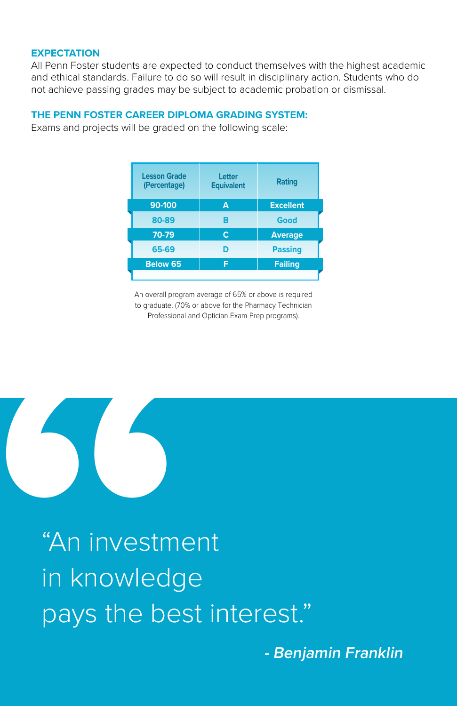### **EXPECTATION**

All Penn Foster students are expected to conduct themselves with the highest academic and ethical standards. Failure to do so will result in disciplinary action. Students who do not achieve passing grades may be subject to academic probation or dismissal.

### **THE PENN FOSTER CAREER DIPLOMA GRADING SYSTEM:**

Exams and projects will be graded on the following scale:

| <b>Lesson Grade</b><br>(Percentage) | Letter<br><b>Equivalent</b> | Rating           |
|-------------------------------------|-----------------------------|------------------|
| 90-100                              | A                           | <b>Excellent</b> |
| 80-89                               | в                           | Good             |
| 70-79                               | Ċ                           | <b>Average</b>   |
| 65-69                               | D                           | <b>Passing</b>   |
| Below 65                            | F                           | Failing          |
|                                     |                             |                  |

An overall program average of 65% or above is required to graduate. (70% or above for the Pharmacy Technician Professional and Optician Exam Prep programs).



"An investment in knowledge pays the best interest."

**- Benjamin Franklin**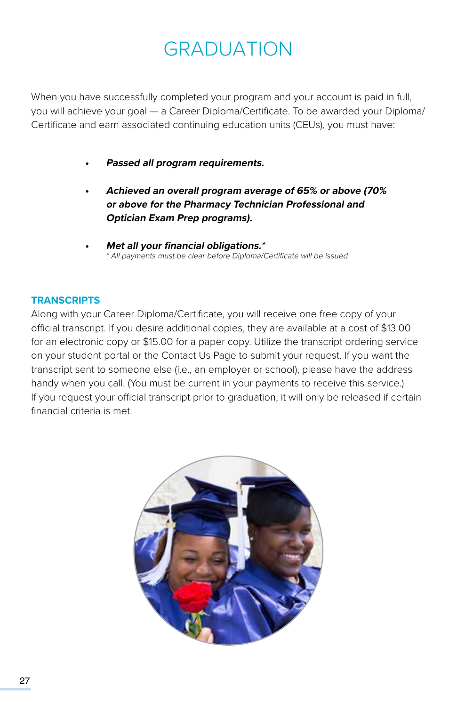## GRADUATION

When you have successfully completed your program and your account is paid in full, you will achieve your goal — a Career Diploma/Certificate. To be awarded your Diploma/ Certificate and earn associated continuing education units (CEUs), you must have:

- **• Passed all program requirements.**
- **• Achieved an overall program average of 65% or above (70% or above for the Pharmacy Technician Professional and Optician Exam Prep programs).**
- **• Met all your financial obligations.\*** \* All payments must be clear before Diploma/Certificate will be issued

### **TRANSCRIPTS**

Along with your Career Diploma/Certificate, you will receive one free copy of your official transcript. If you desire additional copies, they are available at a cost of \$13.00 for an electronic copy or \$15.00 for a paper copy. Utilize the transcript ordering service on your student portal or the Contact Us Page to submit your request. If you want the transcript sent to someone else (i.e., an employer or school), please have the address handy when you call. (You must be current in your payments to receive this service.) If you request your official transcript prior to graduation, it will only be released if certain financial criteria is met.

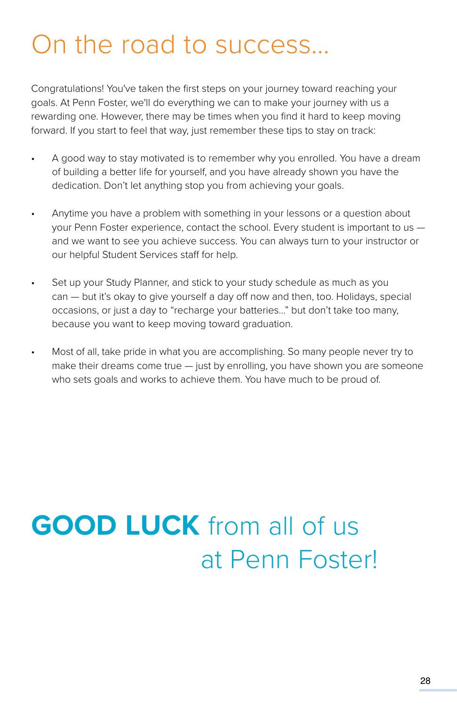# On the road to success...

Congratulations! You've taken the first steps on your journey toward reaching your goals. At Penn Foster, we'll do everything we can to make your journey with us a rewarding one. However, there may be times when you find it hard to keep moving forward. If you start to feel that way, just remember these tips to stay on track:

- A good way to stay motivated is to remember why you enrolled. You have a dream of building a better life for yourself, and you have already shown you have the dedication. Don't let anything stop you from achieving your goals.
- Anytime you have a problem with something in your lessons or a question about your Penn Foster experience, contact the school. Every student is important to us and we want to see you achieve success. You can always turn to your instructor or our helpful Student Services staff for help.
- Set up your Study Planner, and stick to your study schedule as much as you can — but it's okay to give yourself a day off now and then, too. Holidays, special occasions, or just a day to "recharge your batteries..." but don't take too many, because you want to keep moving toward graduation.
- Most of all, take pride in what you are accomplishing. So many people never try to make their dreams come true — just by enrolling, you have shown you are someone who sets goals and works to achieve them. You have much to be proud of.

# **GOOD LUCK** from all of us at Penn Foster!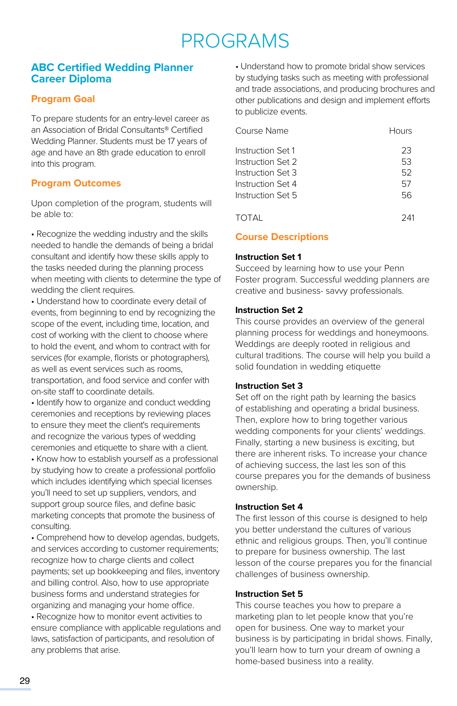## PROGRAMS

### **ABC Certified Wedding Planner Career Diploma**

### **Program Goal**

To prepare students for an entry-level career as an Association of Bridal Consultants® Certified Wedding Planner. Students must be 17 years of age and have an 8th grade education to enroll into this program.

### **Program Outcomes**

Upon completion of the program, students will be able to:

• Recognize the wedding industry and the skills needed to handle the demands of being a bridal consultant and identify how these skills apply to the tasks needed during the planning process when meeting with clients to determine the type of wedding the client requires.

• Understand how to coordinate every detail of events, from beginning to end by recognizing the scope of the event, including time, location, and cost of working with the client to choose where to hold the event, and whom to contract with for services (for example, florists or photographers), as well as event services such as rooms, transportation, and food service and confer with on-site staff to coordinate details.

• Identify how to organize and conduct wedding ceremonies and receptions by reviewing places to ensure they meet the client's requirements and recognize the various types of wedding ceremonies and etiquette to share with a client.

• Know how to establish yourself as a professional by studying how to create a professional portfolio which includes identifying which special licenses you'll need to set up suppliers, vendors, and support group source files, and define basic marketing concepts that promote the business of consulting.

• Comprehend how to develop agendas, budgets, and services according to customer requirements; recognize how to charge clients and collect payments; set up bookkeeping and files, inventory and billing control. Also, how to use appropriate business forms and understand strategies for organizing and managing your home office.

• Recognize how to monitor event activities to ensure compliance with applicable regulations and laws, satisfaction of participants, and resolution of any problems that arise.

• Understand how to promote bridal show services by studying tasks such as meeting with professional and trade associations, and producing brochures and other publications and design and implement efforts to publicize events.

| Course Name       | Hours |
|-------------------|-------|
| Instruction Set 1 | 23    |
| Instruction Set 2 | 53    |
| Instruction Set 3 | 52    |
| Instruction Set 4 | 57    |
| Instruction Set 5 | 56    |
| TOTAL             | 241   |

### **Course Descriptions**

### **Instruction Set 1**

Succeed by learning how to use your Penn Foster program. Successful wedding planners are creative and business- savvy professionals.

### **Instruction Set 2**

This course provides an overview of the general planning process for weddings and honeymoons. Weddings are deeply rooted in religious and cultural traditions. The course will help you build a solid foundation in wedding etiquette

### **Instruction Set 3**

Set off on the right path by learning the basics of establishing and operating a bridal business. Then, explore how to bring together various wedding components for your clients' weddings. Finally, starting a new business is exciting, but there are inherent risks. To increase your chance of achieving success, the last les son of this course prepares you for the demands of business ownership.

### **Instruction Set 4**

The first lesson of this course is designed to help you better understand the cultures of various ethnic and religious groups. Then, you'll continue to prepare for business ownership. The last lesson of the course prepares you for the financial challenges of business ownership.

### **Instruction Set 5**

This course teaches you how to prepare a marketing plan to let people know that you're open for business. One way to market your business is by participating in bridal shows. Finally, you'll learn how to turn your dream of owning a home-based business into a reality.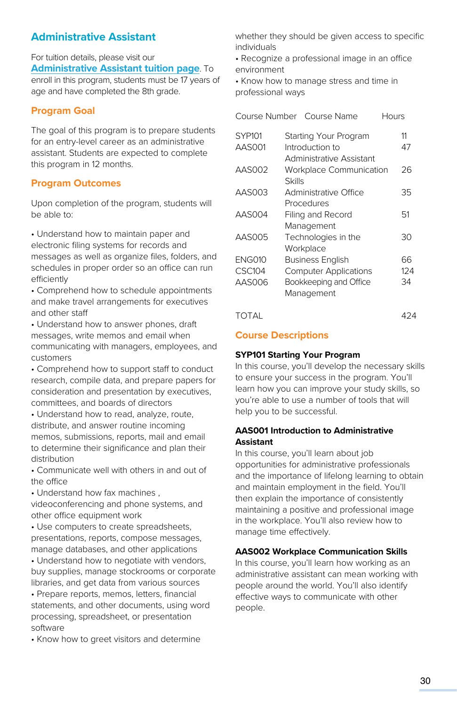### **Administrative Assistant**

For tuition details, please visit our **[Administrative Assistant tuition page](https://www.pennfoster.edu/programs/business/administrative-assistant-career-diploma/tuition#/)**. To enroll in this program, students must be 17 years of age and have completed the 8th grade.

### **Program Goal**

The goal of this program is to prepare students for an entry-level career as an administrative assistant. Students are expected to complete this program in 12 months.

### **Program Outcomes**

Upon completion of the program, students will be able to:

• Understand how to maintain paper and electronic filing systems for records and messages as well as organize files, folders, and schedules in proper order so an office can run efficiently

• Comprehend how to schedule appointments and make travel arrangements for executives and other staff

• Understand how to answer phones, draft messages, write memos and email when communicating with managers, employees, and customers

• Comprehend how to support staff to conduct research, compile data, and prepare papers for consideration and presentation by executives, committees, and boards of directors

• Understand how to read, analyze, route, distribute, and answer routine incoming memos, submissions, reports, mail and email to determine their significance and plan their distribution

• Communicate well with others in and out of the office

• Understand how fax machines , videoconferencing and phone systems, and other office equipment work

• Use computers to create spreadsheets, presentations, reports, compose messages, manage databases, and other applications

• Understand how to negotiate with vendors, buy supplies, manage stockrooms or corporate libraries, and get data from various sources

• Prepare reports, memos, letters, financial statements, and other documents, using word processing, spreadsheet, or presentation software

• Know how to greet visitors and determine

whether they should be given access to specific individuals

• Recognize a professional image in an office environment

• Know how to manage stress and time in professional ways

| Course Number | Course Name                       | Hours |
|---------------|-----------------------------------|-------|
| <b>SYP101</b> | Starting Your Program             | 11    |
| AAS001        | Introduction to                   | 47    |
|               | Administrative Assistant          |       |
| AAS002        | <b>Workplace Communication</b>    | 26    |
|               | Skills                            |       |
| AAS003        | Administrative Office             | 35    |
| AAS004        | Procedures                        |       |
|               | Filing and Record                 | 51    |
| AAS005        | Management<br>Technologies in the | 30    |
|               | Workplace                         |       |
| <b>ENG010</b> | <b>Business English</b>           | 66    |
| <b>CSC104</b> | <b>Computer Applications</b>      | 124   |
| AAS006        | Bookkeeping and Office            | 34    |
|               | Management                        |       |
|               |                                   |       |

TOTAL 424

### **Course Descriptions**

### **SYP101 Starting Your Program**

In this course, you'll develop the necessary skills to ensure your success in the program. You'll learn how you can improve your study skills, so you're able to use a number of tools that will help you to be successful.

### **AAS001 Introduction to Administrative Assistant**

In this course, you'll learn about job opportunities for administrative professionals and the importance of lifelong learning to obtain and maintain employment in the field. You'll then explain the importance of consistently maintaining a positive and professional image in the workplace. You'll also review how to manage time effectively.

### **AAS002 Workplace Communication Skills**

In this course, you'll learn how working as an administrative assistant can mean working with people around the world. You'll also identify effective ways to communicate with other people.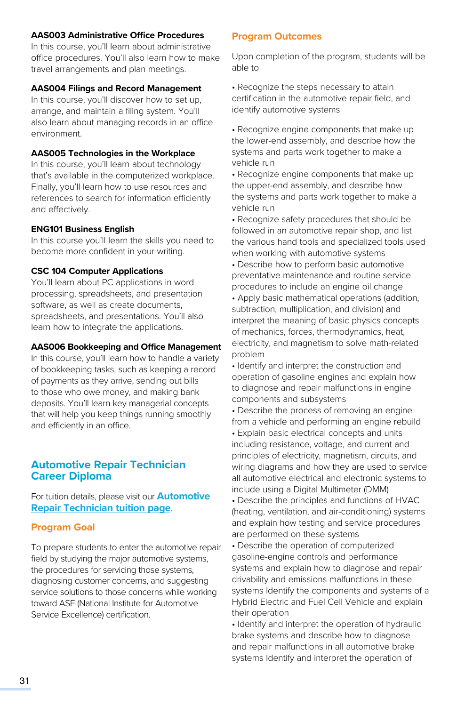### **AAS003 Administrative Office Procedures**

In this course, you'll learn about administrative office procedures. You'll also learn how to make travel arrangements and plan meetings.

### **AAS004 Filings and Record Management**

In this course, you'll discover how to set up, arrange, and maintain a filing system. You'll also learn about managing records in an office environment.

### **AAS005 Technologies in the Workplace**

In this course, you'll learn about technology that's available in the computerized workplace. Finally, you'll learn how to use resources and references to search for information efficiently and effectively.

### **ENG101 Business English**

In this course you'll learn the skills you need to become more confident in your writing.

### **CSC 104 Computer Applications**

You'll learn about PC applications in word processing, spreadsheets, and presentation software, as well as create documents, spreadsheets, and presentations. You'll also learn how to integrate the applications.

#### **AAS006 Bookkeeping and Office Management**

In this course, you'll learn how to handle a variety of bookkeeping tasks, such as keeping a record of payments as they arrive, sending out bills to those who owe money, and making bank deposits. You'll learn key managerial concepts that will help you keep things running smoothly and efficiently in an office.

### **Automotive Repair Technician Career Diploma**

For tuition details, please visit our **Automotive Repair Technicia[n tuition page](https://www.pennfoster.edu/programs/automotive/auto-repair-career-diploma/tuition#/)**.

### **Program Goal**

To prepare students to enter the automotive repair field by studying the major automotive systems, the procedures for servicing those systems, diagnosing customer concerns, and suggesting service solutions to those concerns while working toward ASE (National Institute for Automotive Service Excellence) certification.

#### **Program Outcomes**

Upon completion of the program, students will be able to

• Recognize the steps necessary to attain certification in the automotive repair field, and identify automotive systems

• Recognize engine components that make up the lower-end assembly, and describe how the systems and parts work together to make a vehicle run

• Recognize engine components that make up the upper-end assembly, and describe how the systems and parts work together to make a vehicle run

• Recognize safety procedures that should be followed in an automotive repair shop, and list the various hand tools and specialized tools used when working with automotive systems

• Describe how to perform basic automotive preventative maintenance and routine service procedures to include an engine oil change

• Apply basic mathematical operations (addition, subtraction, multiplication, and division) and interpret the meaning of basic physics concepts of mechanics, forces, thermodynamics, heat, electricity, and magnetism to solve math-related problem

• Identify and interpret the construction and operation of gasoline engines and explain how to diagnose and repair malfunctions in engine components and subsystems

• Describe the process of removing an engine from a vehicle and performing an engine rebuild

• Explain basic electrical concepts and units including resistance, voltage, and current and principles of electricity, magnetism, circuits, and wiring diagrams and how they are used to service all automotive electrical and electronic systems to include using a Digital Multimeter (DMM)

• Describe the principles and functions of HVAC (heating, ventilation, and air-conditioning) systems and explain how testing and service procedures are performed on these systems

• Describe the operation of computerized gasoline-engine controls and performance systems and explain how to diagnose and repair drivability and emissions malfunctions in these systems Identify the components and systems of a Hybrid Electric and Fuel Cell Vehicle and explain their operation

• Identify and interpret the operation of hydraulic brake systems and describe how to diagnose and repair malfunctions in all automotive brake systems Identify and interpret the operation of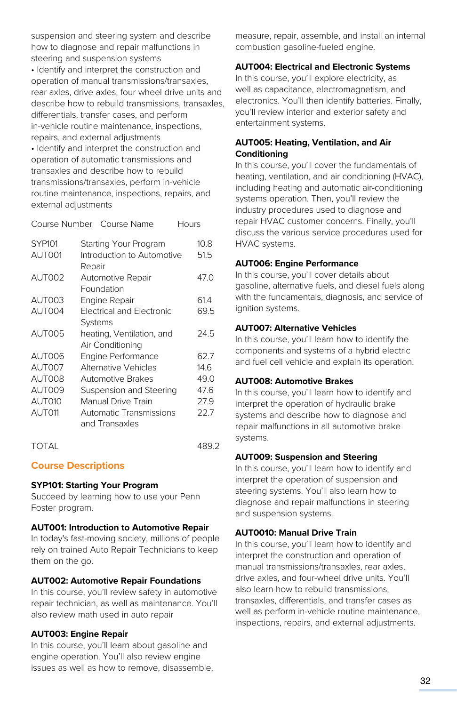suspension and steering system and describe how to diagnose and repair malfunctions in steering and suspension systems • Identify and interpret the construction and operation of manual transmissions/transaxles, rear axles, drive axles, four wheel drive units and describe how to rebuild transmissions, transaxles, differentials, transfer cases, and perform in-vehicle routine maintenance, inspections, repairs, and external adjustments

• Identify and interpret the construction and operation of automatic transmissions and transaxles and describe how to rebuild transmissions/transaxles, perform in-vehicle routine maintenance, inspections, repairs, and external adjustments

|               |        | Course Number Course Name        | Hours |      |
|---------------|--------|----------------------------------|-------|------|
| <b>SYP101</b> |        | Starting Your Program            |       | 10.8 |
| AUT001        |        | Introduction to Automotive       |       | 51.5 |
|               | Repair |                                  |       |      |
| AUT002        |        | Automotive Repair                |       | 47.O |
|               |        | Foundation                       |       |      |
| AUT003        |        | Engine Repair                    |       | 61.4 |
| AUT004        |        | <b>Electrical and Electronic</b> |       | 69.5 |
|               |        | Systems                          |       |      |
| AUT005        |        | heating, Ventilation, and        |       | 24.5 |
|               |        | Air Conditioning                 |       |      |
| AUT006        |        | <b>Engine Performance</b>        |       | 62.7 |
| AUT007        |        | Alternative Vehicles             |       | 14.6 |
| <b>AUT008</b> |        | <b>Automotive Brakes</b>         |       | 49.0 |
| AUT009        |        | Suspension and Steering          |       | 47.6 |
| AUT010        |        | Manual Drive Train               |       | 27.9 |
| AUT011        |        | Automatic Transmissions          |       | 22.7 |
|               |        | and Transaxles                   |       |      |
|               |        |                                  |       |      |

TOTAL 489.2

### **Course Descriptions**

### **SYP101: Starting Your Program**

Succeed by learning how to use your Penn Foster program.

### **AUT001: Introduction to Automotive Repair**

In today's fast-moving society, millions of people rely on trained Auto Repair Technicians to keep them on the go.

### **AUT002: Automotive Repair Foundations**

In this course, you'll review safety in automotive repair technician, as well as maintenance. You'll also review math used in auto repair

### **AUT003: Engine Repair**

In this course, you'll learn about gasoline and engine operation. You'll also review engine issues as well as how to remove, disassemble, measure, repair, assemble, and install an internal combustion gasoline-fueled engine.

### **AUT004: Electrical and Electronic Systems**

In this course, you'll explore electricity, as well as capacitance, electromagnetism, and electronics. You'll then identify batteries. Finally, you'll review interior and exterior safety and entertainment systems.

### **AUT005: Heating, Ventilation, and Air Conditioning**

In this course, you'll cover the fundamentals of heating, ventilation, and air conditioning (HVAC), including heating and automatic air-conditioning systems operation. Then, you'll review the industry procedures used to diagnose and repair HVAC customer concerns. Finally, you'll discuss the various service procedures used for HVAC systems.

### **AUT006: Engine Performance**

In this course, you'll cover details about gasoline, alternative fuels, and diesel fuels along with the fundamentals, diagnosis, and service of ignition systems.

### **AUT007: Alternative Vehicles**

In this course, you'll learn how to identify the components and systems of a hybrid electric and fuel cell vehicle and explain its operation.

### **AUT008: Automotive Brakes**

In this course, you'll learn how to identify and interpret the operation of hydraulic brake systems and describe how to diagnose and repair malfunctions in all automotive brake systems.

### **AUT009: Suspension and Steering**

In this course, you'll learn how to identify and interpret the operation of suspension and steering systems. You'll also learn how to diagnose and repair malfunctions in steering and suspension systems.

### **AUT0010: Manual Drive Train**

In this course, you'll learn how to identify and interpret the construction and operation of manual transmissions/transaxles, rear axles, drive axles, and four-wheel drive units. You'll also learn how to rebuild transmissions. transaxles, differentials, and transfer cases as well as perform in-vehicle routine maintenance, inspections, repairs, and external adjustments.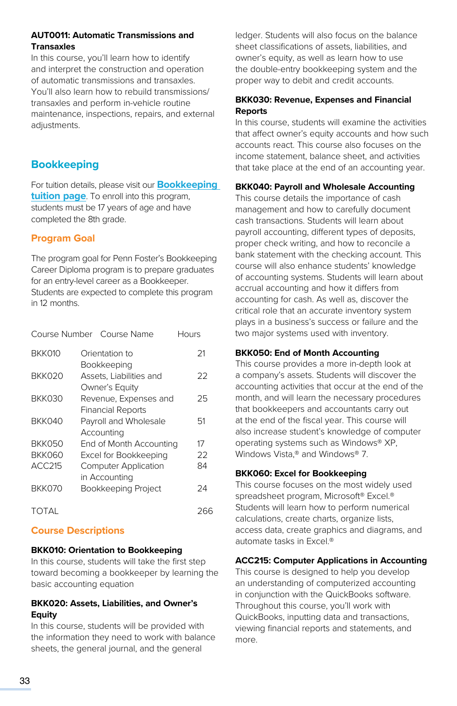### **AUT0011: Automatic Transmissions and Transaxles**

In this course, you'll learn how to identify and interpret the construction and operation of automatic transmissions and transaxles. You'll also learn how to rebuild transmissions/ transaxles and perform in-vehicle routine maintenance, inspections, repairs, and external adiustments.

### **Bookkeeping**

For tuition details, please visit our **[Bookkeeping](https://www.pennfoster.edu/programs/business/bookkeeping-career-diploma/tuition#/)  [tuition page](https://www.pennfoster.edu/programs/business/bookkeeping-career-diploma/tuition#/)**. To enroll into this program, students must be 17 years of age and have completed the 8th grade.

### **Program Goal**

The program goal for Penn Foster's Bookkeeping Career Diploma program is to prepare graduates for an entry-level career as a Bookkeeper. Students are expected to complete this program in 12 months.

| Course Number | Course Name                 | Hours |
|---------------|-----------------------------|-------|
| BKK010        | Orientation to              | 21    |
|               | Bookkeeping                 |       |
| BKK020        | Assets, Liabilities and     | 22    |
|               | Owner's Equity              |       |
| BKK030        | Revenue, Expenses and       | 25    |
|               | <b>Financial Reports</b>    |       |
| BKK040        | Payroll and Wholesale       | 51    |
|               | Accounting                  |       |
| BKK050        | End of Month Accounting     | 17    |
| BKK060        | Excel for Bookkeeping       | 22    |
| ACC215        | <b>Computer Application</b> | 84    |
|               | in Accounting               |       |
| BKK070        | Bookkeeping Project         | 24    |
| TOTAL         |                             | 266   |

### **Course Descriptions**

### **BKK010: Orientation to Bookkeeping**

In this course, students will take the first step toward becoming a bookkeeper by learning the basic accounting equation

### **BKK020: Assets, Liabilities, and Owner's Equity**

In this course, students will be provided with the information they need to work with balance sheets, the general journal, and the general

ledger. Students will also focus on the balance sheet classifications of assets, liabilities, and owner's equity, as well as learn how to use the double-entry bookkeeping system and the proper way to debit and credit accounts.

### **BKK030: Revenue, Expenses and Financial Reports**

In this course, students will examine the activities that affect owner's equity accounts and how such accounts react. This course also focuses on the income statement, balance sheet, and activities that take place at the end of an accounting year.

### **BKK040: Payroll and Wholesale Accounting**

This course details the importance of cash management and how to carefully document cash transactions. Students will learn about payroll accounting, different types of deposits, proper check writing, and how to reconcile a bank statement with the checking account. This course will also enhance students' knowledge of accounting systems. Students will learn about accrual accounting and how it differs from accounting for cash. As well as, discover the critical role that an accurate inventory system plays in a business's success or failure and the two major systems used with inventory.

### **BKK050: End of Month Accounting**

This course provides a more in-depth look at a company's assets. Students will discover the accounting activities that occur at the end of the month, and will learn the necessary procedures that bookkeepers and accountants carry out at the end of the fiscal year. This course will also increase student's knowledge of computer operating systems such as Windows® XP, Windows Vista,® and Windows® 7.

### **BKK060: Excel for Bookkeeping**

This course focuses on the most widely used spreadsheet program, Microsoft® Excel.® Students will learn how to perform numerical calculations, create charts, organize lists, access data, create graphics and diagrams, and automate tasks in Excel.®

### **ACC215: Computer Applications in Accounting**

This course is designed to help you develop an understanding of computerized accounting in conjunction with the QuickBooks software. Throughout this course, you'll work with QuickBooks, inputting data and transactions, viewing financial reports and statements, and more.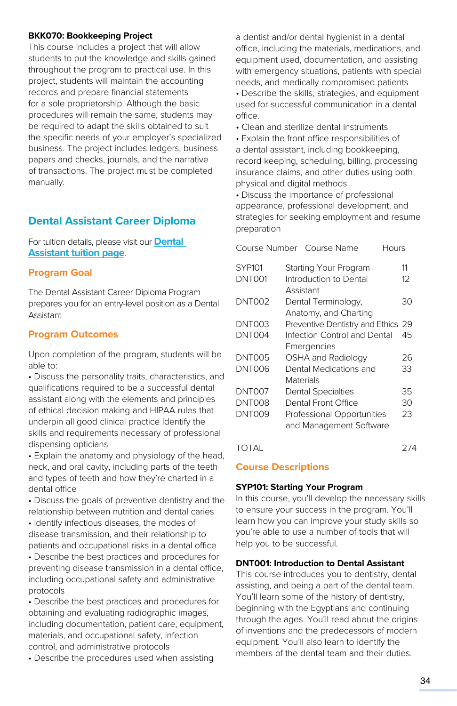### **BKK070: Bookkeeping Project**

This course includes a project that will allow students to put the knowledge and skills gained throughout the program to practical use. In this project, students will maintain the accounting records and prepare financial statements for a sole proprietorship. Although the basic procedures will remain the same, students may be required to adapt the skills obtained to suit the specific needs of your employer's specialized business. The project includes ledgers, business papers and checks, journals, and the narrative of transactions. The project must be completed manually.

### **Dental Assistant Career Diploma**

For tuition details, please visit our **[Dental](https://www.pennfoster.edu/programs/healthcare/dental-assistant-career-diploma/tuition#/)  [Assistant tuition page](https://www.pennfoster.edu/programs/healthcare/dental-assistant-career-diploma/tuition#/)**.

### **Program Goal**

The Dental Assistant Career Diploma Program prepares you for an entry-level position as a Dental Assistant

### **Program Outcomes**

Upon completion of the program, students will be able to:

• Discuss the personality traits, characteristics, and qualifications required to be a successful dental assistant along with the elements and principles of ethical decision making and HIPAA rules that underpin all good clinical practice Identify the skills and requirements necessary of professional dispensing opticians

• Explain the anatomy and physiology of the head, neck, and oral cavity, including parts of the teeth and types of teeth and how they're charted in a dental office

• Discuss the goals of preventive dentistry and the relationship between nutrition and dental caries

• Identify infectious diseases, the modes of disease transmission, and their relationship to patients and occupational risks in a dental office

• Describe the best practices and procedures for preventing disease transmission in a dental office, including occupational safety and administrative protocols

• Describe the best practices and procedures for obtaining and evaluating radiographic images, including documentation, patient care, equipment, materials, and occupational safety, infection control, and administrative protocols

• Describe the procedures used when assisting

a dentist and/or dental hygienist in a dental office, including the materials, medications, and equipment used, documentation, and assisting with emergency situations, patients with special needs, and medically compromised patients

• Describe the skills, strategies, and equipment used for successful communication in a dental office.

• Clean and sterilize dental instruments

• Explain the front office responsibilities of a dental assistant, including bookkeeping, record keeping, scheduling, billing, processing insurance claims, and other duties using both physical and digital methods

• Discuss the importance of professional appearance, professional development, and strategies for seeking employment and resume preparation

| Course Number Course Name<br>Hours |                                                                                           |
|------------------------------------|-------------------------------------------------------------------------------------------|
| Starting Your Program              | 11                                                                                        |
| Introduction to Dental             | $12^{1}$                                                                                  |
|                                    |                                                                                           |
|                                    | 30                                                                                        |
| Anatomy, and Charting              |                                                                                           |
| Preventive Dentistry and Ethics 29 |                                                                                           |
| Infection Control and Dental       | 45                                                                                        |
| Emergencies                        |                                                                                           |
| OSHA and Radiology                 | 26                                                                                        |
| Dental Medications and             | 33                                                                                        |
| Materials                          |                                                                                           |
| <b>Dental Specialties</b>          | 35                                                                                        |
| Dental Front Office                | 30                                                                                        |
|                                    | 23                                                                                        |
|                                    |                                                                                           |
|                                    |                                                                                           |
|                                    | Assistant<br>Dental Terminology,<br>Professional Opportunities<br>and Management Software |

TOTAL 274

### **Course Descriptions**

### **SYP101: Starting Your Program**

In this course, you'll develop the necessary skills to ensure your success in the program. You'll learn how you can improve your study skills so you're able to use a number of tools that will help you to be successful.

### **DNT001: Introduction to Dental Assistant**

This course introduces you to dentistry, dental assisting, and being a part of the dental team. You'll learn some of the history of dentistry, beginning with the Egyptians and continuing through the ages. You'll read about the origins of inventions and the predecessors of modern equipment. You'll also learn to identify the members of the dental team and their duties.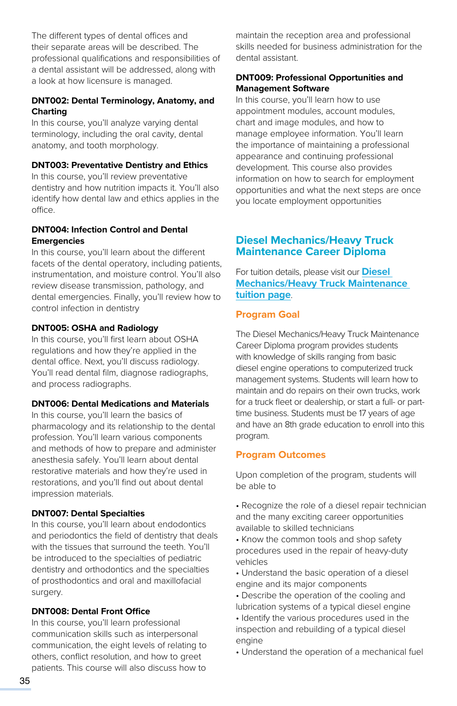The different types of dental offices and their separate areas will be described. The professional qualifications and responsibilities of a dental assistant will be addressed, along with a look at how licensure is managed.

### **DNT002: Dental Terminology, Anatomy, and Charting**

In this course, you'll analyze varying dental terminology, including the oral cavity, dental anatomy, and tooth morphology.

### **DNT003: Preventative Dentistry and Ethics**

In this course, you'll review preventative dentistry and how nutrition impacts it. You'll also identify how dental law and ethics applies in the office.

### **DNT004: Infection Control and Dental Emergencies**

In this course, you'll learn about the different facets of the dental operatory, including patients, instrumentation, and moisture control. You'll also review disease transmission, pathology, and dental emergencies. Finally, you'll review how to control infection in dentistry

### **DNT005: OSHA and Radiology**

In this course, you'll first learn about OSHA regulations and how they're applied in the dental office. Next, you'll discuss radiology. You'll read dental film, diagnose radiographs, and process radiographs.

### **DNT006: Dental Medications and Materials**

In this course, you'll learn the basics of pharmacology and its relationship to the dental profession. You'll learn various components and methods of how to prepare and administer anesthesia safely. You'll learn about dental restorative materials and how they're used in restorations, and you'll find out about dental impression materials.

### **DNT007: Dental Specialties**

In this course, you'll learn about endodontics and periodontics the field of dentistry that deals with the tissues that surround the teeth. You'll be introduced to the specialties of pediatric dentistry and orthodontics and the specialties of prosthodontics and oral and maxillofacial surgery.

### **DNT008: Dental Front Office**

In this course, you'll learn professional communication skills such as interpersonal communication, the eight levels of relating to others, conflict resolution, and how to greet patients. This course will also discuss how to

maintain the reception area and professional skills needed for business administration for the dental assistant.

### **DNT009: Professional Opportunities and Management Software**

In this course, you'll learn how to use appointment modules, account modules, chart and image modules, and how to manage employee information. You'll learn the importance of maintaining a professional appearance and continuing professional development. This course also provides information on how to search for employment opportunities and what the next steps are once you locate employment opportunities

### **Diesel Mechanics/Heavy Truck Maintenance Career Diploma**

For tuition details, please visit our **[Diesel](https://www.pennfoster.edu/programs/automotive/diesel-mechanics-career-diploma/tuition#/)  [Mechanics/Heavy Truck Maintenance](https://www.pennfoster.edu/programs/automotive/diesel-mechanics-career-diploma/tuition#/)  [tuition page](https://www.pennfoster.edu/programs/automotive/diesel-mechanics-career-diploma/tuition#/)**.

### **Program Goal**

The Diesel Mechanics/Heavy Truck Maintenance Career Diploma program provides students with knowledge of skills ranging from basic diesel engine operations to computerized truck management systems. Students will learn how to maintain and do repairs on their own trucks, work for a truck fleet or dealership, or start a full- or parttime business. Students must be 17 years of age and have an 8th grade education to enroll into this program.

### **Program Outcomes**

Upon completion of the program, students will be able to

- Recognize the role of a diesel repair technician and the many exciting career opportunities available to skilled technicians
- Know the common tools and shop safety procedures used in the repair of heavy-duty vehicles
- Understand the basic operation of a diesel engine and its major components
- Describe the operation of the cooling and lubrication systems of a typical diesel engine
- Identify the various procedures used in the inspection and rebuilding of a typical diesel engine
- Understand the operation of a mechanical fuel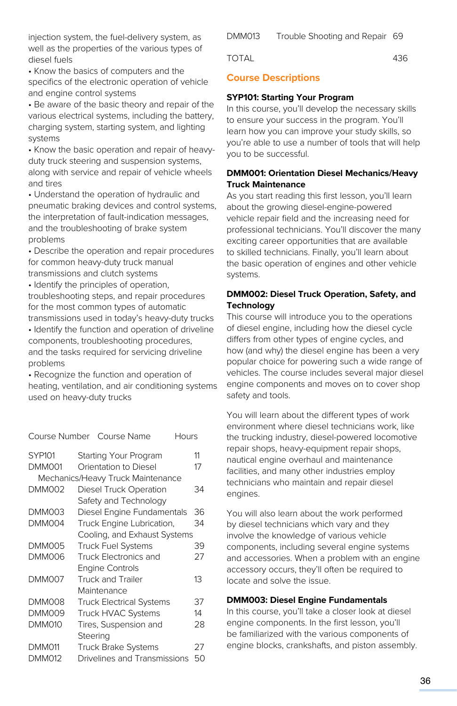injection system, the fuel-delivery system, as well as the properties of the various types of diesel fuels

• Know the basics of computers and the specifics of the electronic operation of vehicle and engine control systems

• Be aware of the basic theory and repair of the various electrical systems, including the battery, charging system, starting system, and lighting systems

• Know the basic operation and repair of heavyduty truck steering and suspension systems, along with service and repair of vehicle wheels and tires

• Understand the operation of hydraulic and pneumatic braking devices and control systems, the interpretation of fault-indication messages, and the troubleshooting of brake system problems

• Describe the operation and repair procedures for common heavy-duty truck manual transmissions and clutch systems

• Identify the principles of operation, troubleshooting steps, and repair procedures

for the most common types of automatic transmissions used in today's heavy-duty trucks

• Identify the function and operation of driveline components, troubleshooting procedures, and the tasks required for servicing driveline problems

• Recognize the function and operation of heating, ventilation, and air conditioning systems used on heavy-duty trucks

| Course Number |          | Course Name                       | Hours |    |
|---------------|----------|-----------------------------------|-------|----|
| <b>SYP101</b> |          | Starting Your Program             |       | 11 |
| <b>DMM001</b> |          | Orientation to Diesel             |       | 17 |
|               |          | Mechanics/Heavy Truck Maintenance |       |    |
| <b>DMM002</b> |          | Diesel Truck Operation            |       | 34 |
|               |          | Safety and Technology             |       |    |
| <b>DMM003</b> |          | Diesel Engine Fundamentals        |       | 36 |
| <b>DMM004</b> |          | Truck Engine Lubrication,         |       | 34 |
|               |          | Cooling, and Exhaust Systems      |       |    |
| <b>DMM005</b> |          | <b>Truck Fuel Systems</b>         |       | 39 |
| DMM006        |          | Truck Electronics and             |       | 27 |
|               |          | <b>Engine Controls</b>            |       |    |
| DMM007        |          | <b>Truck and Trailer</b>          |       | 13 |
|               |          | Maintenance                       |       |    |
| DMM008        |          | <b>Truck Electrical Systems</b>   |       | 37 |
| DMM009        |          | <b>Truck HVAC Systems</b>         |       | 14 |
| DMM010        |          | Tires, Suspension and             |       | 28 |
|               | Steering |                                   |       |    |
| DMM011        |          | <b>Truck Brake Systems</b>        |       | 27 |
| <b>DMM012</b> |          | Drivelines and Transmissions      |       | 50 |

DMM013 Trouble Shooting and Repair 69

TOTAL 436

# **Course Descriptions**

#### **SYP101: Starting Your Program**

In this course, you'll develop the necessary skills to ensure your success in the program. You'll learn how you can improve your study skills, so you're able to use a number of tools that will help you to be successful.

#### **DMM001: Orientation Diesel Mechanics/Heavy Truck Maintenance**

As you start reading this first lesson, you'll learn about the growing diesel-engine-powered vehicle repair field and the increasing need for professional technicians. You'll discover the many exciting career opportunities that are available to skilled technicians. Finally, you'll learn about the basic operation of engines and other vehicle systems.

## **DMM002: Diesel Truck Operation, Safety, and Technology**

This course will introduce you to the operations of diesel engine, including how the diesel cycle differs from other types of engine cycles, and how (and why) the diesel engine has been a very popular choice for powering such a wide range of vehicles. The course includes several major diesel engine components and moves on to cover shop safety and tools.

You will learn about the different types of work environment where diesel technicians work, like the trucking industry, diesel-powered locomotive repair shops, heavy-equipment repair shops, nautical engine overhaul and maintenance facilities, and many other industries employ technicians who maintain and repair diesel engines.

You will also learn about the work performed by diesel technicians which vary and they involve the knowledge of various vehicle components, including several engine systems and accessories. When a problem with an engine accessory occurs, they'll often be required to locate and solve the issue.

## **DMM003: Diesel Engine Fundamentals**

In this course, you'll take a closer look at diesel engine components. In the first lesson, you'll be familiarized with the various components of engine blocks, crankshafts, and piston assembly.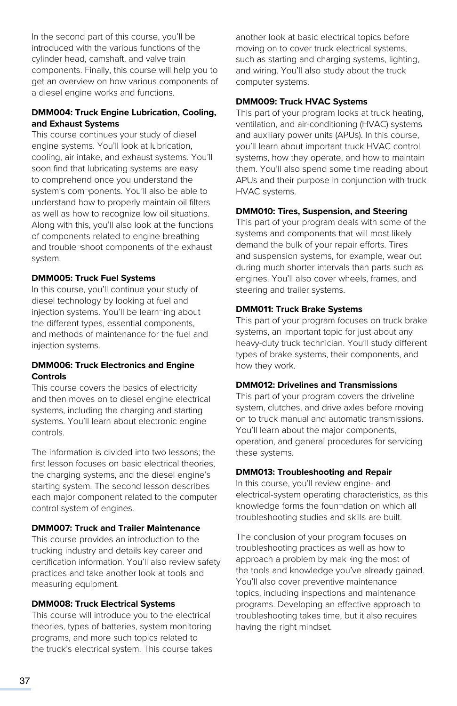In the second part of this course, you'll be introduced with the various functions of the cylinder head, camshaft, and valve train components. Finally, this course will help you to get an overview on how various components of a diesel engine works and functions.

# **DMM004: Truck Engine Lubrication, Cooling, and Exhaust Systems**

This course continues your study of diesel engine systems. You'll look at lubrication, cooling, air intake, and exhaust systems. You'll soon find that lubricating systems are easy to comprehend once you understand the system's com¬ponents. You'll also be able to understand how to properly maintain oil filters as well as how to recognize low oil situations. Along with this, you'll also look at the functions of components related to engine breathing and trouble¬shoot components of the exhaust system.

#### **DMM005: Truck Fuel Systems**

In this course, you'll continue your study of diesel technology by looking at fuel and injection systems. You'll be learn¬ing about the different types, essential components, and methods of maintenance for the fuel and injection systems.

## **DMM006: Truck Electronics and Engine Controls**

This course covers the basics of electricity and then moves on to diesel engine electrical systems, including the charging and starting systems. You'll learn about electronic engine controls.

The information is divided into two lessons; the first lesson focuses on basic electrical theories. the charging systems, and the diesel engine's starting system. The second lesson describes each major component related to the computer control system of engines.

## **DMM007: Truck and Trailer Maintenance**

This course provides an introduction to the trucking industry and details key career and certification information. You'll also review safety practices and take another look at tools and measuring equipment.

# **DMM008: Truck Electrical Systems**

This course will introduce you to the electrical theories, types of batteries, system monitoring programs, and more such topics related to the truck's electrical system. This course takes another look at basic electrical topics before moving on to cover truck electrical systems, such as starting and charging systems, lighting, and wiring. You'll also study about the truck computer systems.

#### **DMM009: Truck HVAC Systems**

This part of your program looks at truck heating, ventilation, and air-conditioning (HVAC) systems and auxiliary power units (APUs). In this course, you'll learn about important truck HVAC control systems, how they operate, and how to maintain them. You'll also spend some time reading about APUs and their purpose in conjunction with truck HVAC systems.

#### **DMM010: Tires, Suspension, and Steering**

This part of your program deals with some of the systems and components that will most likely demand the bulk of your repair efforts. Tires and suspension systems, for example, wear out during much shorter intervals than parts such as engines. You'll also cover wheels, frames, and steering and trailer systems.

# **DMM011: Truck Brake Systems**

This part of your program focuses on truck brake systems, an important topic for just about any heavy-duty truck technician. You'll study different types of brake systems, their components, and how they work.

## **DMM012: Drivelines and Transmissions**

This part of your program covers the driveline system, clutches, and drive axles before moving on to truck manual and automatic transmissions. You'll learn about the major components, operation, and general procedures for servicing these systems.

#### **DMM013: Troubleshooting and Repair**

In this course, you'll review engine- and electrical-system operating characteristics, as this knowledge forms the foun¬dation on which all troubleshooting studies and skills are built.

The conclusion of your program focuses on troubleshooting practices as well as how to approach a problem by mak¬ing the most of the tools and knowledge you've already gained. You'll also cover preventive maintenance topics, including inspections and maintenance programs. Developing an effective approach to troubleshooting takes time, but it also requires having the right mindset.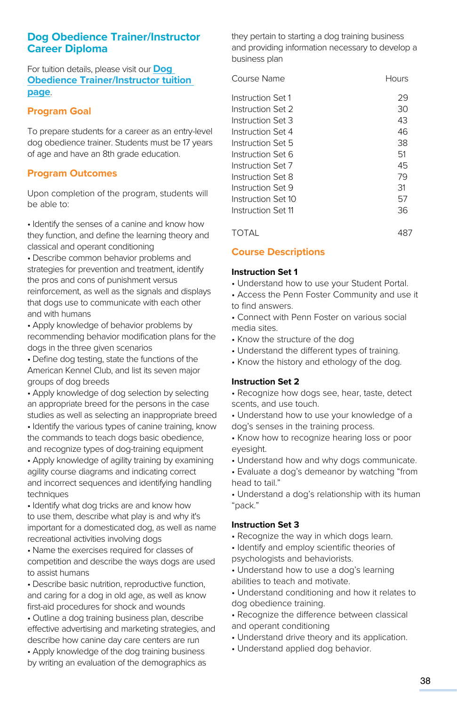# **Dog Obedience Trainer/Instructor Career Diploma**

For tuition details, please visit our **[Dog](https://www.pennfoster.edu/programs/veterinary/dog-obedience-trainer-career-diploma/tuition#/)  [Obedience Trainer/Instructor tuition](https://www.pennfoster.edu/programs/veterinary/dog-obedience-trainer-career-diploma/tuition#/)  [page](https://www.pennfoster.edu/programs/veterinary/dog-obedience-trainer-career-diploma/tuition#/)**.

# **Program Goal**

To prepare students for a career as an entry-level dog obedience trainer. Students must be 17 years of age and have an 8th grade education.

# **Program Outcomes**

Upon completion of the program, students will be able to:

• Identify the senses of a canine and know how they function, and define the learning theory and classical and operant conditioning

• Describe common behavior problems and strategies for prevention and treatment, identify the pros and cons of punishment versus reinforcement, as well as the signals and displays that dogs use to communicate with each other and with humans

• Apply knowledge of behavior problems by recommending behavior modification plans for the dogs in the three given scenarios

• Define dog testing, state the functions of the American Kennel Club, and list its seven major groups of dog breeds

• Apply knowledge of dog selection by selecting an appropriate breed for the persons in the case studies as well as selecting an inappropriate breed

• Identify the various types of canine training, know the commands to teach dogs basic obedience, and recognize types of dog-training equipment

• Apply knowledge of agility training by examining agility course diagrams and indicating correct and incorrect sequences and identifying handling techniques

• Identify what dog tricks are and know how to use them, describe what play is and why it's important for a domesticated dog, as well as name recreational activities involving dogs

• Name the exercises required for classes of competition and describe the ways dogs are used to assist humans

• Describe basic nutrition, reproductive function, and caring for a dog in old age, as well as know first-aid procedures for shock and wounds

• Outline a dog training business plan, describe effective advertising and marketing strategies, and describe how canine day care centers are run

• Apply knowledge of the dog training business by writing an evaluation of the demographics as they pertain to starting a dog training business and providing information necessary to develop a business plan

| Course Name        | Hours |
|--------------------|-------|
| Instruction Set 1  | 29    |
| Instruction Set 2  | 30    |
| Instruction Set 3  | 43    |
| Instruction Set 4  | 46    |
| Instruction Set 5  | 38    |
| Instruction Set 6  | 51    |
| Instruction Set 7  | 45    |
| Instruction Set 8  | 79    |
| Instruction Set 9  | 31    |
| Instruction Set 10 | 57    |
| Instruction Set 11 | 36    |
|                    |       |

TOTAL 487

# **Course Descriptions**

# **Instruction Set 1**

• Understand how to use your Student Portal.

• Access the Penn Foster Community and use it to find answers.

• Connect with Penn Foster on various social media sites.

- Know the structure of the dog
- Understand the different types of training.
- Know the history and ethology of the dog.

## **Instruction Set 2**

• Recognize how dogs see, hear, taste, detect scents, and use touch.

• Understand how to use your knowledge of a dog's senses in the training process.

• Know how to recognize hearing loss or poor eyesight.

• Understand how and why dogs communicate.

• Evaluate a dog's demeanor by watching "from head to tail."

• Understand a dog's relationship with its human "pack."

## **Instruction Set 3**

• Recognize the way in which dogs learn.

• Identify and employ scientific theories of psychologists and behaviorists.

• Understand how to use a dog's learning abilities to teach and motivate.

• Understand conditioning and how it relates to dog obedience training.

- Recognize the difference between classical and operant conditioning
- Understand drive theory and its application.
- Understand applied dog behavior.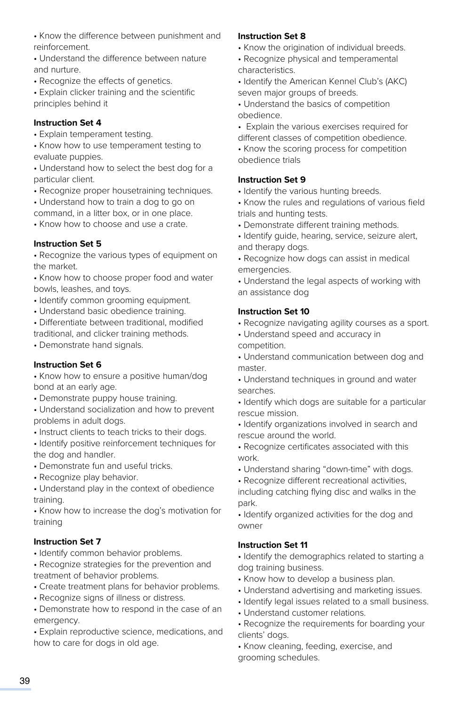• Know the difference between punishment and reinforcement.

• Understand the difference between nature and nurture.

• Recognize the effects of genetics.

• Explain clicker training and the scientific principles behind it

#### **Instruction Set 4**

• Explain temperament testing.

• Know how to use temperament testing to evaluate puppies.

• Understand how to select the best dog for a particular client.

- Recognize proper housetraining techniques.
- Understand how to train a dog to go on

command, in a litter box, or in one place. • Know how to choose and use a crate.

## **Instruction Set 5**

• Recognize the various types of equipment on the market.

• Know how to choose proper food and water bowls, leashes, and toys.

- Identify common grooming equipment.
- Understand basic obedience training.

• Differentiate between traditional, modified

traditional, and clicker training methods.

• Demonstrate hand signals.

## **Instruction Set 6**

• Know how to ensure a positive human/dog bond at an early age.

• Demonstrate puppy house training.

• Understand socialization and how to prevent problems in adult dogs.

• Instruct clients to teach tricks to their dogs.

• Identify positive reinforcement techniques for the dog and handler.

- Demonstrate fun and useful tricks.
- Recognize play behavior.

• Understand play in the context of obedience training.

• Know how to increase the dog's motivation for training

## **Instruction Set 7**

• Identify common behavior problems.

• Recognize strategies for the prevention and treatment of behavior problems.

- Create treatment plans for behavior problems.
- Recognize signs of illness or distress.

• Demonstrate how to respond in the case of an emergency.

• Explain reproductive science, medications, and how to care for dogs in old age.

## **Instruction Set 8**

- Know the origination of individual breeds.
- Recognize physical and temperamental characteristics.
- Identify the American Kennel Club's (AKC) seven major groups of breeds.
- Understand the basics of competition obedience.
- Explain the various exercises required for different classes of competition obedience.

• Know the scoring process for competition obedience trials

#### **Instruction Set 9**

- Identify the various hunting breeds.
- Know the rules and regulations of various field trials and hunting tests.
- Demonstrate different training methods.
- Identify guide, hearing, service, seizure alert, and therapy dogs.
- Recognize how dogs can assist in medical emergencies.

• Understand the legal aspects of working with an assistance dog

## **Instruction Set 10**

- Recognize navigating agility courses as a sport.
- Understand speed and accuracy in competition.
- Understand communication between dog and master.
- Understand techniques in ground and water searches.
- Identify which dogs are suitable for a particular rescue mission.
- Identify organizations involved in search and rescue around the world.
- Recognize certificates associated with this work.
- Understand sharing "down-time" with dogs.
- Recognize different recreational activities,

including catching flying disc and walks in the park.

• Identify organized activities for the dog and owner

## **Instruction Set 11**

• Identify the demographics related to starting a dog training business.

- Know how to develop a business plan.
- Understand advertising and marketing issues.
- Identify legal issues related to a small business.
- Understand customer relations.
- Recognize the requirements for boarding your clients' dogs.
- Know cleaning, feeding, exercise, and grooming schedules.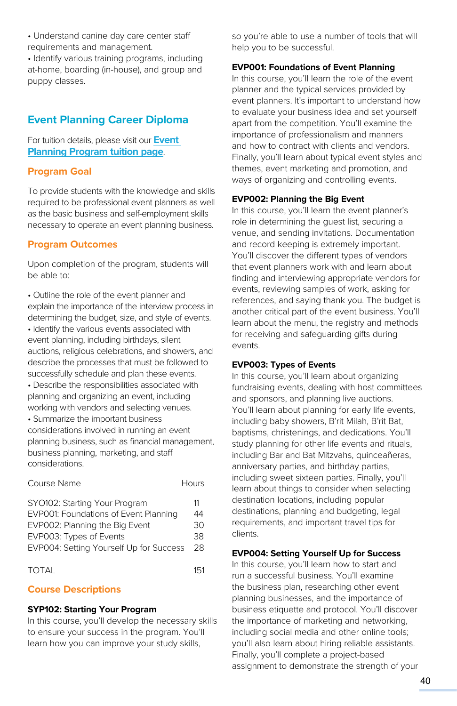• Understand canine day care center staff requirements and management.

• Identify various training programs, including at-home, boarding (in-house), and group and puppy classes.

# **Event Planning Career Diploma**

For tuition details, please visit our **Event Planning Progra[m tuition page](https://www.pennfoster.edu/programs/creative/event-planning-career-diploma/tuition#/)**.

# **Program Goal**

To provide students with the knowledge and skills required to be professional event planners as well as the basic business and self-employment skills necessary to operate an event planning business.

# **Program Outcomes**

Upon completion of the program, students will be able to:

• Outline the role of the event planner and explain the importance of the interview process in determining the budget, size, and style of events.

• Identify the various events associated with event planning, including birthdays, silent auctions, religious celebrations, and showers, and describe the processes that must be followed to successfully schedule and plan these events.

• Describe the responsibilities associated with planning and organizing an event, including working with vendors and selecting venues.

• Summarize the important business considerations involved in running an event planning business, such as financial management, business planning, marketing, and staff considerations.

| Course Name                                                                                                                                                                    | Hours                      |
|--------------------------------------------------------------------------------------------------------------------------------------------------------------------------------|----------------------------|
| SYO102: Starting Your Program<br>EVP001: Foundations of Event Planning<br>EVP002: Planning the Big Event<br>EVP003: Types of Events<br>EVP004: Setting Yourself Up for Success | 11<br>44<br>30<br>38<br>28 |
| TOTAL                                                                                                                                                                          | 151                        |

# **Course Descriptions**

## **SYP102: Starting Your Program**

In this course, you'll develop the necessary skills to ensure your success in the program. You'll learn how you can improve your study skills,

so you're able to use a number of tools that will help you to be successful.

# **EVP001: Foundations of Event Planning**

In this course, you'll learn the role of the event planner and the typical services provided by event planners. It's important to understand how to evaluate your business idea and set yourself apart from the competition. You'll examine the importance of professionalism and manners and how to contract with clients and vendors. Finally, you'll learn about typical event styles and themes, event marketing and promotion, and ways of organizing and controlling events.

# **EVP002: Planning the Big Event**

In this course, you'll learn the event planner's role in determining the guest list, securing a venue, and sending invitations. Documentation and record keeping is extremely important. You'll discover the different types of vendors that event planners work with and learn about finding and interviewing appropriate vendors for events, reviewing samples of work, asking for references, and saying thank you. The budget is another critical part of the event business. You'll learn about the menu, the registry and methods for receiving and safeguarding gifts during events.

## **EVP003: Types of Events**

In this course, you'll learn about organizing fundraising events, dealing with host committees and sponsors, and planning live auctions. You'll learn about planning for early life events, including baby showers, B'rit Milah, B'rit Bat, baptisms, christenings, and dedications. You'll study planning for other life events and rituals, including Bar and Bat Mitzvahs, quinceañeras, anniversary parties, and birthday parties, including sweet sixteen parties. Finally, you'll learn about things to consider when selecting destination locations, including popular destinations, planning and budgeting, legal requirements, and important travel tips for clients.

## **EVP004: Setting Yourself Up for Success**

In this course, you'll learn how to start and run a successful business. You'll examine the business plan, researching other event planning businesses, and the importance of business etiquette and protocol. You'll discover the importance of marketing and networking, including social media and other online tools; you'll also learn about hiring reliable assistants. Finally, you'll complete a project-based assignment to demonstrate the strength of your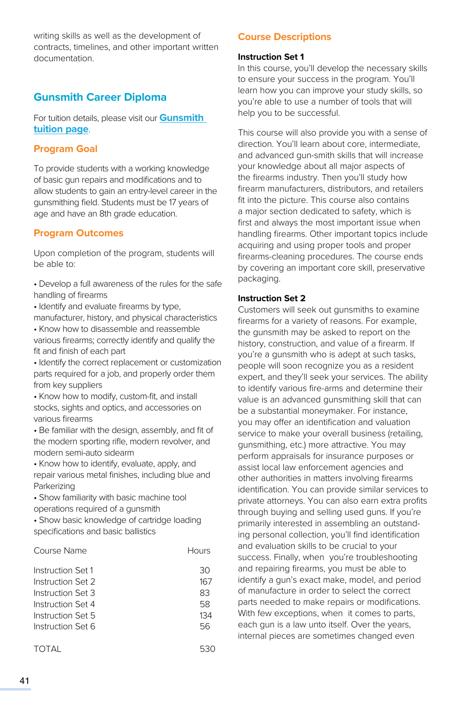writing skills as well as the development of contracts, timelines, and other important written documentation.

# **Gunsmith Career Diploma**

For tuition details, please visit our **[Gunsmith](https://www.pennfoster.edu/programs/trades/gunsmith-career-diploma/tuition#/)  [tuition page](https://www.pennfoster.edu/programs/trades/gunsmith-career-diploma/tuition#/)**.

# **Program Goal**

To provide students with a working knowledge of basic gun repairs and modifications and to allow students to gain an entry-level career in the gunsmithing field. Students must be 17 years of age and have an 8th grade education.

# **Program Outcomes**

Upon completion of the program, students will be able to:

• Develop a full awareness of the rules for the safe handling of firearms

• Identify and evaluate firearms by type, manufacturer, history, and physical characteristics

• Know how to disassemble and reassemble various firearms; correctly identify and qualify the fit and finish of each part

• Identify the correct replacement or customization parts required for a job, and properly order them from key suppliers

• Know how to modify, custom-fit, and install stocks, sights and optics, and accessories on various firearms

• Be familiar with the design, assembly, and fit of the modern sporting rifle, modern revolver, and modern semi-auto sidearm

• Know how to identify, evaluate, apply, and repair various metal finishes, including blue and Parkerizing

• Show familiarity with basic machine tool

operations required of a gunsmith

• Show basic knowledge of cartridge loading specifications and basic ballistics

| Course Name                                                                                                                | Hours                              |
|----------------------------------------------------------------------------------------------------------------------------|------------------------------------|
| Instruction Set 1<br>Instruction Set 2<br>Instruction Set 3<br>Instruction Set 4<br>Instruction Set 5<br>Instruction Set 6 | 30<br>167<br>83<br>58<br>134<br>56 |
|                                                                                                                            |                                    |

```
TOTAL 530
```
# **Course Descriptions**

#### **Instruction Set 1**

In this course, you'll develop the necessary skills to ensure your success in the program. You'll learn how you can improve your study skills, so you're able to use a number of tools that will help you to be successful.

This course will also provide you with a sense of direction. You'll learn about core, intermediate, and advanced gun-smith skills that will increase your knowledge about all major aspects of the firearms industry. Then you'll study how firearm manufacturers, distributors, and retailers fit into the picture. This course also contains a major section dedicated to safety, which is first and always the most important issue when handling firearms. Other important topics include acquiring and using proper tools and proper firearms-cleaning procedures. The course ends by covering an important core skill, preservative packaging.

#### **Instruction Set 2**

Customers will seek out gunsmiths to examine firearms for a variety of reasons. For example, the gunsmith may be asked to report on the history, construction, and value of a firearm. If you're a gunsmith who is adept at such tasks, people will soon recognize you as a resident expert, and they'll seek your services. The ability to identify various fire-arms and determine their value is an advanced gunsmithing skill that can be a substantial moneymaker. For instance, you may offer an identification and valuation service to make your overall business (retailing, gunsmithing, etc.) more attractive. You may perform appraisals for insurance purposes or assist local law enforcement agencies and other authorities in matters involving firearms identification. You can provide similar services to private attorneys. You can also earn extra profits through buying and selling used guns. If you're primarily interested in assembling an outstanding personal collection, you'll find identification and evaluation skills to be crucial to your success. Finally, when you're troubleshooting and repairing firearms, you must be able to identify a gun's exact make, model, and period of manufacture in order to select the correct parts needed to make repairs or modifications. With few exceptions, when it comes to parts, each gun is a law unto itself. Over the years, internal pieces are sometimes changed even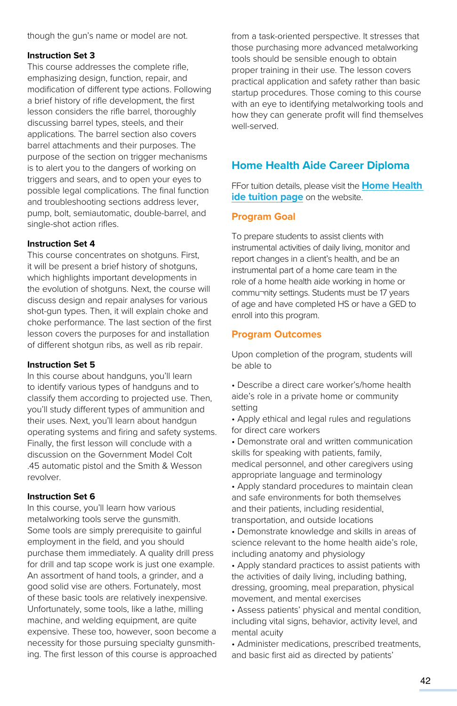though the gun's name or model are not.

#### **Instruction Set 3**

This course addresses the complete rifle, emphasizing design, function, repair, and modification of different type actions. Following a brief history of rifle development, the first lesson considers the rifle barrel, thoroughly discussing barrel types, steels, and their applications. The barrel section also covers barrel attachments and their purposes. The purpose of the section on trigger mechanisms is to alert you to the dangers of working on triggers and sears, and to open your eyes to possible legal complications. The final function and troubleshooting sections address lever, pump, bolt, semiautomatic, double-barrel, and single-shot action rifles.

#### **Instruction Set 4**

This course concentrates on shotguns. First, it will be present a brief history of shotguns, which highlights important developments in the evolution of shotguns. Next, the course will discuss design and repair analyses for various shot-gun types. Then, it will explain choke and choke performance. The last section of the first lesson covers the purposes for and installation of different shotgun ribs, as well as rib repair.

#### **Instruction Set 5**

In this course about handguns, you'll learn to identify various types of handguns and to classify them according to projected use. Then, you'll study different types of ammunition and their uses. Next, you'll learn about handgun operating systems and firing and safety systems. Finally, the first lesson will conclude with a discussion on the Government Model Colt .45 automatic pistol and the Smith & Wesson revolver.

## **Instruction Set 6**

In this course, you'll learn how various metalworking tools serve the gunsmith. Some tools are simply prerequisite to gainful employment in the field, and you should purchase them immediately. A quality drill press for drill and tap scope work is just one example. An assortment of hand tools, a grinder, and a good solid vise are others. Fortunately, most of these basic tools are relatively inexpensive. Unfortunately, some tools, like a lathe, milling machine, and welding equipment, are quite expensive. These too, however, soon become a necessity for those pursuing specialty gunsmithing. The first lesson of this course is approached from a task-oriented perspective. It stresses that those purchasing more advanced metalworking tools should be sensible enough to obtain proper training in their use. The lesson covers practical application and safety rather than basic startup procedures. Those coming to this course with an eye to identifying metalworking tools and how they can generate profit will find themselves well-served.

# **Home Health Aide Career Diploma**

FFor tuition details, please visit the **[Home Health](https://www.pennfoster.edu/programs/healthcare/home-health-aide-career-diploma/tuition#/)  [ide tuition page](https://www.pennfoster.edu/programs/healthcare/home-health-aide-career-diploma/tuition#/)** on the website.

# **Program Goal**

To prepare students to assist clients with instrumental activities of daily living, monitor and report changes in a client's health, and be an instrumental part of a home care team in the role of a home health aide working in home or commu¬nity settings. Students must be 17 years of age and have completed HS or have a GED to enroll into this program.

# **Program Outcomes**

Upon completion of the program, students will be able to

• Describe a direct care worker's/home health aide's role in a private home or community setting

• Apply ethical and legal rules and regulations for direct care workers

- Demonstrate oral and written communication skills for speaking with patients, family, medical personnel, and other caregivers using appropriate language and terminology
- Apply standard procedures to maintain clean and safe environments for both themselves and their patients, including residential, transportation, and outside locations

• Demonstrate knowledge and skills in areas of science relevant to the home health aide's role, including anatomy and physiology

• Apply standard practices to assist patients with the activities of daily living, including bathing, dressing, grooming, meal preparation, physical movement, and mental exercises

• Assess patients' physical and mental condition, including vital signs, behavior, activity level, and mental acuity

• Administer medications, prescribed treatments, and basic first aid as directed by patients'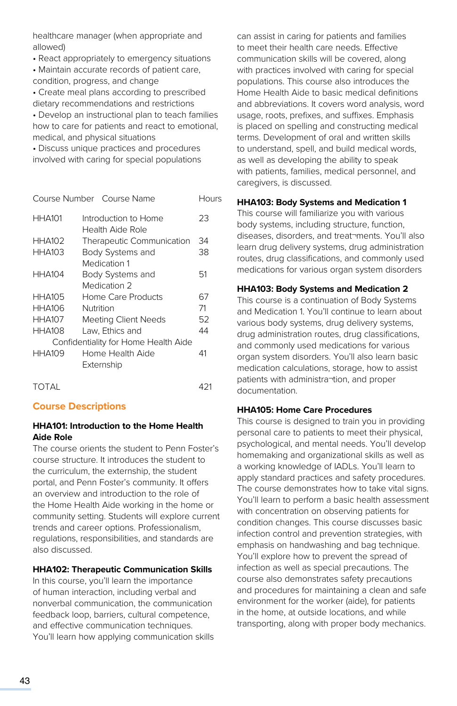healthcare manager (when appropriate and allowed)

• React appropriately to emergency situations

• Maintain accurate records of patient care, condition, progress, and change

• Create meal plans according to prescribed dietary recommendations and restrictions • Develop an instructional plan to teach families how to care for patients and react to emotional,

medical, and physical situations • Discuss unique practices and procedures involved with caring for special populations

|               | Course Number Course Name                | Hours |
|---------------|------------------------------------------|-------|
| <b>HHA101</b> | Introduction to Home<br>Health Aide Role | 23    |
| <b>HHA102</b> | Therapeutic Communication                | 34    |
| <b>HHA103</b> | Body Systems and                         | 38    |
|               | Medication 1                             |       |
| <b>HHA104</b> | Body Systems and                         | 51    |
|               | Medication 2                             |       |
| <b>HHA105</b> | Home Care Products                       | 67    |
| HHA106        | Nutrition                                | 71    |
| <b>HHA107</b> | <b>Meeting Client Needs</b>              | 52    |
| <b>HHA108</b> | Law. Ethics and                          | 44    |
|               | Confidentiality for Home Health Aide     |       |
| <b>HHA109</b> | Home Health Aide                         | 41    |
|               | Externship                               |       |
|               |                                          |       |

# TOTAL 421

# **Course Descriptions**

## **HHA101: Introduction to the Home Health Aide Role**

The course orients the student to Penn Foster's course structure. It introduces the student to the curriculum, the externship, the student portal, and Penn Foster's community. It offers an overview and introduction to the role of the Home Health Aide working in the home or community setting. Students will explore current trends and career options. Professionalism, regulations, responsibilities, and standards are also discussed.

## **HHA102: Therapeutic Communication Skills**

In this course, you'll learn the importance of human interaction, including verbal and nonverbal communication, the communication feedback loop, barriers, cultural competence, and effective communication techniques. You'll learn how applying communication skills

can assist in caring for patients and families to meet their health care needs. Effective communication skills will be covered, along with practices involved with caring for special populations. This course also introduces the Home Health Aide to basic medical definitions and abbreviations. It covers word analysis, word usage, roots, prefixes, and suffixes. Emphasis is placed on spelling and constructing medical terms. Development of oral and written skills to understand, spell, and build medical words, as well as developing the ability to speak with patients, families, medical personnel, and caregivers, is discussed.

## **HHA103: Body Systems and Medication 1**

This course will familiarize you with various body systems, including structure, function, diseases, disorders, and treat¬ments. You'll also learn drug delivery systems, drug administration routes, drug classifications, and commonly used medications for various organ system disorders

## **HHA103: Body Systems and Medication 2**

This course is a continuation of Body Systems and Medication 1. You'll continue to learn about various body systems, drug delivery systems, drug administration routes, drug classifications, and commonly used medications for various organ system disorders. You'll also learn basic medication calculations, storage, how to assist patients with administra¬tion, and proper documentation.

## **HHA105: Home Care Procedures**

This course is designed to train you in providing personal care to patients to meet their physical, psychological, and mental needs. You'll develop homemaking and organizational skills as well as a working knowledge of IADLs. You'll learn to apply standard practices and safety procedures. The course demonstrates how to take vital signs. You'll learn to perform a basic health assessment with concentration on observing patients for condition changes. This course discusses basic infection control and prevention strategies, with emphasis on handwashing and bag technique. You'll explore how to prevent the spread of infection as well as special precautions. The course also demonstrates safety precautions and procedures for maintaining a clean and safe environment for the worker (aide), for patients in the home, at outside locations, and while transporting, along with proper body mechanics.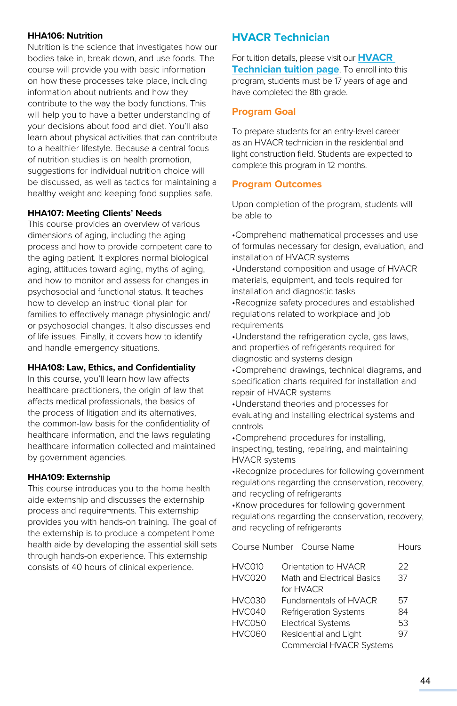#### **HHA106: Nutrition**

Nutrition is the science that investigates how our bodies take in, break down, and use foods. The course will provide you with basic information on how these processes take place, including information about nutrients and how they contribute to the way the body functions. This will help you to have a better understanding of your decisions about food and diet. You'll also learn about physical activities that can contribute to a healthier lifestyle. Because a central focus of nutrition studies is on health promotion, suggestions for individual nutrition choice will be discussed, as well as tactics for maintaining a healthy weight and keeping food supplies safe.

#### **HHA107: Meeting Clients' Needs**

This course provides an overview of various dimensions of aging, including the aging process and how to provide competent care to the aging patient. It explores normal biological aging, attitudes toward aging, myths of aging, and how to monitor and assess for changes in psychosocial and functional status. It teaches how to develop an instruc¬tional plan for families to effectively manage physiologic and/ or psychosocial changes. It also discusses end of life issues. Finally, it covers how to identify and handle emergency situations.

#### **HHA108: Law, Ethics, and Confidentiality**

In this course, you'll learn how law affects healthcare practitioners, the origin of law that affects medical professionals, the basics of the process of litigation and its alternatives, the common-law basis for the confidentiality of healthcare information, and the laws regulating healthcare information collected and maintained by government agencies.

#### **HHA109: Externship**

This course introduces you to the home health aide externship and discusses the externship process and require¬ments. This externship provides you with hands-on training. The goal of the externship is to produce a competent home health aide by developing the essential skill sets through hands-on experience. This externship consists of 40 hours of clinical experience.

# **HVACR Technician**

For tuition details, please visit our **[HVACR](https://www.pennfoster.edu/programs/trades/hvac-technician-career-diploma/tuition#/)  [Technician tuition page](https://www.pennfoster.edu/programs/trades/hvac-technician-career-diploma/tuition#/)**. To enroll into this program, students must be 17 years of age and have completed the 8th grade.

## **Program Goal**

To prepare students for an entry-level career as an HVACR technician in the residential and light construction field. Students are expected to complete this program in 12 months.

## **Program Outcomes**

Upon completion of the program, students will be able to

•Comprehend mathematical processes and use of formulas necessary for design, evaluation, and installation of HVACR systems •Understand composition and usage of HVACR materials, equipment, and tools required for installation and diagnostic tasks •Recognize safety procedures and established regulations related to workplace and job requirements •Understand the refrigeration cycle, gas laws, and properties of refrigerants required for diagnostic and systems design •Comprehend drawings, technical diagrams, and specification charts required for installation and repair of HVACR systems •Understand theories and processes for evaluating and installing electrical systems and controls •Comprehend procedures for installing,

inspecting, testing, repairing, and maintaining HVACR systems

•Recognize procedures for following government regulations regarding the conservation, recovery, and recycling of refrigerants

•Know procedures for following government regulations regarding the conservation, recovery, and recycling of refrigerants

|                                | Course Number Course Name                                       | <b>Hours</b> |
|--------------------------------|-----------------------------------------------------------------|--------------|
| <b>HVC010</b><br><b>HVC020</b> | Orientation to HVACR<br>Math and Electrical Basics<br>for HVACR | 22<br>37     |
| <b>HVC030</b>                  | Fundamentals of HVACR                                           | 57           |
| HVC040                         | <b>Refrigeration Systems</b>                                    | 84           |
| <b>HVC050</b>                  | <b>Electrical Systems</b>                                       | 53           |
| HVC060                         | Residential and Light                                           | 97           |
|                                | <b>Commercial HVACR Systems</b>                                 |              |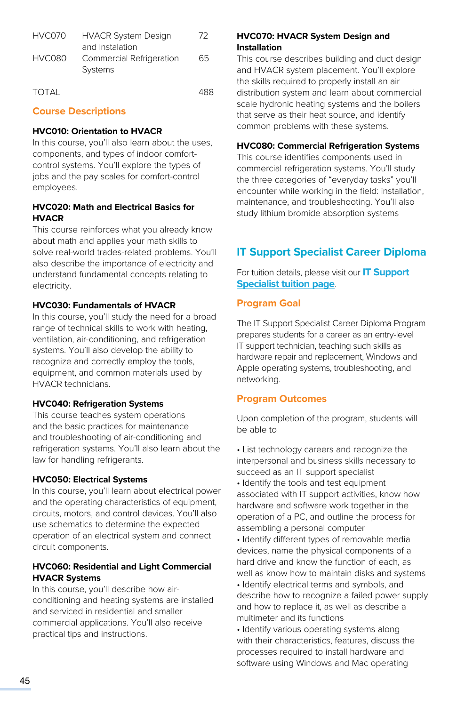| HVC070 | <b>HVACR System Design</b>          | 72 |
|--------|-------------------------------------|----|
|        | and Instalation                     |    |
| HVC080 | Commercial Refrigeration<br>Systems | 65 |
|        |                                     |    |

TOTAL 488

# **Course Descriptions**

## **HVC010: Orientation to HVACR**

In this course, you'll also learn about the uses, components, and types of indoor comfortcontrol systems. You'll explore the types of jobs and the pay scales for comfort-control employees.

# **HVC020: Math and Electrical Basics for HVACR**

This course reinforces what you already know about math and applies your math skills to solve real-world trades-related problems. You'll also describe the importance of electricity and understand fundamental concepts relating to electricity.

# **HVC030: Fundamentals of HVACR**

In this course, you'll study the need for a broad range of technical skills to work with heating, ventilation, air-conditioning, and refrigeration systems. You'll also develop the ability to recognize and correctly employ the tools, equipment, and common materials used by HVACR technicians.

## **HVC040: Refrigeration Systems**

This course teaches system operations and the basic practices for maintenance and troubleshooting of air-conditioning and refrigeration systems. You'll also learn about the law for handling refrigerants.

## **HVC050: Electrical Systems**

In this course, you'll learn about electrical power and the operating characteristics of equipment, circuits, motors, and control devices. You'll also use schematics to determine the expected operation of an electrical system and connect circuit components.

# **HVC060: Residential and Light Commercial HVACR Systems**

In this course, you'll describe how airconditioning and heating systems are installed and serviced in residential and smaller commercial applications. You'll also receive practical tips and instructions.

# **HVC070: HVACR System Design and Installation**

This course describes building and duct design and HVACR system placement. You'll explore the skills required to properly install an air distribution system and learn about commercial scale hydronic heating systems and the boilers that serve as their heat source, and identify common problems with these systems.

# **HVC080: Commercial Refrigeration Systems**

This course identifies components used in commercial refrigeration systems. You'll study the three categories of "everyday tasks" you'll encounter while working in the field: installation, maintenance, and troubleshooting. You'll also study lithium bromide absorption systems

# **IT Support Specialist Career Diploma**

For tuition details, please visit our **IT Support Specialis[t tuition page](https://www.pennfoster.edu/programs/computers/it-support-specialist-career-diploma/tuition#/)**.

# **Program Goal**

The IT Support Specialist Career Diploma Program prepares students for a career as an entry-level IT support technician, teaching such skills as hardware repair and replacement, Windows and Apple operating systems, troubleshooting, and networking.

# **Program Outcomes**

Upon completion of the program, students will be able to

- List technology careers and recognize the interpersonal and business skills necessary to succeed as an IT support specialist
- Identify the tools and test equipment associated with IT support activities, know how hardware and software work together in the operation of a PC, and outline the process for assembling a personal computer
- Identify different types of removable media devices, name the physical components of a hard drive and know the function of each, as well as know how to maintain disks and systems
- Identify electrical terms and symbols, and describe how to recognize a failed power supply and how to replace it, as well as describe a multimeter and its functions
- Identify various operating systems along with their characteristics, features, discuss the processes required to install hardware and software using Windows and Mac operating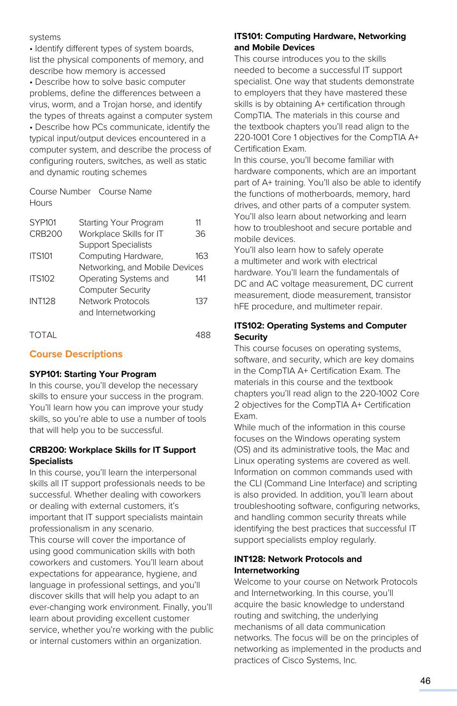#### systems

• Identify different types of system boards, list the physical components of memory, and describe how memory is accessed

• Describe how to solve basic computer problems, define the differences between a virus, worm, and a Trojan horse, and identify the types of threats against a computer system • Describe how PCs communicate, identify the typical input/output devices encountered in a computer system, and describe the process of configuring routers, switches, as well as static and dynamic routing schemes

Course Number Course Name **Hours** 

| SYP101        | Starting Your Program          |     |
|---------------|--------------------------------|-----|
| CRB200        | Workplace Skills for IT        | 36  |
|               | <b>Support Specialists</b>     |     |
| <b>ITS101</b> | Computing Hardware,            | 163 |
|               | Networking, and Mobile Devices |     |
| <b>ITS102</b> | Operating Systems and          | 141 |
|               | <b>Computer Security</b>       |     |
| <b>INT128</b> | Network Protocols              | 137 |
|               | and Internetworking            |     |
|               |                                |     |

TOTAL 488

# **Course Descriptions**

## **SYP101: Starting Your Program**

In this course, you'll develop the necessary skills to ensure your success in the program. You'll learn how you can improve your study skills, so you're able to use a number of tools that will help you to be successful.

## **CRB200: Workplace Skills for IT Support Specialists**

In this course, you'll learn the interpersonal skills all IT support professionals needs to be successful. Whether dealing with coworkers or dealing with external customers, it's important that IT support specialists maintain professionalism in any scenario. This course will cover the importance of using good communication skills with both coworkers and customers. You'll learn about expectations for appearance, hygiene, and language in professional settings, and you'll discover skills that will help you adapt to an ever-changing work environment. Finally, you'll learn about providing excellent customer service, whether you're working with the public or internal customers within an organization.

# **ITS101: Computing Hardware, Networking and Mobile Devices**

This course introduces you to the skills needed to become a successful IT support specialist. One way that students demonstrate to employers that they have mastered these skills is by obtaining A+ certification through CompTIA. The materials in this course and the textbook chapters you'll read align to the 220-1001 Core 1 objectives for the CompTIA A+ Certification Exam.

In this course, you'll become familiar with hardware components, which are an important part of A+ training. You'll also be able to identify the functions of motherboards, memory, hard drives, and other parts of a computer system. You'll also learn about networking and learn how to troubleshoot and secure portable and mobile devices.

You'll also learn how to safely operate a multimeter and work with electrical hardware. You'll learn the fundamentals of DC and AC voltage measurement, DC current measurement, diode measurement, transistor hFE procedure, and multimeter repair.

# **ITS102: Operating Systems and Computer Security**

This course focuses on operating systems, software, and security, which are key domains in the CompTIA A+ Certification Exam. The materials in this course and the textbook chapters you'll read align to the 220-1002 Core 2 objectives for the CompTIA A+ Certification Exam.

While much of the information in this course focuses on the Windows operating system (OS) and its administrative tools, the Mac and Linux operating systems are covered as well. Information on common commands used with the CLI (Command Line Interface) and scripting is also provided. In addition, you'll learn about troubleshooting software, configuring networks, and handling common security threats while identifying the best practices that successful IT support specialists employ regularly.

# **INT128: Network Protocols and Internetworking**

Welcome to your course on Network Protocols and Internetworking. In this course, you'll acquire the basic knowledge to understand routing and switching, the underlying mechanisms of all data communication networks. The focus will be on the principles of networking as implemented in the products and practices of Cisco Systems, Inc.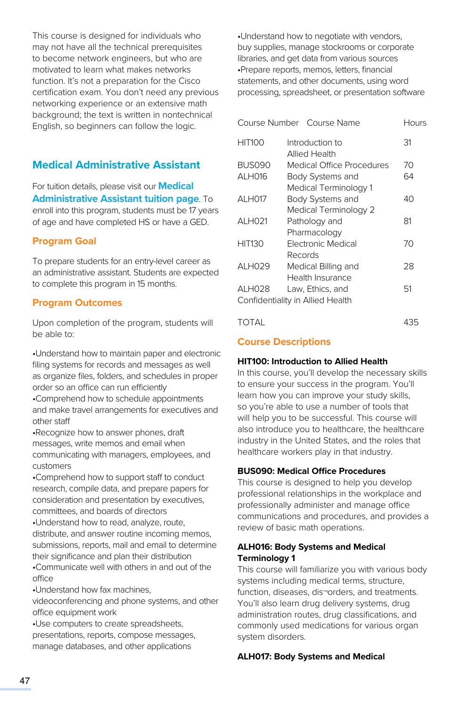This course is designed for individuals who may not have all the technical prerequisites to become network engineers, but who are motivated to learn what makes networks function. It's not a preparation for the Cisco certification exam. You don't need any previous networking experience or an extensive math background; the text is written in nontechnical English, so beginners can follow the logic.

# **Medical Administrative Assistant**

For tuition details, please visit our **[Medical](https://www.pennfoster.edu/programs/healthcare/medical-assistant-career-diploma/tuition#/)  [Administrative Assistant tuition page](https://www.pennfoster.edu/programs/healthcare/medical-assistant-career-diploma/tuition#/)**. To enroll into this program, students must be 17 years of age and have completed HS or have a GED.

# **Program Goal**

To prepare students for an entry-level career as an administrative assistant. Students are expected to complete this program in 15 months.

## **Program Outcomes**

Upon completion of the program, students will be able to:

•Understand how to maintain paper and electronic filing systems for records and messages as well as organize files, folders, and schedules in proper order so an office can run efficiently

•Comprehend how to schedule appointments and make travel arrangements for executives and other staff

•Recognize how to answer phones, draft messages, write memos and email when communicating with managers, employees, and customers

•Comprehend how to support staff to conduct research, compile data, and prepare papers for consideration and presentation by executives, committees, and boards of directors

•Understand how to read, analyze, route, distribute, and answer routine incoming memos, submissions, reports, mail and email to determine their significance and plan their distribution •Communicate well with others in and out of the office

•Understand how fax machines,

videoconferencing and phone systems, and other office equipment work

•Use computers to create spreadsheets, presentations, reports, compose messages, manage databases, and other applications

•Understand how to negotiate with vendors, buy supplies, manage stockrooms or corporate libraries, and get data from various sources •Prepare reports, memos, letters, financial statements, and other documents, using word processing, spreadsheet, or presentation software

|                     | Course Number Course Name        | Hours |
|---------------------|----------------------------------|-------|
| HIT100              | Introduction to<br>Allied Health | 31    |
| <b>BUS090</b>       | Medical Office Procedures        | 70    |
| ALH016              | Body Systems and                 | 64    |
|                     | Medical Terminology 1            |       |
| ALH017              | Body Systems and                 | 40    |
|                     | Medical Terminology 2            |       |
| ALH021              | Pathology and                    | 81    |
|                     | Pharmacology                     |       |
| <b>HIT130</b>       | <b>Electronic Medical</b>        | 70    |
|                     | Records                          |       |
| AI H <sub>029</sub> | Medical Billing and              | 28    |
|                     | Health Insurance                 |       |
| ALH028              | Law, Ethics, and                 | 51    |
|                     | Confidentiality in Allied Health |       |
|                     |                                  |       |

# TOTAL 435

# **Course Descriptions**

#### **HIT100: Introduction to Allied Health**

In this course, you'll develop the necessary skills to ensure your success in the program. You'll learn how you can improve your study skills, so you're able to use a number of tools that will help you to be successful. This course will also introduce you to healthcare, the healthcare industry in the United States, and the roles that healthcare workers play in that industry.

# **BUS090: Medical Office Procedures**

This course is designed to help you develop professional relationships in the workplace and professionally administer and manage office communications and procedures, and provides a review of basic math operations.

## **ALH016: Body Systems and Medical Terminology 1**

This course will familiarize you with various body systems including medical terms, structure, function, diseases, dis¬orders, and treatments. You'll also learn drug delivery systems, drug administration routes, drug classifications, and commonly used medications for various organ system disorders.

## **ALH017: Body Systems and Medical**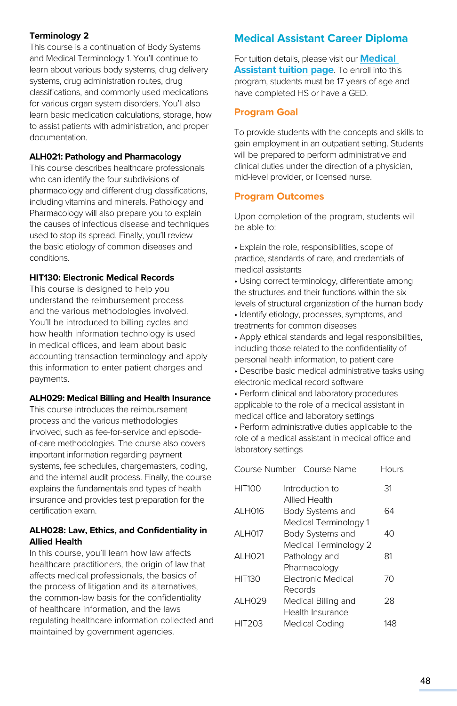# **Terminology 2**

This course is a continuation of Body Systems and Medical Terminology 1. You'll continue to learn about various body systems, drug delivery systems, drug administration routes, drug classifications, and commonly used medications for various organ system disorders. You'll also learn basic medication calculations, storage, how to assist patients with administration, and proper documentation.

#### **ALH021: Pathology and Pharmacology**

This course describes healthcare professionals who can identify the four subdivisions of pharmacology and different drug classifications, including vitamins and minerals. Pathology and Pharmacology will also prepare you to explain the causes of infectious disease and techniques used to stop its spread. Finally, you'll review the basic etiology of common diseases and conditions.

#### **HIT130: Electronic Medical Records**

This course is designed to help you understand the reimbursement process and the various methodologies involved. You'll be introduced to billing cycles and how health information technology is used in medical offices, and learn about basic accounting transaction terminology and apply this information to enter patient charges and payments.

#### **ALH029: Medical Billing and Health Insurance**

This course introduces the reimbursement process and the various methodologies involved, such as fee-for-service and episodeof-care methodologies. The course also covers important information regarding payment systems, fee schedules, chargemasters, coding, and the internal audit process. Finally, the course explains the fundamentals and types of health insurance and provides test preparation for the certification exam.

## **ALH028: Law, Ethics, and Confidentiality in Allied Health**

In this course, you'll learn how law affects healthcare practitioners, the origin of law that affects medical professionals, the basics of the process of litigation and its alternatives, the common-law basis for the confidentiality of healthcare information, and the laws regulating healthcare information collected and maintained by government agencies.

# **Medical Assistant Career Diploma**

For tuition details, please visit our **[Medical](https://www.pennfoster.edu/programs-and-degrees/medical-and-health-careers/medical-assistant-career-diploma/tuition)  [Assistant tuition page](https://www.pennfoster.edu/programs-and-degrees/medical-and-health-careers/medical-assistant-career-diploma/tuition)**. To enroll into this program, students must be 17 years of age and have completed HS or have a GED.

# **Program Goal**

To provide students with the concepts and skills to gain employment in an outpatient setting. Students will be prepared to perform administrative and clinical duties under the direction of a physician, mid-level provider, or licensed nurse.

# **Program Outcomes**

Upon completion of the program, students will be able to:

- Explain the role, responsibilities, scope of practice, standards of care, and credentials of medical assistants
- Using correct terminology, differentiate among the structures and their functions within the six levels of structural organization of the human body • Identify etiology, processes, symptoms, and treatments for common diseases
- Apply ethical standards and legal responsibilities, including those related to the confidentiality of personal health information, to patient care
- Describe basic medical administrative tasks using electronic medical record software
- Perform clinical and laboratory procedures applicable to the role of a medical assistant in medical office and laboratory settings

• Perform administrative duties applicable to the role of a medical assistant in medical office and laboratory settings

|               | Course Number Course Name | Hours |
|---------------|---------------------------|-------|
| <b>HIT100</b> | Introduction to           | 31    |
|               | <b>Allied Health</b>      |       |
| ALH016        | Body Systems and          | 64    |
|               | Medical Terminology 1     |       |
| <b>ALH017</b> | Body Systems and          | 40    |
|               | Medical Terminology 2     |       |
| ALH021        | Pathology and             | 81    |
|               | Pharmacology              |       |
| <b>HIT130</b> | <b>Flectronic Medical</b> | 70    |
|               | Records                   |       |
| ALH029        | Medical Billing and       | 28    |
|               | Health Insurance          |       |
| <b>HIT203</b> | <b>Medical Coding</b>     |       |
|               |                           |       |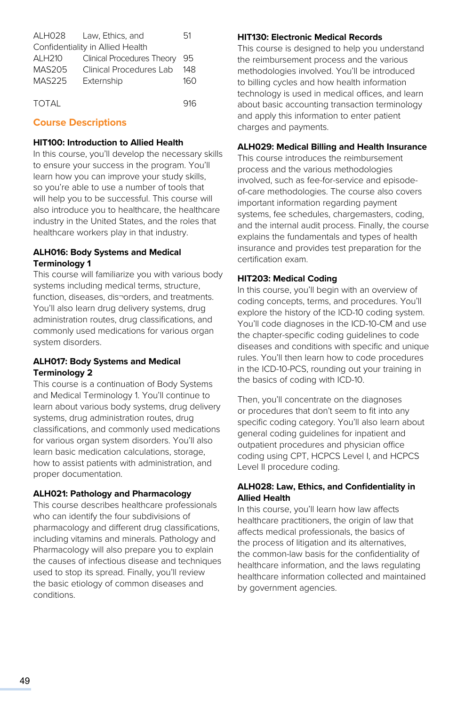| ALH028             | Law. Ethics, and                 | 51  |
|--------------------|----------------------------------|-----|
|                    | Confidentiality in Allied Health |     |
| ALH <sub>210</sub> | Clinical Procedures Theory       | 95  |
| MAS205             | Clinical Procedures Lab          | 148 |
| MAS225             | Externship                       | 160 |
|                    |                                  |     |
| <b>TOTAL</b>       |                                  | 916 |

# **Course Descriptions**

#### **HIT100: Introduction to Allied Health**

In this course, you'll develop the necessary skills to ensure your success in the program. You'll learn how you can improve your study skills, so you're able to use a number of tools that will help you to be successful. This course will also introduce you to healthcare, the healthcare industry in the United States, and the roles that healthcare workers play in that industry.

## **ALH016: Body Systems and Medical Terminology 1**

This course will familiarize you with various body systems including medical terms, structure, function, diseases, dis¬orders, and treatments. You'll also learn drug delivery systems, drug administration routes, drug classifications, and commonly used medications for various organ system disorders.

## **ALH017: Body Systems and Medical Terminology 2**

This course is a continuation of Body Systems and Medical Terminology 1. You'll continue to learn about various body systems, drug delivery systems, drug administration routes, drug classifications, and commonly used medications for various organ system disorders. You'll also learn basic medication calculations, storage, how to assist patients with administration, and proper documentation.

## **ALH021: Pathology and Pharmacology**

This course describes healthcare professionals who can identify the four subdivisions of pharmacology and different drug classifications, including vitamins and minerals. Pathology and Pharmacology will also prepare you to explain the causes of infectious disease and techniques used to stop its spread. Finally, you'll review the basic etiology of common diseases and conditions.

#### **HIT130: Electronic Medical Records**

This course is designed to help you understand the reimbursement process and the various methodologies involved. You'll be introduced to billing cycles and how health information technology is used in medical offices, and learn about basic accounting transaction terminology and apply this information to enter patient charges and payments.

#### **ALH029: Medical Billing and Health Insurance**

This course introduces the reimbursement process and the various methodologies involved, such as fee-for-service and episodeof-care methodologies. The course also covers important information regarding payment systems, fee schedules, chargemasters, coding, and the internal audit process. Finally, the course explains the fundamentals and types of health insurance and provides test preparation for the certification exam.

#### **HIT203: Medical Coding**

In this course, you'll begin with an overview of coding concepts, terms, and procedures. You'll explore the history of the ICD-10 coding system. You'll code diagnoses in the ICD-10-CM and use the chapter-specific coding guidelines to code diseases and conditions with specific and unique rules. You'll then learn how to code procedures in the ICD-10-PCS, rounding out your training in the basics of coding with ICD-10.

Then, you'll concentrate on the diagnoses or procedures that don't seem to fit into any specific coding category. You'll also learn about general coding guidelines for inpatient and outpatient procedures and physician office coding using CPT, HCPCS Level I, and HCPCS Level II procedure coding.

#### **ALH028: Law, Ethics, and Confidentiality in Allied Health**

In this course, you'll learn how law affects healthcare practitioners, the origin of law that affects medical professionals, the basics of the process of litigation and its alternatives, the common-law basis for the confidentiality of healthcare information, and the laws regulating healthcare information collected and maintained by government agencies.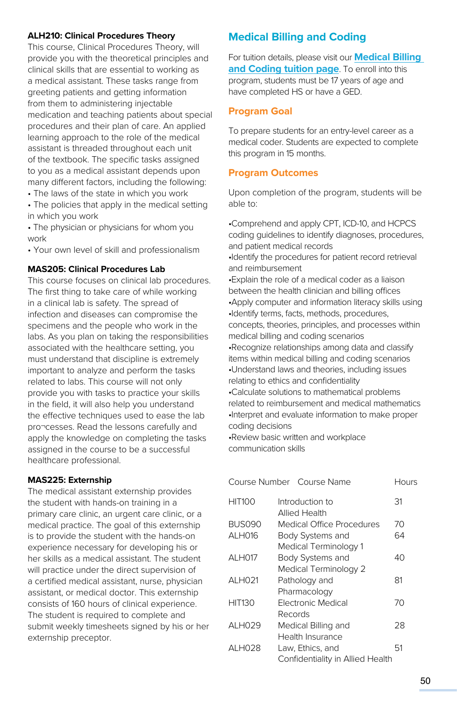## **ALH210: Clinical Procedures Theory**

This course, Clinical Procedures Theory, will provide you with the theoretical principles and clinical skills that are essential to working as a medical assistant. These tasks range from greeting patients and getting information from them to administering injectable medication and teaching patients about special procedures and their plan of care. An applied learning approach to the role of the medical assistant is threaded throughout each unit of the textbook. The specific tasks assigned to you as a medical assistant depends upon many different factors, including the following:

- The laws of the state in which you work
- The policies that apply in the medical setting in which you work
- The physician or physicians for whom you work
- Your own level of skill and professionalism

#### **MAS205: Clinical Procedures Lab**

This course focuses on clinical lab procedures. The first thing to take care of while working in a clinical lab is safety. The spread of infection and diseases can compromise the specimens and the people who work in the labs. As you plan on taking the responsibilities associated with the healthcare setting, you must understand that discipline is extremely important to analyze and perform the tasks related to labs. This course will not only provide you with tasks to practice your skills in the field, it will also help you understand the effective techniques used to ease the lab pro¬cesses. Read the lessons carefully and apply the knowledge on completing the tasks assigned in the course to be a successful healthcare professional.

#### **MAS225: Externship**

The medical assistant externship provides the student with hands-on training in a primary care clinic, an urgent care clinic, or a medical practice. The goal of this externship is to provide the student with the hands-on experience necessary for developing his or her skills as a medical assistant. The student will practice under the direct supervision of a certified medical assistant, nurse, physician assistant, or medical doctor. This externship consists of 160 hours of clinical experience. The student is required to complete and submit weekly timesheets signed by his or her externship preceptor.

# **Medical Billing and Coding**

For tuition details, please visit our **[Medical Billing](https://www.pennfoster.edu/programs/healthcare/medical-billing-and-coding-career-diploma/tuition#/)  [and Coding tuition page](https://www.pennfoster.edu/programs/healthcare/medical-billing-and-coding-career-diploma/tuition#/)**. To enroll into this program, students must be 17 years of age and have completed HS or have a GED.

#### **Program Goal**

To prepare students for an entry-level career as a medical coder. Students are expected to complete this program in 15 months.

#### **Program Outcomes**

Upon completion of the program, students will be able to:

•Comprehend and apply CPT, ICD-10, and HCPCS coding guidelines to identify diagnoses, procedures, and patient medical records •Identify the procedures for patient record retrieval and reimbursement •Explain the role of a medical coder as a liaison between the health clinician and billing offices •Apply computer and information literacy skills using •Identify terms, facts, methods, procedures, concepts, theories, principles, and processes within medical billing and coding scenarios •Recognize relationships among data and classify items within medical billing and coding scenarios •Understand laws and theories, including issues relating to ethics and confidentiality •Calculate solutions to mathematical problems related to reimbursement and medical mathematics •Interpret and evaluate information to make proper coding decisions

•Review basic written and workplace communication skills

| Course Number | Course Name                      | Hours |
|---------------|----------------------------------|-------|
| <b>HIT100</b> | Introduction to<br>Allied Health | 31    |
| <b>BUS090</b> | Medical Office Procedures        | 70    |
| ALH016        | Body Systems and                 | 64    |
|               | Medical Terminology 1            |       |
| <b>ALH017</b> | Body Systems and                 | 40    |
|               | Medical Terminology 2            |       |
| ALH021        | Pathology and                    | 81    |
|               | Pharmacology                     |       |
| <b>HIT130</b> | Electronic Medical               | 70    |
|               | Records                          |       |
| ALH029        | Medical Billing and              | 28    |
|               | Health Insurance                 |       |
| ALH028        | Law, Ethics, and                 | 51    |
|               | Confidentiality in Allied Health |       |
|               |                                  |       |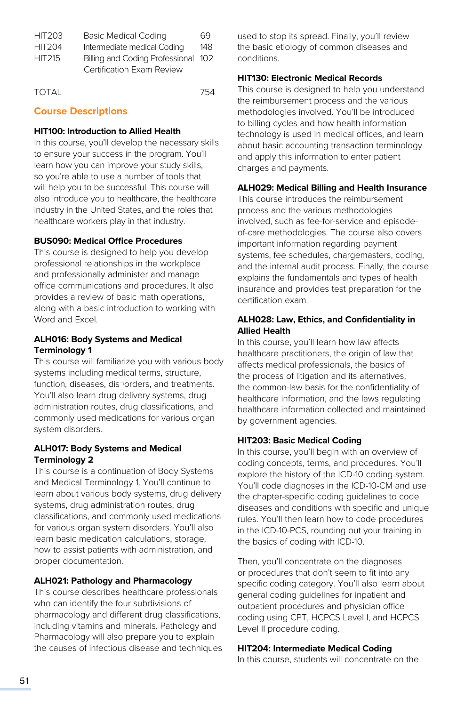| <b>HIT203</b> | <b>Basic Medical Coding</b>         | 69  |
|---------------|-------------------------------------|-----|
| <b>HIT204</b> | Intermediate medical Coding         | 148 |
| <b>HIT215</b> | Billing and Coding Professional 102 |     |
|               | Certification Exam Review           |     |
|               |                                     |     |

| <b>TOTAL</b> | 754 |
|--------------|-----|
|              |     |

# **Course Descriptions**

#### **HIT100: Introduction to Allied Health**

In this course, you'll develop the necessary skills to ensure your success in the program. You'll learn how you can improve your study skills, so you're able to use a number of tools that will help you to be successful. This course will also introduce you to healthcare, the healthcare industry in the United States, and the roles that healthcare workers play in that industry.

#### **BUS090: Medical Office Procedures**

This course is designed to help you develop professional relationships in the workplace and professionally administer and manage office communications and procedures. It also provides a review of basic math operations, along with a basic introduction to working with Word and Excel.

#### **ALH016: Body Systems and Medical Terminology 1**

This course will familiarize you with various body systems including medical terms, structure, function, diseases, dis¬orders, and treatments. You'll also learn drug delivery systems, drug administration routes, drug classifications, and commonly used medications for various organ system disorders.

#### **ALH017: Body Systems and Medical Terminology 2**

This course is a continuation of Body Systems and Medical Terminology 1. You'll continue to learn about various body systems, drug delivery systems, drug administration routes, drug classifications, and commonly used medications for various organ system disorders. You'll also learn basic medication calculations, storage, how to assist patients with administration, and proper documentation.

#### **ALH021: Pathology and Pharmacology**

This course describes healthcare professionals who can identify the four subdivisions of pharmacology and different drug classifications, including vitamins and minerals. Pathology and Pharmacology will also prepare you to explain the causes of infectious disease and techniques used to stop its spread. Finally, you'll review the basic etiology of common diseases and conditions.

## **HIT130: Electronic Medical Records**

This course is designed to help you understand the reimbursement process and the various methodologies involved. You'll be introduced to billing cycles and how health information technology is used in medical offices, and learn about basic accounting transaction terminology and apply this information to enter patient charges and payments.

#### **ALH029: Medical Billing and Health Insurance**

This course introduces the reimbursement process and the various methodologies involved, such as fee-for-service and episodeof-care methodologies. The course also covers important information regarding payment systems, fee schedules, chargemasters, coding, and the internal audit process. Finally, the course explains the fundamentals and types of health insurance and provides test preparation for the certification exam.

## **ALH028: Law, Ethics, and Confidentiality in Allied Health**

In this course, you'll learn how law affects healthcare practitioners, the origin of law that affects medical professionals, the basics of the process of litigation and its alternatives, the common-law basis for the confidentiality of healthcare information, and the laws regulating healthcare information collected and maintained by government agencies.

#### **HIT203: Basic Medical Coding**

In this course, you'll begin with an overview of coding concepts, terms, and procedures. You'll explore the history of the ICD-10 coding system. You'll code diagnoses in the ICD-10-CM and use the chapter-specific coding guidelines to code diseases and conditions with specific and unique rules. You'll then learn how to code procedures in the ICD-10-PCS, rounding out your training in the basics of coding with ICD-10.

Then, you'll concentrate on the diagnoses or procedures that don't seem to fit into any specific coding category. You'll also learn about general coding guidelines for inpatient and outpatient procedures and physician office coding using CPT, HCPCS Level I, and HCPCS Level II procedure coding.

#### **HIT204: Intermediate Medical Coding**

In this course, students will concentrate on the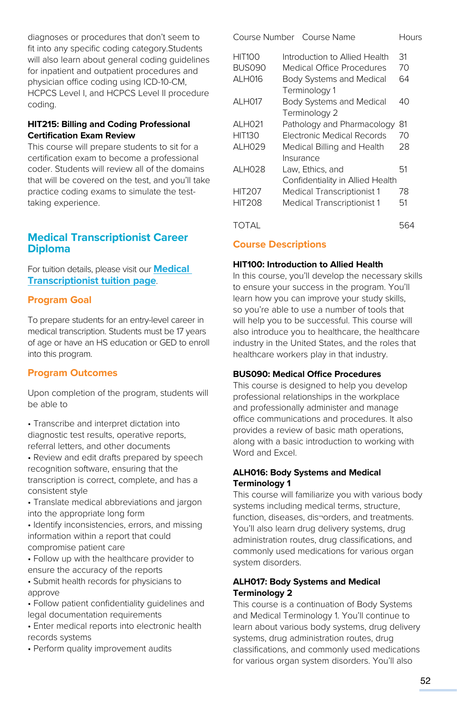diagnoses or procedures that don't seem to fit into any specific coding category.Students will also learn about general coding guidelines for inpatient and outpatient procedures and physician office coding using ICD-10-CM, HCPCS Level I, and HCPCS Level II procedure coding.

# **HIT215: Billing and Coding Professional Certification Exam Review**

This course will prepare students to sit for a certification exam to become a professional coder. Students will review all of the domains that will be covered on the test, and you'll take practice coding exams to simulate the testtaking experience.

# **Medical Transcriptionist Career Diploma**

For tuition details, please visit our **[Medical](https://www.pennfoster.edu/programs/healthcare/medical-transcriptionist-career-diploma/tuition#/)  [Transcriptionist tuition page](https://www.pennfoster.edu/programs/healthcare/medical-transcriptionist-career-diploma/tuition#/)**.

# **Program Goal**

To prepare students for an entry-level career in medical transcription. Students must be 17 years of age or have an HS education or GED to enroll into this program.

# **Program Outcomes**

Upon completion of the program, students will be able to

- Transcribe and interpret dictation into diagnostic test results, operative reports, referral letters, and other documents
- Review and edit drafts prepared by speech recognition software, ensuring that the transcription is correct, complete, and has a consistent style

• Translate medical abbreviations and jargon into the appropriate long form

• Identify inconsistencies, errors, and missing information within a report that could compromise patient care

• Follow up with the healthcare provider to ensure the accuracy of the reports

• Submit health records for physicians to approve

• Follow patient confidentiality guidelines and legal documentation requirements

• Enter medical reports into electronic health records systems

• Perform quality improvement audits

| Course Number | Course Name                                                           | Hours |
|---------------|-----------------------------------------------------------------------|-------|
| <b>HIT100</b> | Introduction to Allied Health                                         | 31    |
| <b>BUS090</b> | Medical Office Procedures                                             | 70    |
| ALH016        | Body Systems and Medical                                              | 64    |
| <b>ALH017</b> | Terminology 1<br>Body Systems and Medical                             | 40    |
|               | Terminology 2                                                         |       |
| ALH021        | Pathology and Pharmacology                                            | 81    |
| <b>HIT130</b> | <b>Flectronic Medical Records</b>                                     | 70    |
| ALH029        | Medical Billing and Health<br>Insurance                               | 28    |
| ALH028        | Law, Ethics, and                                                      | 51    |
| <b>HIT207</b> | Confidentiality in Allied Health<br><b>Medical Transcriptionist 1</b> | 78    |
| <b>HIT208</b> | <b>Medical Transcriptionist 1</b>                                     | 51    |
|               |                                                                       |       |

TOTAL 564

# **Course Descriptions**

## **HIT100: Introduction to Allied Health**

In this course, you'll develop the necessary skills to ensure your success in the program. You'll learn how you can improve your study skills, so you're able to use a number of tools that will help you to be successful. This course will also introduce you to healthcare, the healthcare industry in the United States, and the roles that healthcare workers play in that industry.

# **BUS090: Medical Office Procedures**

This course is designed to help you develop professional relationships in the workplace and professionally administer and manage office communications and procedures. It also provides a review of basic math operations, along with a basic introduction to working with Word and Excel.

## **ALH016: Body Systems and Medical Terminology 1**

This course will familiarize you with various body systems including medical terms, structure, function, diseases, dis¬orders, and treatments. You'll also learn drug delivery systems, drug administration routes, drug classifications, and commonly used medications for various organ system disorders.

# **ALH017: Body Systems and Medical Terminology 2**

This course is a continuation of Body Systems and Medical Terminology 1. You'll continue to learn about various body systems, drug delivery systems, drug administration routes, drug classifications, and commonly used medications for various organ system disorders. You'll also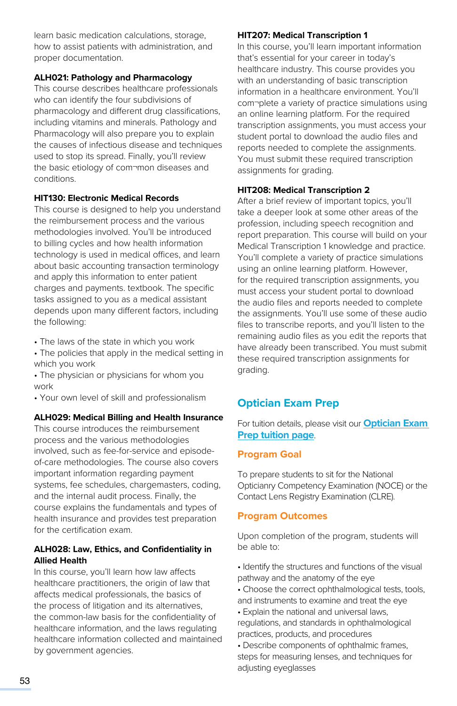learn basic medication calculations, storage, how to assist patients with administration, and proper documentation.

#### **ALH021: Pathology and Pharmacology**

This course describes healthcare professionals who can identify the four subdivisions of pharmacology and different drug classifications, including vitamins and minerals. Pathology and Pharmacology will also prepare you to explain the causes of infectious disease and techniques used to stop its spread. Finally, you'll review the basic etiology of com¬mon diseases and conditions.

#### **HIT130: Electronic Medical Records**

This course is designed to help you understand the reimbursement process and the various methodologies involved. You'll be introduced to billing cycles and how health information technology is used in medical offices, and learn about basic accounting transaction terminology and apply this information to enter patient charges and payments. textbook. The specific tasks assigned to you as a medical assistant depends upon many different factors, including the following:

- The laws of the state in which you work
- The policies that apply in the medical setting in which you work
- The physician or physicians for whom you work
- Your own level of skill and professionalism

#### **ALH029: Medical Billing and Health Insurance**

This course introduces the reimbursement process and the various methodologies involved, such as fee-for-service and episodeof-care methodologies. The course also covers important information regarding payment systems, fee schedules, chargemasters, coding, and the internal audit process. Finally, the course explains the fundamentals and types of health insurance and provides test preparation for the certification exam.

#### **ALH028: Law, Ethics, and Confidentiality in Allied Health**

In this course, you'll learn how law affects healthcare practitioners, the origin of law that affects medical professionals, the basics of the process of litigation and its alternatives, the common-law basis for the confidentiality of healthcare information, and the laws regulating healthcare information collected and maintained by government agencies.

#### **HIT207: Medical Transcription 1**

In this course, you'll learn important information that's essential for your career in today's healthcare industry. This course provides you with an understanding of basic transcription information in a healthcare environment. You'll com¬plete a variety of practice simulations using an online learning platform. For the required transcription assignments, you must access your student portal to download the audio files and reports needed to complete the assignments. You must submit these required transcription assignments for grading.

#### **HIT208: Medical Transcription 2**

After a brief review of important topics, you'll take a deeper look at some other areas of the profession, including speech recognition and report preparation. This course will build on your Medical Transcription 1 knowledge and practice. You'll complete a variety of practice simulations using an online learning platform. However, for the required transcription assignments, you must access your student portal to download the audio files and reports needed to complete the assignments. You'll use some of these audio files to transcribe reports, and you'll listen to the remaining audio files as you edit the reports that have already been transcribed. You must submit these required transcription assignments for grading.

# **Optician Exam Prep**

For tuition details, please visit our **Optician Exam Pre[p tuition page](https://www.pennfoster.edu/programs/healthcare/optician-career-diploma/tuition#/)**.

## **Program Goal**

To prepare students to sit for the National Opticianry Competency Examination (NOCE) or the Contact Lens Registry Examination (CLRE).

## **Program Outcomes**

Upon completion of the program, students will be able to:

- Identify the structures and functions of the visual pathway and the anatomy of the eye
- Choose the correct ophthalmological tests, tools, and instruments to examine and treat the eye
- Explain the national and universal laws, regulations, and standards in ophthalmological practices, products, and procedures
- Describe components of ophthalmic frames, steps for measuring lenses, and techniques for adjusting eyeglasses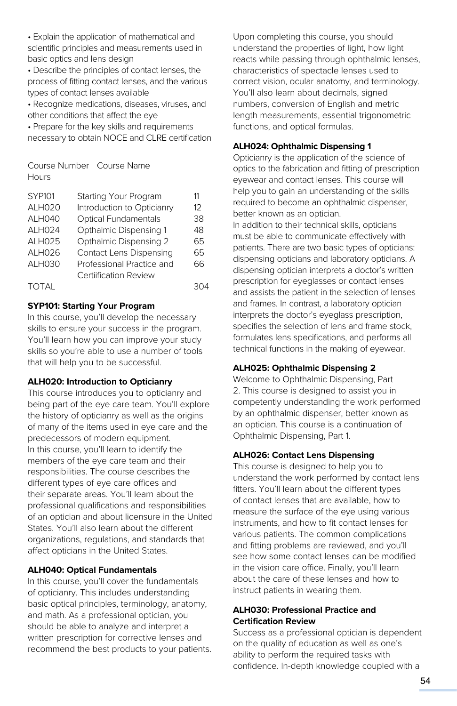• Explain the application of mathematical and scientific principles and measurements used in basic optics and lens design

• Describe the principles of contact lenses, the process of fitting contact lenses, and the various types of contact lenses available

• Recognize medications, diseases, viruses, and other conditions that affect the eye

• Prepare for the key skills and requirements necessary to obtain NOCE and CLRE certification

Course Number Course Name **Hours** 

| <b>SYP101</b> | Starting Your Program          | 11        |
|---------------|--------------------------------|-----------|
| ALH020        | Introduction to Opticianry     | $12^{12}$ |
| ALH040        | <b>Optical Fundamentals</b>    | 38        |
| ALH024        | Opthalmic Dispensing 1         | 48        |
| ALH025        | Opthalmic Dispensing 2         | 65        |
| ALH026        | <b>Contact Lens Dispensing</b> | 65        |
| <b>ALH030</b> | Professional Practice and      | 66        |
|               | <b>Certiification Review</b>   |           |
| <b>TOTAL</b>  |                                |           |
|               |                                |           |

## **SYP101: Starting Your Program**

In this course, you'll develop the necessary skills to ensure your success in the program. You'll learn how you can improve your study skills so you're able to use a number of tools that will help you to be successful.

#### **ALH020: Introduction to Opticianry**

This course introduces you to opticianry and being part of the eye care team. You'll explore the history of opticianry as well as the origins of many of the items used in eye care and the predecessors of modern equipment. In this course, you'll learn to identify the members of the eye care team and their responsibilities. The course describes the different types of eye care offices and their separate areas. You'll learn about the professional qualifications and responsibilities of an optician and about licensure in the United States. You'll also learn about the different organizations, regulations, and standards that affect opticians in the United States.

## **ALH040: Optical Fundamentals**

In this course, you'll cover the fundamentals of opticianry. This includes understanding basic optical principles, terminology, anatomy, and math. As a professional optician, you should be able to analyze and interpret a written prescription for corrective lenses and recommend the best products to your patients. Upon completing this course, you should understand the properties of light, how light reacts while passing through ophthalmic lenses, characteristics of spectacle lenses used to correct vision, ocular anatomy, and terminology. You'll also learn about decimals, signed numbers, conversion of English and metric length measurements, essential trigonometric functions, and optical formulas.

#### **ALH024: Ophthalmic Dispensing 1**

Opticianry is the application of the science of optics to the fabrication and fitting of prescription eyewear and contact lenses. This course will help you to gain an understanding of the skills required to become an ophthalmic dispenser, better known as an optician.

In addition to their technical skills, opticians must be able to communicate effectively with patients. There are two basic types of opticians: dispensing opticians and laboratory opticians. A dispensing optician interprets a doctor's written prescription for eyeglasses or contact lenses and assists the patient in the selection of lenses and frames. In contrast, a laboratory optician interprets the doctor's eyeglass prescription, specifies the selection of lens and frame stock, formulates lens specifications, and performs all technical functions in the making of eyewear.

## **ALH025: Ophthalmic Dispensing 2**

Welcome to Ophthalmic Dispensing, Part 2. This course is designed to assist you in competently understanding the work performed by an ophthalmic dispenser, better known as an optician. This course is a continuation of Ophthalmic Dispensing, Part 1.

## **ALH026: Contact Lens Dispensing**

This course is designed to help you to understand the work performed by contact lens fitters. You'll learn about the different types of contact lenses that are available, how to measure the surface of the eye using various instruments, and how to fit contact lenses for various patients. The common complications and fitting problems are reviewed, and you'll see how some contact lenses can be modified in the vision care office. Finally, you'll learn about the care of these lenses and how to instruct patients in wearing them.

## **ALH030: Professional Practice and Certification Review**

Success as a professional optician is dependent on the quality of education as well as one's ability to perform the required tasks with confidence. In-depth knowledge coupled with a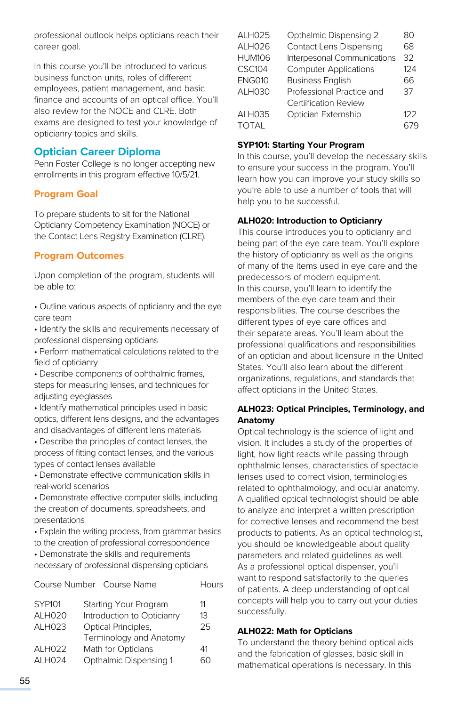professional outlook helps opticians reach their career goal.

In this course you'll be introduced to various business function units, roles of different employees, patient management, and basic finance and accounts of an optical office. You'll also review for the NOCE and CLRE. Both exams are designed to test your knowledge of opticianry topics and skills.

# **Optician Career Diploma**

Penn Foster College is no longer accepting new enrollments in this program effective 10/5/21.

# **Program Goal**

To prepare students to sit for the National Opticianry Competency Examination (NOCE) or the Contact Lens Registry Examination (CLRE).

# **Program Outcomes**

Upon completion of the program, students will be able to:

- Outline various aspects of opticianry and the eye care team
- Identify the skills and requirements necessary of professional dispensing opticians
- Perform mathematical calculations related to the field of opticianry
- Describe components of ophthalmic frames, steps for measuring lenses, and techniques for adjusting eyeglasses
- Identify mathematical principles used in basic optics, different lens designs, and the advantages and disadvantages of different lens materials
- Describe the principles of contact lenses, the process of fitting contact lenses, and the various types of contact lenses available
- Demonstrate effective communication skills in real-world scenarios
- Demonstrate effective computer skills, including the creation of documents, spreadsheets, and presentations
- Explain the writing process, from grammar basics to the creation of professional correspondence
- Demonstrate the skills and requirements necessary of professional dispensing opticians

|                    | Course Number Course Name  | Hours |
|--------------------|----------------------------|-------|
| <b>SYP101</b>      | Starting Your Program      | 11    |
| ALH020             | Introduction to Opticianry | 13    |
| ALH023             | Optical Principles,        | 25    |
|                    | Terminology and Anatomy    |       |
| ALH022             | Math for Opticians         | 41    |
| ALH <sub>024</sub> | Opthalmic Dispensing 1     |       |
|                    |                            |       |

| <b>ALH025</b> | Opthalmic Dispensing 2         | 80  |
|---------------|--------------------------------|-----|
| ALH026        | <b>Contact Lens Dispensing</b> | 68  |
| <b>HUM106</b> | Interpesonal Communications    | 32  |
| CSC104        | <b>Computer Applications</b>   | 124 |
| <b>ENG010</b> | <b>Business English</b>        | 66  |
| <b>ALH030</b> | Professional Practice and      | 37  |
|               | <b>Certiification Review</b>   |     |
| ALH035        | Optician Externship            | 122 |
| <b>TOTAL</b>  |                                | 679 |
|               |                                |     |

# **SYP101: Starting Your Program**

In this course, you'll develop the necessary skills to ensure your success in the program. You'll learn how you can improve your study skills so you're able to use a number of tools that will help you to be successful.

# **ALH020: Introduction to Opticianry**

This course introduces you to opticianry and being part of the eye care team. You'll explore the history of opticianry as well as the origins of many of the items used in eye care and the predecessors of modern equipment. In this course, you'll learn to identify the members of the eye care team and their responsibilities. The course describes the different types of eye care offices and their separate areas. You'll learn about the professional qualifications and responsibilities of an optician and about licensure in the United States. You'll also learn about the different organizations, regulations, and standards that affect opticians in the United States.

# **ALH023: Optical Principles, Terminology, and Anatomy**

Optical technology is the science of light and vision. It includes a study of the properties of light, how light reacts while passing through ophthalmic lenses, characteristics of spectacle lenses used to correct vision, terminologies related to ophthalmology, and ocular anatomy. A qualified optical technologist should be able to analyze and interpret a written prescription for corrective lenses and recommend the best products to patients. As an optical technologist, you should be knowledgeable about quality parameters and related guidelines as well. As a professional optical dispenser, you'll want to respond satisfactorily to the queries of patients. A deep understanding of optical concepts will help you to carry out your duties successfully.

# **ALH022: Math for Opticians**

To understand the theory behind optical aids and the fabrication of glasses, basic skill in mathematical operations is necessary. In this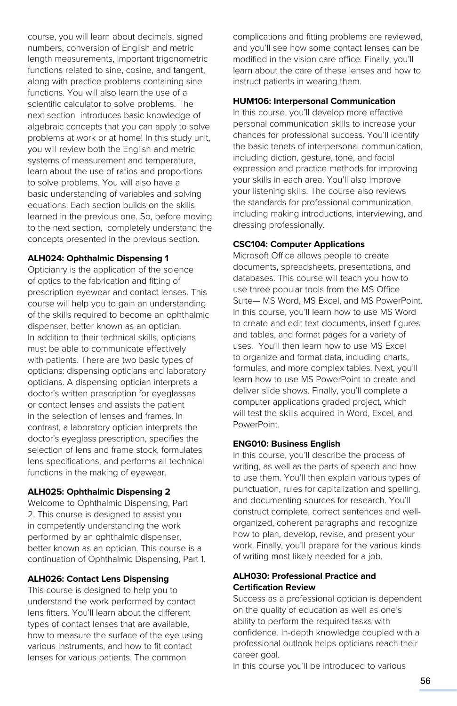course, you will learn about decimals, signed numbers, conversion of English and metric length measurements, important trigonometric functions related to sine, cosine, and tangent, along with practice problems containing sine functions. You will also learn the use of a scientific calculator to solve problems. The next section introduces basic knowledge of algebraic concepts that you can apply to solve problems at work or at home! In this study unit, you will review both the English and metric systems of measurement and temperature, learn about the use of ratios and proportions to solve problems. You will also have a basic understanding of variables and solving equations. Each section builds on the skills learned in the previous one. So, before moving to the next section, completely understand the concepts presented in the previous section.

#### **ALH024: Ophthalmic Dispensing 1**

Opticianry is the application of the science of optics to the fabrication and fitting of prescription eyewear and contact lenses. This course will help you to gain an understanding of the skills required to become an ophthalmic dispenser, better known as an optician. In addition to their technical skills, opticians must be able to communicate effectively with patients. There are two basic types of opticians: dispensing opticians and laboratory opticians. A dispensing optician interprets a doctor's written prescription for eyeglasses or contact lenses and assists the patient in the selection of lenses and frames. In contrast, a laboratory optician interprets the doctor's eyeglass prescription, specifies the selection of lens and frame stock, formulates lens specifications, and performs all technical functions in the making of eyewear.

#### **ALH025: Ophthalmic Dispensing 2**

Welcome to Ophthalmic Dispensing, Part 2. This course is designed to assist you in competently understanding the work performed by an ophthalmic dispenser, better known as an optician. This course is a continuation of Ophthalmic Dispensing, Part 1.

#### **ALH026: Contact Lens Dispensing**

This course is designed to help you to understand the work performed by contact lens fitters. You'll learn about the different types of contact lenses that are available, how to measure the surface of the eye using various instruments, and how to fit contact lenses for various patients. The common

complications and fitting problems are reviewed, and you'll see how some contact lenses can be modified in the vision care office. Finally, you'll learn about the care of these lenses and how to instruct patients in wearing them.

#### **HUM106: Interpersonal Communication**

In this course, you'll develop more effective personal communication skills to increase your chances for professional success. You'll identify the basic tenets of interpersonal communication, including diction, gesture, tone, and facial expression and practice methods for improving your skills in each area. You'll also improve your listening skills. The course also reviews the standards for professional communication, including making introductions, interviewing, and dressing professionally.

#### **CSC104: Computer Applications**

Microsoft Office allows people to create documents, spreadsheets, presentations, and databases. This course will teach you how to use three popular tools from the MS Office Suite— MS Word, MS Excel, and MS PowerPoint. In this course, you'll learn how to use MS Word to create and edit text documents, insert figures and tables, and format pages for a variety of uses. You'll then learn how to use MS Excel to organize and format data, including charts, formulas, and more complex tables. Next, you'll learn how to use MS PowerPoint to create and deliver slide shows. Finally, you'll complete a computer applications graded project, which will test the skills acquired in Word, Excel, and PowerPoint.

#### **ENG010: Business English**

In this course, you'll describe the process of writing, as well as the parts of speech and how to use them. You'll then explain various types of punctuation, rules for capitalization and spelling, and documenting sources for research. You'll construct complete, correct sentences and wellorganized, coherent paragraphs and recognize how to plan, develop, revise, and present your work. Finally, you'll prepare for the various kinds of writing most likely needed for a job.

## **ALH030: Professional Practice and Certification Review**

Success as a professional optician is dependent on the quality of education as well as one's ability to perform the required tasks with confidence. In-depth knowledge coupled with a professional outlook helps opticians reach their career goal.

In this course you'll be introduced to various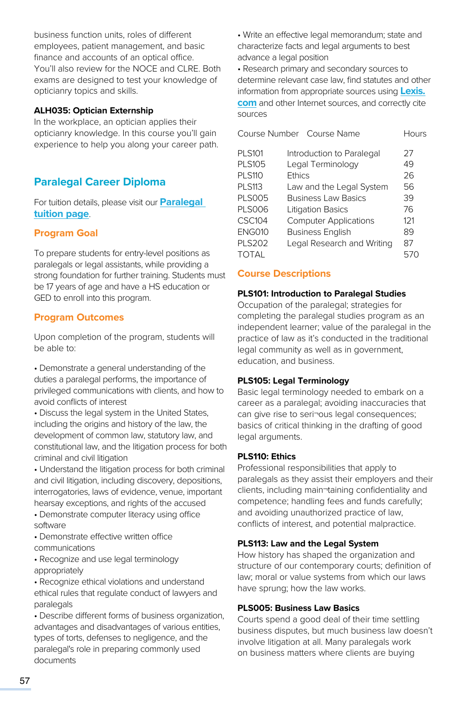business function units, roles of different employees, patient management, and basic finance and accounts of an optical office. You'll also review for the NOCE and CLRE. Both exams are designed to test your knowledge of opticianry topics and skills.

#### **ALH035: Optician Externship**

In the workplace, an optician applies their opticianry knowledge. In this course you'll gain experience to help you along your career path.

# **Paralegal Career Diploma**

For tuition details, please visit our **[Paralegal](https://www.pennfoster.edu/programs/legal/paralegal-career-diploma/tuition#/)  [tuition page](https://www.pennfoster.edu/programs/legal/paralegal-career-diploma/tuition#/)**.

# **Program Goal**

To prepare students for entry-level positions as paralegals or legal assistants, while providing a strong foundation for further training. Students must be 17 years of age and have a HS education or GED to enroll into this program.

# **Program Outcomes**

Upon completion of the program, students will be able to:

• Demonstrate a general understanding of the duties a paralegal performs, the importance of privileged communications with clients, and how to avoid conflicts of interest

• Discuss the legal system in the United States, including the origins and history of the law, the development of common law, statutory law, and constitutional law, and the litigation process for both criminal and civil litigation

• Understand the litigation process for both criminal and civil litigation, including discovery, depositions, interrogatories, laws of evidence, venue, important hearsay exceptions, and rights of the accused

• Demonstrate computer literacy using office software

• Demonstrate effective written office communications

• Recognize and use legal terminology appropriately

• Recognize ethical violations and understand ethical rules that regulate conduct of lawyers and paralegals

• Describe different forms of business organization, advantages and disadvantages of various entities, types of torts, defenses to negligence, and the paralegal's role in preparing commonly used documents

• Write an effective legal memorandum; state and characterize facts and legal arguments to best advance a legal position

• Research primary and secondary sources to determine relevant case law, find statutes and other information from appropriate sources using **[Lexis.](http://Lexis.com) [com](http://Lexis.com)** and other Internet sources, and correctly cite sources

|               | Course Number Course Name    | Hours |
|---------------|------------------------------|-------|
| <b>PLS101</b> | Introduction to Paralegal    | 27    |
| <b>PLS105</b> | Legal Terminology            | 49    |
| <b>PLS110</b> | <b>Fthics</b>                | 26    |
| <b>PLS113</b> | Law and the Legal System     | 56    |
| <b>PLS005</b> | <b>Business Law Basics</b>   | 39    |
| <b>PLS006</b> | <b>Litigation Basics</b>     | 76    |
| CSC104        | <b>Computer Applications</b> | 121   |
| <b>ENG010</b> | <b>Business English</b>      | 89    |
| <b>PLS202</b> | Legal Research and Writing   | 87    |
| TOTAL         |                              | 570   |

# **Course Descriptions**

#### **PLS101: Introduction to Paralegal Studies**

Occupation of the paralegal; strategies for completing the paralegal studies program as an independent learner; value of the paralegal in the practice of law as it's conducted in the traditional legal community as well as in government, education, and business.

## **PLS105: Legal Terminology**

Basic legal terminology needed to embark on a career as a paralegal; avoiding inaccuracies that can give rise to seri¬ous legal consequences; basics of critical thinking in the drafting of good legal arguments.

## **PLS110: Ethics**

Professional responsibilities that apply to paralegals as they assist their employers and their clients, including main¬taining confidentiality and competence; handling fees and funds carefully; and avoiding unauthorized practice of law, conflicts of interest, and potential malpractice.

## **PLS113: Law and the Legal System**

How history has shaped the organization and structure of our contemporary courts; definition of law; moral or value systems from which our laws have sprung; how the law works.

## **PLS005: Business Law Basics**

Courts spend a good deal of their time settling business disputes, but much business law doesn't involve litigation at all. Many paralegals work on business matters where clients are buying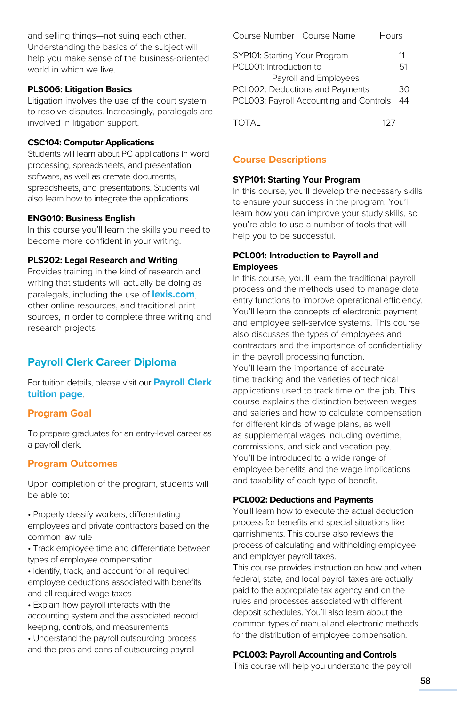and selling things—not suing each other. Understanding the basics of the subject will help you make sense of the business-oriented world in which we live.

#### **PLS006: Litigation Basics**

Litigation involves the use of the court system to resolve disputes. Increasingly, paralegals are involved in litigation support.

#### **CSC104: Computer Applications**

Students will learn about PC applications in word processing, spreadsheets, and presentation software, as well as cre¬ate documents, spreadsheets, and presentations. Students will also learn how to integrate the applications

#### **ENG010: Business English**

In this course you'll learn the skills you need to become more confident in your writing.

#### **PLS202: Legal Research and Writing**

Provides training in the kind of research and writing that students will actually be doing as paralegals, including the use of **[lexis.com](http://lexis.com)**, other online resources, and traditional print sources, in order to complete three writing and research projects

# **Payroll Clerk Career Diploma**

For tuition details, please visit our **Payroll Clerk [tuition page](https://www.pennfoster.edu/programs/business/payroll-clerk-career-diploma/tuition#/)**.

## **Program Goal**

To prepare graduates for an entry-level career as a payroll clerk.

# **Program Outcomes**

Upon completion of the program, students will be able to:

• Properly classify workers, differentiating employees and private contractors based on the common law rule

• Track employee time and differentiate between types of employee compensation

• Identify, track, and account for all required employee deductions associated with benefits and all required wage taxes

• Explain how payroll interacts with the accounting system and the associated record keeping, controls, and measurements

• Understand the payroll outsourcing process and the pros and cons of outsourcing payroll

| Course Number Course Name<br>Hours      |    |
|-----------------------------------------|----|
| SYP101: Starting Your Program           | 11 |
| PCL001: Introduction to                 | 51 |
| Payroll and Employees                   |    |
| PCL002: Deductions and Payments         | 30 |
| PCL003: Payroll Accounting and Controls | 44 |
|                                         |    |

TOTAL 127

# **Course Descriptions**

## **SYP101: Starting Your Program**

In this course, you'll develop the necessary skills to ensure your success in the program. You'll learn how you can improve your study skills, so you're able to use a number of tools that will help you to be successful.

#### **PCL001: Introduction to Payroll and Employees**

In this course, you'll learn the traditional payroll process and the methods used to manage data entry functions to improve operational efficiency. You'll learn the concepts of electronic payment and employee self-service systems. This course also discusses the types of employees and contractors and the importance of confidentiality in the payroll processing function.

You'll learn the importance of accurate time tracking and the varieties of technical applications used to track time on the job. This course explains the distinction between wages and salaries and how to calculate compensation for different kinds of wage plans, as well as supplemental wages including overtime, commissions, and sick and vacation pay. You'll be introduced to a wide range of employee benefits and the wage implications and taxability of each type of benefit.

#### **PCL002: Deductions and Payments**

You'll learn how to execute the actual deduction process for benefits and special situations like garnishments. This course also reviews the process of calculating and withholding employee and employer payroll taxes.

This course provides instruction on how and when federal, state, and local payroll taxes are actually paid to the appropriate tax agency and on the rules and processes associated with different deposit schedules. You'll also learn about the common types of manual and electronic methods for the distribution of employee compensation.

#### **PCL003: Payroll Accounting and Controls**

This course will help you understand the payroll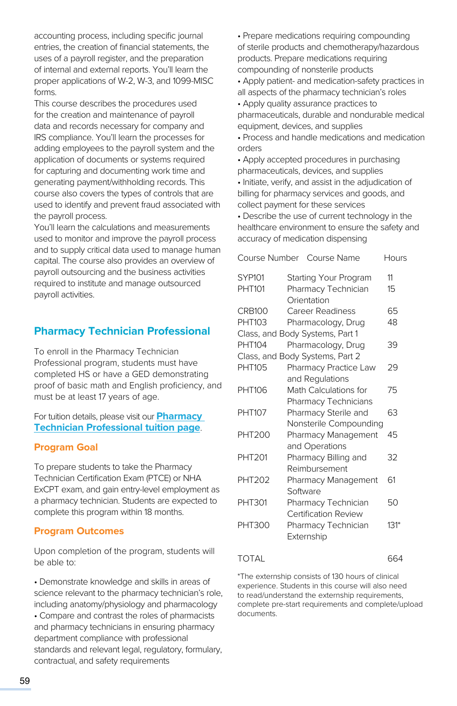accounting process, including specific journal entries, the creation of financial statements, the uses of a payroll register, and the preparation of internal and external reports. You'll learn the proper applications of W-2, W-3, and 1099-MISC forms.

This course describes the procedures used for the creation and maintenance of payroll data and records necessary for company and IRS compliance. You'll learn the processes for adding employees to the payroll system and the application of documents or systems required for capturing and documenting work time and generating payment/withholding records. This course also covers the types of controls that are used to identify and prevent fraud associated with the payroll process.

You'll learn the calculations and measurements used to monitor and improve the payroll process and to supply critical data used to manage human capital. The course also provides an overview of payroll outsourcing and the business activities required to institute and manage outsourced payroll activities.

# **Pharmacy Technician Professional**

To enroll in the Pharmacy Technician Professional program, students must have completed HS or have a GED demonstrating proof of basic math and English proficiency, and must be at least 17 years of age.

For tuition details, please visit our **[Pharmacy](https://www.pennfoster.edu/programs/healthcare/pharmacy-technician-professional-career-diploma/tuition#/)  [Technician Professional tuition page](https://www.pennfoster.edu/programs/healthcare/pharmacy-technician-professional-career-diploma/tuition#/)**.

# **Program Goal**

To prepare students to take the Pharmacy Technician Certification Exam (PTCE) or NHA ExCPT exam, and gain entry-level employment as a pharmacy technician. Students are expected to complete this program within 18 months.

## **Program Outcomes**

Upon completion of the program, students will be able to:

• Demonstrate knowledge and skills in areas of science relevant to the pharmacy technician's role, including anatomy/physiology and pharmacology

• Compare and contrast the roles of pharmacists and pharmacy technicians in ensuring pharmacy department compliance with professional standards and relevant legal, regulatory, formulary, contractual, and safety requirements

• Prepare medications requiring compounding of sterile products and chemotherapy/hazardous products. Prepare medications requiring compounding of nonsterile products

• Apply patient- and medication-safety practices in all aspects of the pharmacy technician's roles

• Apply quality assurance practices to pharmaceuticals, durable and nondurable medical equipment, devices, and supplies

• Process and handle medications and medication orders

• Apply accepted procedures in purchasing pharmaceuticals, devices, and supplies

• Initiate, verify, and assist in the adjudication of billing for pharmacy services and goods, and collect payment for these services

• Describe the use of current technology in the healthcare environment to ensure the safety and accuracy of medication dispensing

|                             | Hours                                                                                           |
|-----------------------------|-------------------------------------------------------------------------------------------------|
| Starting Your Program       | 11                                                                                              |
| Pharmacy Technician         | 15                                                                                              |
| Orientation                 |                                                                                                 |
| <b>Career Readiness</b>     | 65                                                                                              |
| Pharmacology, Drug          | 48                                                                                              |
|                             |                                                                                                 |
| Pharmacology, Drug          | 39                                                                                              |
|                             |                                                                                                 |
| Pharmacy Practice Law       | 29                                                                                              |
| and Regulations             |                                                                                                 |
| Math Calculations for       | 75                                                                                              |
| Pharmacy Technicians        |                                                                                                 |
| Pharmacy Sterile and        | 63                                                                                              |
| Nonsterile Compounding      |                                                                                                 |
| Pharmacy Management         | 45                                                                                              |
| and Operations              |                                                                                                 |
| Pharmacy Billing and        | 32                                                                                              |
| Reimbursement               |                                                                                                 |
| Pharmacy Management         | 61                                                                                              |
| Software                    |                                                                                                 |
| Pharmacy Technician         | 50                                                                                              |
| <b>Certification Review</b> |                                                                                                 |
| Pharmacy Technician         | $131*$                                                                                          |
| Externship                  |                                                                                                 |
|                             | 664                                                                                             |
|                             | Course Number Course Name<br>Class, and Body Systems, Part 1<br>Class, and Body Systems, Part 2 |

\*The externship consists of 130 hours of clinical experience. Students in this course will also need to read/understand the externship requirements, complete pre-start requirements and complete/upload documents.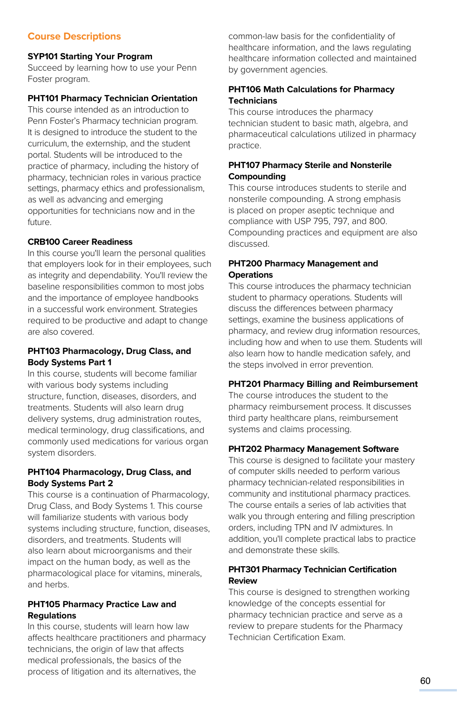# **Course Descriptions**

#### **SYP101 Starting Your Program**

Succeed by learning how to use your Penn Foster program.

#### **PHT101 Pharmacy Technician Orientation**

This course intended as an introduction to Penn Foster's Pharmacy technician program. It is designed to introduce the student to the curriculum, the externship, and the student portal. Students will be introduced to the practice of pharmacy, including the history of pharmacy, technician roles in various practice settings, pharmacy ethics and professionalism, as well as advancing and emerging opportunities for technicians now and in the future.

## **CRB100 Career Readiness**

In this course you'll learn the personal qualities that employers look for in their employees, such as integrity and dependability. You'll review the baseline responsibilities common to most jobs and the importance of employee handbooks in a successful work environment. Strategies required to be productive and adapt to change are also covered.

# **PHT103 Pharmacology, Drug Class, and Body Systems Part 1**

In this course, students will become familiar with various body systems including structure, function, diseases, disorders, and treatments. Students will also learn drug delivery systems, drug administration routes, medical terminology, drug classifications, and commonly used medications for various organ system disorders.

# **PHT104 Pharmacology, Drug Class, and Body Systems Part 2**

This course is a continuation of Pharmacology, Drug Class, and Body Systems 1. This course will familiarize students with various body systems including structure, function, diseases, disorders, and treatments. Students will also learn about microorganisms and their impact on the human body, as well as the pharmacological place for vitamins, minerals, and herbs.

## **PHT105 Pharmacy Practice Law and Regulations**

In this course, students will learn how law affects healthcare practitioners and pharmacy technicians, the origin of law that affects medical professionals, the basics of the process of litigation and its alternatives, the

common-law basis for the confidentiality of healthcare information, and the laws regulating healthcare information collected and maintained by government agencies.

## **PHT106 Math Calculations for Pharmacy Technicians**

This course introduces the pharmacy technician student to basic math, algebra, and pharmaceutical calculations utilized in pharmacy practice.

#### **PHT107 Pharmacy Sterile and Nonsterile Compounding**

This course introduces students to sterile and nonsterile compounding. A strong emphasis is placed on proper aseptic technique and compliance with USP 795, 797, and 800. Compounding practices and equipment are also discussed.

# **PHT200 Pharmacy Management and Operations**

This course introduces the pharmacy technician student to pharmacy operations. Students will discuss the differences between pharmacy settings, examine the business applications of pharmacy, and review drug information resources, including how and when to use them. Students will also learn how to handle medication safely, and the steps involved in error prevention.

## **PHT201 Pharmacy Billing and Reimbursement**

The course introduces the student to the pharmacy reimbursement process. It discusses third party healthcare plans, reimbursement systems and claims processing.

#### **PHT202 Pharmacy Management Software**

This course is designed to facilitate your mastery of computer skills needed to perform various pharmacy technician-related responsibilities in community and institutional pharmacy practices. The course entails a series of lab activities that walk you through entering and filling prescription orders, including TPN and IV admixtures. In addition, you'll complete practical labs to practice and demonstrate these skills.

## **PHT301 Pharmacy Technician Certification Review**

This course is designed to strengthen working knowledge of the concepts essential for pharmacy technician practice and serve as a review to prepare students for the Pharmacy Technician Certification Exam.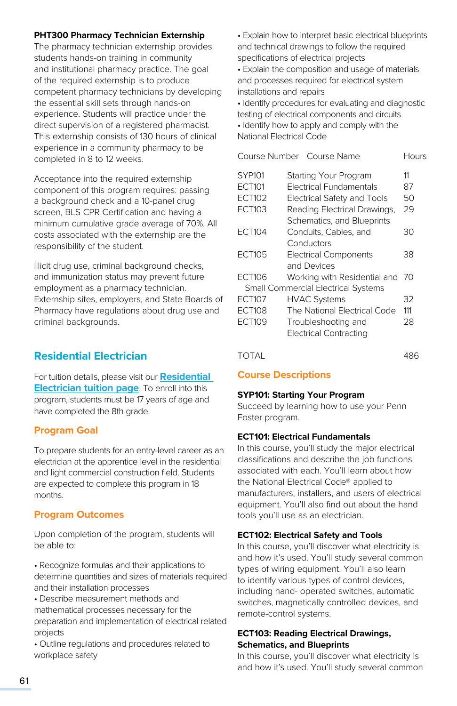#### **PHT300 Pharmacy Technician Externship**

The pharmacy technician externship provides students hands-on training in community and institutional pharmacy practice. The goal of the required externship is to produce competent pharmacy technicians by developing the essential skill sets through hands-on experience. Students will practice under the direct supervision of a registered pharmacist. This externship consists of 130 hours of clinical experience in a community pharmacy to be completed in 8 to 12 weeks.

Acceptance into the required externship component of this program requires: passing a background check and a 10-panel drug screen, BLS CPR Certification and having a minimum cumulative grade average of 70%. All costs associated with the externship are the responsibility of the student.

Illicit drug use, criminal background checks, and immunization status may prevent future employment as a pharmacy technician. Externship sites, employers, and State Boards of Pharmacy have regulations about drug use and criminal backgrounds.

# **Residential Electrician**

For tuition details, please visit our **[Residential](https://www.pennfoster.edu/programs/trades/residential-electrician-career-diploma/tuition#/)  [Electrician tuition page](https://www.pennfoster.edu/programs/trades/residential-electrician-career-diploma/tuition#/)**. To enroll into this program, students must be 17 years of age and have completed the 8th grade.

## **Program Goal**

To prepare students for an entry-level career as an electrician at the apprentice level in the residential and light commercial construction field. Students are expected to complete this program in 18 months.

# **Program Outcomes**

Upon completion of the program, students will be able to:

• Recognize formulas and their applications to determine quantities and sizes of materials required and their installation processes

• Describe measurement methods and mathematical processes necessary for the preparation and implementation of electrical related projects

• Outline regulations and procedures related to workplace safety

• Explain how to interpret basic electrical blueprints and technical drawings to follow the required specifications of electrical projects

• Explain the composition and usage of materials and processes required for electrical system installations and repairs

• Identify procedures for evaluating and diagnostic testing of electrical components and circuits

• Identify how to apply and comply with the National Electrical Code

|               | Course Number Course Name                  | Hours |
|---------------|--------------------------------------------|-------|
| <b>SYP101</b> | Starting Your Program                      | 11    |
| <b>ECT101</b> | Electrical Fundamentals                    | 87    |
| ECT102        | Electrical Safety and Tools                | 50    |
| ECT103        | Reading Electrical Drawings,               | 29    |
|               | Schematics, and Blueprints                 |       |
| <b>ECT104</b> | Conduits, Cables, and                      | 30    |
|               | Conductors                                 |       |
| <b>ECT105</b> | <b>Electrical Components</b>               | 38    |
|               | and Devices                                |       |
| ECT106        | Working with Residential and 70            |       |
|               | <b>Small Commercial Electrical Systems</b> |       |
| <b>ECT107</b> | <b>HVAC Systems</b>                        | 32    |
| <b>ECT108</b> | The National Electrical Code               | 111   |
| ECT109        | Troubleshooting and                        | 28    |
|               | <b>Electrical Contracting</b>              |       |
| TOTAI         |                                            | 486   |

**Course Descriptions**

## **SYP101: Starting Your Program**

Succeed by learning how to use your Penn Foster program.

## **ECT101: Electrical Fundamentals**

In this course, you'll study the major electrical classifications and describe the job functions associated with each. You'll learn about how the National Electrical Code® applied to manufacturers, installers, and users of electrical equipment. You'll also find out about the hand tools you'll use as an electrician.

## **ECT102: Electrical Safety and Tools**

In this course, you'll discover what electricity is and how it's used. You'll study several common types of wiring equipment. You'll also learn to identify various types of control devices, including hand- operated switches, automatic switches, magnetically controlled devices, and remote-control systems.

# **ECT103: Reading Electrical Drawings, Schematics, and Blueprints**

In this course, you'll discover what electricity is and how it's used. You'll study several common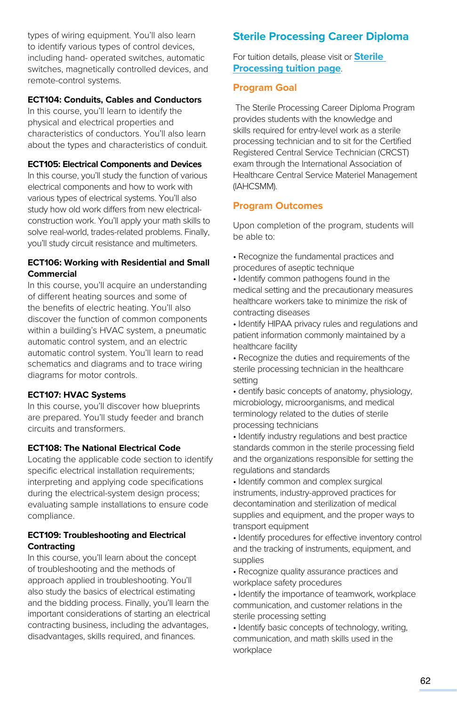types of wiring equipment. You'll also learn to identify various types of control devices, including hand- operated switches, automatic switches, magnetically controlled devices, and remote-control systems.

#### **ECT104: Conduits, Cables and Conductors**

In this course, you'll learn to identify the physical and electrical properties and characteristics of conductors. You'll also learn about the types and characteristics of conduit.

#### **ECT105: Electrical Components and Devices**

In this course, you'll study the function of various electrical components and how to work with various types of electrical systems. You'll also study how old work differs from new electricalconstruction work. You'll apply your math skills to solve real-world, trades-related problems. Finally, you'll study circuit resistance and multimeters.

#### **ECT106: Working with Residential and Small Commercial**

In this course, you'll acquire an understanding of different heating sources and some of the benefits of electric heating. You'll also discover the function of common components within a building's HVAC system, a pneumatic automatic control system, and an electric automatic control system. You'll learn to read schematics and diagrams and to trace wiring diagrams for motor controls.

#### **ECT107: HVAC Systems**

In this course, you'll discover how blueprints are prepared. You'll study feeder and branch circuits and transformers.

#### **ECT108: The National Electrical Code**

Locating the applicable code section to identify specific electrical installation requirements; interpreting and applying code specifications during the electrical-system design process; evaluating sample installations to ensure code compliance.

#### **ECT109: Troubleshooting and Electrical Contracting**

In this course, you'll learn about the concept of troubleshooting and the methods of approach applied in troubleshooting. You'll also study the basics of electrical estimating and the bidding process. Finally, you'll learn the important considerations of starting an electrical contracting business, including the advantages, disadvantages, skills required, and finances.

# **Sterile Processing Career Diploma**

For tuition details, please visit or **Sterile Processin[g tuition page](https://www.pennfoster.edu/programs/healthcare/sterile-processing-career-diploma#tuition)**.

#### **Program Goal**

 The Sterile Processing Career Diploma Program provides students with the knowledge and skills required for entry-level work as a sterile processing technician and to sit for the Certified Registered Central Service Technician (CRCST) exam through the International Association of Healthcare Central Service Materiel Management (IAHCSMM).

#### **Program Outcomes**

Upon completion of the program, students will be able to:

- Recognize the fundamental practices and procedures of aseptic technique
- Identify common pathogens found in the medical setting and the precautionary measures healthcare workers take to minimize the risk of contracting diseases
- Identify HIPAA privacy rules and regulations and patient information commonly maintained by a healthcare facility
- Recognize the duties and requirements of the sterile processing technician in the healthcare setting
- dentify basic concepts of anatomy, physiology, microbiology, microorganisms, and medical terminology related to the duties of sterile processing technicians
- Identify industry regulations and best practice standards common in the sterile processing field and the organizations responsible for setting the regulations and standards
- Identify common and complex surgical instruments, industry-approved practices for decontamination and sterilization of medical supplies and equipment, and the proper ways to transport equipment
- Identify procedures for effective inventory control and the tracking of instruments, equipment, and supplies
- Recognize quality assurance practices and workplace safety procedures
- Identify the importance of teamwork, workplace communication, and customer relations in the sterile processing setting
- Identify basic concepts of technology, writing, communication, and math skills used in the workplace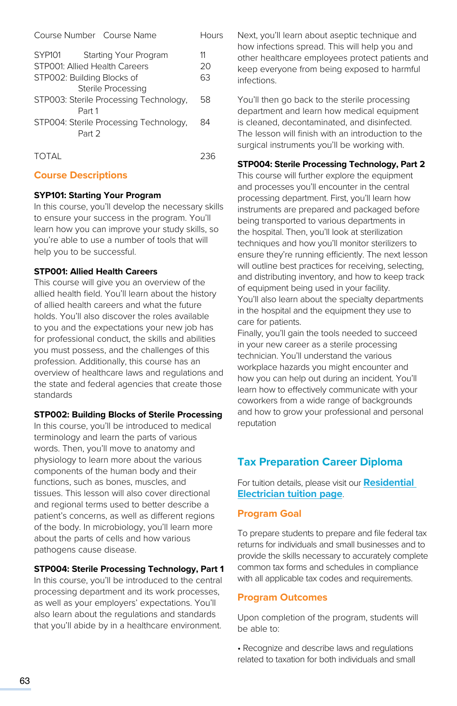| Course Number Course Name                        | Hours |
|--------------------------------------------------|-------|
| <b>SYP101</b><br>Starting Your Program           | 11    |
| STP001: Allied Health Careers                    | 20    |
| STP002: Building Blocks of                       | 63    |
| Sterile Processing                               |       |
| STP003: Sterile Processing Technology,<br>Part 1 | 58    |
| STP004: Sterile Processing Technology,<br>Part 2 | 84    |
| <b>TOTAI</b>                                     | ソろに   |

## **Course Descriptions**

#### **SYP101: Starting Your Program**

In this course, you'll develop the necessary skills to ensure your success in the program. You'll learn how you can improve your study skills, so you're able to use a number of tools that will help you to be successful.

#### **STP001: Allied Health Careers**

This course will give you an overview of the allied health field. You'll learn about the history of allied health careers and what the future holds. You'll also discover the roles available to you and the expectations your new job has for professional conduct, the skills and abilities you must possess, and the challenges of this profession. Additionally, this course has an overview of healthcare laws and regulations and the state and federal agencies that create those standards

## **STP002: Building Blocks of Sterile Processing**

In this course, you'll be introduced to medical terminology and learn the parts of various words. Then, you'll move to anatomy and physiology to learn more about the various components of the human body and their functions, such as bones, muscles, and tissues. This lesson will also cover directional and regional terms used to better describe a patient's concerns, as well as different regions of the body. In microbiology, you'll learn more about the parts of cells and how various pathogens cause disease.

## **STP004: Sterile Processing Technology, Part 1**

In this course, you'll be introduced to the central processing department and its work processes, as well as your employers' expectations. You'll also learn about the regulations and standards that you'll abide by in a healthcare environment.

Next, you'll learn about aseptic technique and how infections spread. This will help you and other healthcare employees protect patients and keep everyone from being exposed to harmful infections.

You'll then go back to the sterile processing department and learn how medical equipment is cleaned, decontaminated, and disinfected. The lesson will finish with an introduction to the surgical instruments you'll be working with.

#### **STP004: Sterile Processing Technology, Part 2**

This course will further explore the equipment and processes you'll encounter in the central processing department. First, you'll learn how instruments are prepared and packaged before being transported to various departments in the hospital. Then, you'll look at sterilization techniques and how you'll monitor sterilizers to ensure they're running efficiently. The next lesson will outline best practices for receiving, selecting, and distributing inventory, and how to keep track of equipment being used in your facility. You'll also learn about the specialty departments in the hospital and the equipment they use to care for patients.

Finally, you'll gain the tools needed to succeed in your new career as a sterile processing technician. You'll understand the various workplace hazards you might encounter and how you can help out during an incident. You'll learn how to effectively communicate with your coworkers from a wide range of backgrounds and how to grow your professional and personal reputation

# **Tax Preparation Career Diploma**

For tuition details, please visit our **[Residential](https://www.pennfoster.edu/programs/business/tax-preparation-career-diploma/tuition#/)  [Electrician tuition page](https://www.pennfoster.edu/programs/business/tax-preparation-career-diploma/tuition#/)**.

# **Program Goal**

To prepare students to prepare and file federal tax returns for individuals and small businesses and to provide the skills necessary to accurately complete common tax forms and schedules in compliance with all applicable tax codes and requirements.

## **Program Outcomes**

Upon completion of the program, students will be able to:

• Recognize and describe laws and regulations related to taxation for both individuals and small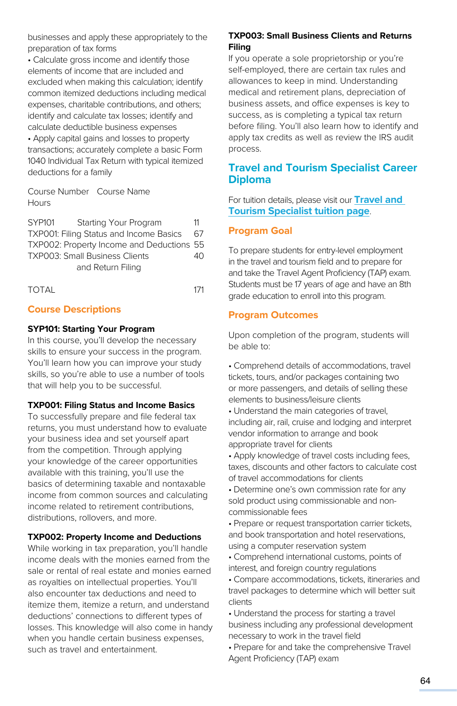businesses and apply these appropriately to the preparation of tax forms

• Calculate gross income and identify those elements of income that are included and excluded when making this calculation; identify common itemized deductions including medical expenses, charitable contributions, and others; identify and calculate tax losses; identify and calculate deductible business expenses • Apply capital gains and losses to property transactions; accurately complete a basic Form

1040 Individual Tax Return with typical itemized deductions for a family

Course Number Course Name **Hours** 

SYP101 Starting Your Program 11 TXP001: Filing Status and Income Basics 67 TXP002: Property Income and Deductions 55 TXP003: Small Business Clients 40 and Return Filing

TOTAL 171

## **Course Descriptions**

#### **SYP101: Starting Your Program**

In this course, you'll develop the necessary skills to ensure your success in the program. You'll learn how you can improve your study skills, so you're able to use a number of tools that will help you to be successful.

#### **TXP001: Filing Status and Income Basics**

To successfully prepare and file federal tax returns, you must understand how to evaluate your business idea and set yourself apart from the competition. Through applying your knowledge of the career opportunities available with this training, you'll use the basics of determining taxable and nontaxable income from common sources and calculating income related to retirement contributions, distributions, rollovers, and more.

#### **TXP002: Property Income and Deductions**

While working in tax preparation, you'll handle income deals with the monies earned from the sale or rental of real estate and monies earned as royalties on intellectual properties. You'll also encounter tax deductions and need to itemize them, itemize a return, and understand deductions' connections to different types of losses. This knowledge will also come in handy when you handle certain business expenses, such as travel and entertainment.

# **TXP003: Small Business Clients and Returns Filing**

If you operate a sole proprietorship or you're self-employed, there are certain tax rules and allowances to keep in mind. Understanding medical and retirement plans, depreciation of business assets, and office expenses is key to success, as is completing a typical tax return before filing. You'll also learn how to identify and apply tax credits as well as review the IRS audit process.

# **Travel and Tourism Specialist Career Diploma**

For tuition details, please visit our **[Travel and](https://www.pennfoster.edu/programs/travel/travel-and-tourism-specialist-career-diploma/tuition#/)  [Tourism Specialist tuition page](https://www.pennfoster.edu/programs/travel/travel-and-tourism-specialist-career-diploma/tuition#/)**.

#### **Program Goal**

To prepare students for entry-level employment in the travel and tourism field and to prepare for and take the Travel Agent Proficiency (TAP) exam. Students must be 17 years of age and have an 8th grade education to enroll into this program.

## **Program Outcomes**

Upon completion of the program, students will be able to:

• Comprehend details of accommodations, travel tickets, tours, and/or packages containing two or more passengers, and details of selling these elements to business/leisure clients

• Understand the main categories of travel, including air, rail, cruise and lodging and interpret vendor information to arrange and book appropriate travel for clients

• Apply knowledge of travel costs including fees, taxes, discounts and other factors to calculate cost of travel accommodations for clients

• Determine one's own commission rate for any sold product using commissionable and noncommissionable fees

• Prepare or request transportation carrier tickets, and book transportation and hotel reservations, using a computer reservation system

• Comprehend international customs, points of interest, and foreign country regulations

• Compare accommodations, tickets, itineraries and travel packages to determine which will better suit clients

• Understand the process for starting a travel business including any professional development necessary to work in the travel field

• Prepare for and take the comprehensive Travel Agent Proficiency (TAP) exam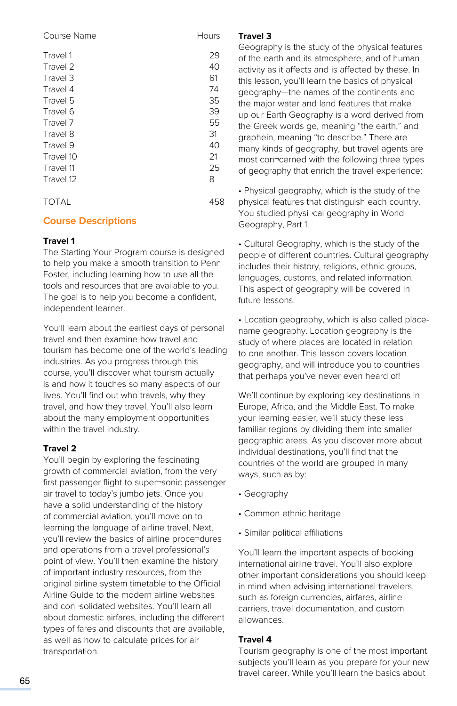| Course Name | Hours |
|-------------|-------|
| Travel 1    | 29    |
| Travel 2    | 40    |
| Travel 3    | 61    |
| Travel 4    | 74    |
| Travel 5    | 35    |
| Travel 6    | 39    |
| Travel 7    | 55    |
| Travel 8    | 31    |
| Travel 9    | 40    |
| Travel 10   | 21    |
| Travel 11   | 25    |
| Travel 12   | 8     |
| TOTAL       | 458   |

# **Course Descriptions**

#### **Travel 1**

The Starting Your Program course is designed to help you make a smooth transition to Penn Foster, including learning how to use all the tools and resources that are available to you. The goal is to help you become a confident, independent learner.

You'll learn about the earliest days of personal travel and then examine how travel and tourism has become one of the world's leading industries. As you progress through this course, you'll discover what tourism actually is and how it touches so many aspects of our lives. You'll find out who travels, why they travel, and how they travel. You'll also learn about the many employment opportunities within the travel industry.

## **Travel 2**

You'll begin by exploring the fascinating growth of commercial aviation, from the very first passenger flight to super¬sonic passenger air travel to today's jumbo jets. Once you have a solid understanding of the history of commercial aviation, you'll move on to learning the language of airline travel. Next, you'll review the basics of airline proce¬dures and operations from a travel professional's point of view. You'll then examine the history of important industry resources, from the original airline system timetable to the Official Airline Guide to the modern airline websites and con¬solidated websites. You'll learn all about domestic airfares, including the different types of fares and discounts that are available, as well as how to calculate prices for air transportation.

#### **Travel 3**

Geography is the study of the physical features of the earth and its atmosphere, and of human activity as it affects and is affected by these. In this lesson, you'll learn the basics of physical geography—the names of the continents and the major water and land features that make up our Earth Geography is a word derived from the Greek words ge, meaning "the earth," and graphein, meaning "to describe." There are many kinds of geography, but travel agents are most con¬cerned with the following three types of geography that enrich the travel experience:

• Physical geography, which is the study of the physical features that distinguish each country. You studied physi¬cal geography in World Geography, Part 1.

• Cultural Geography, which is the study of the people of different countries. Cultural geography includes their history, religions, ethnic groups, languages, customs, and related information. This aspect of geography will be covered in future lessons.

• Location geography, which is also called placename geography. Location geography is the study of where places are located in relation to one another. This lesson covers location geography, and will introduce you to countries that perhaps you've never even heard of!

We'll continue by exploring key destinations in Europe, Africa, and the Middle East. To make your learning easier, we'll study these less familiar regions by dividing them into smaller geographic areas. As you discover more about individual destinations, you'll find that the countries of the world are grouped in many ways, such as by:

- Geography
- Common ethnic heritage
- Similar political affiliations

You'll learn the important aspects of booking international airline travel. You'll also explore other important considerations you should keep in mind when advising international travelers, such as foreign currencies, airfares, airline carriers, travel documentation, and custom allowances.

#### **Travel 4**

Tourism geography is one of the most important subjects you'll learn as you prepare for your new travel career. While you'll learn the basics about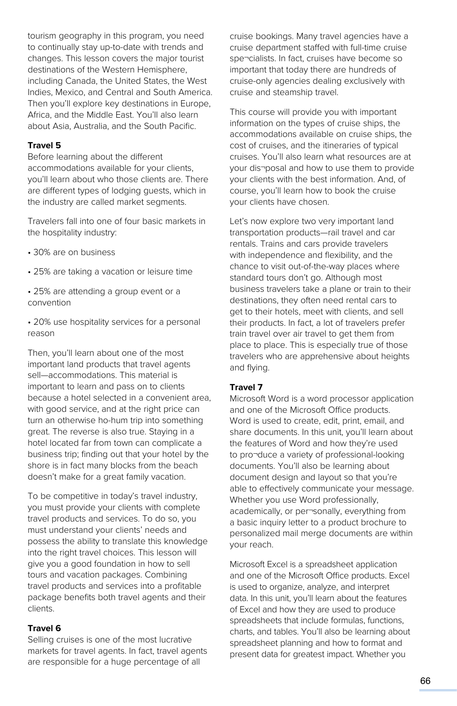tourism geography in this program, you need to continually stay up-to-date with trends and changes. This lesson covers the major tourist destinations of the Western Hemisphere, including Canada, the United States, the West Indies, Mexico, and Central and South America. Then you'll explore key destinations in Europe, Africa, and the Middle East. You'll also learn about Asia, Australia, and the South Pacific.

#### **Travel 5**

Before learning about the different accommodations available for your clients, you'll learn about who those clients are. There are different types of lodging guests, which in the industry are called market segments.

Travelers fall into one of four basic markets in the hospitality industry:

- 30% are on business
- 25% are taking a vacation or leisure time
- 25% are attending a group event or a convention

• 20% use hospitality services for a personal reason

Then, you'll learn about one of the most important land products that travel agents sell—accommodations. This material is important to learn and pass on to clients because a hotel selected in a convenient area, with good service, and at the right price can turn an otherwise ho-hum trip into something great. The reverse is also true. Staying in a hotel located far from town can complicate a business trip; finding out that your hotel by the shore is in fact many blocks from the beach doesn't make for a great family vacation.

To be competitive in today's travel industry, you must provide your clients with complete travel products and services. To do so, you must understand your clients' needs and possess the ability to translate this knowledge into the right travel choices. This lesson will give you a good foundation in how to sell tours and vacation packages. Combining travel products and services into a profitable package benefits both travel agents and their clients.

#### **Travel 6**

Selling cruises is one of the most lucrative markets for travel agents. In fact, travel agents are responsible for a huge percentage of all

cruise bookings. Many travel agencies have a cruise department staffed with full-time cruise spe¬cialists. In fact, cruises have become so important that today there are hundreds of cruise-only agencies dealing exclusively with cruise and steamship travel.

This course will provide you with important information on the types of cruise ships, the accommodations available on cruise ships, the cost of cruises, and the itineraries of typical cruises. You'll also learn what resources are at your dis¬posal and how to use them to provide your clients with the best information. And, of course, you'll learn how to book the cruise your clients have chosen.

Let's now explore two very important land transportation products—rail travel and car rentals. Trains and cars provide travelers with independence and flexibility, and the chance to visit out-of-the-way places where standard tours don't go. Although most business travelers take a plane or train to their destinations, they often need rental cars to get to their hotels, meet with clients, and sell their products. In fact, a lot of travelers prefer train travel over air travel to get them from place to place. This is especially true of those travelers who are apprehensive about heights and flying.

#### **Travel 7**

Microsoft Word is a word processor application and one of the Microsoft Office products. Word is used to create, edit, print, email, and share documents. In this unit, you'll learn about the features of Word and how they're used to pro¬duce a variety of professional-looking documents. You'll also be learning about document design and layout so that you're able to effectively communicate your message. Whether you use Word professionally, academically, or per¬sonally, everything from a basic inquiry letter to a product brochure to personalized mail merge documents are within your reach.

Microsoft Excel is a spreadsheet application and one of the Microsoft Office products. Excel is used to organize, analyze, and interpret data. In this unit, you'll learn about the features of Excel and how they are used to produce spreadsheets that include formulas, functions, charts, and tables. You'll also be learning about spreadsheet planning and how to format and present data for greatest impact. Whether you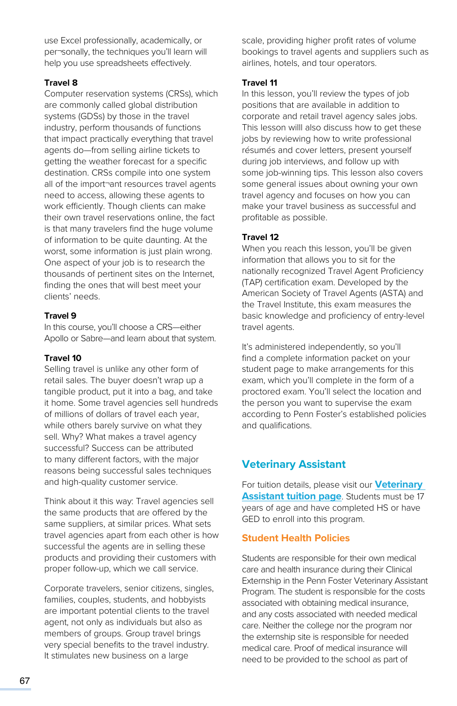use Excel professionally, academically, or per¬sonally, the techniques you'll learn will help you use spreadsheets effectively.

# **Travel 8**

Computer reservation systems (CRSs), which are commonly called global distribution systems (GDSs) by those in the travel industry, perform thousands of functions that impact practically everything that travel agents do—from selling airline tickets to getting the weather forecast for a specific destination. CRSs compile into one system all of the import¬ant resources travel agents need to access, allowing these agents to work efficiently. Though clients can make their own travel reservations online, the fact is that many travelers find the huge volume of information to be quite daunting. At the worst, some information is just plain wrong. One aspect of your job is to research the thousands of pertinent sites on the Internet, finding the ones that will best meet your clients' needs.

#### **Travel 9**

In this course, you'll choose a CRS—either Apollo or Sabre—and learn about that system.

#### **Travel 10**

Selling travel is unlike any other form of retail sales. The buyer doesn't wrap up a tangible product, put it into a bag, and take it home. Some travel agencies sell hundreds of millions of dollars of travel each year, while others barely survive on what they sell. Why? What makes a travel agency successful? Success can be attributed to many different factors, with the major reasons being successful sales techniques and high-quality customer service.

Think about it this way: Travel agencies sell the same products that are offered by the same suppliers, at similar prices. What sets travel agencies apart from each other is how successful the agents are in selling these products and providing their customers with proper follow-up, which we call service.

Corporate travelers, senior citizens, singles, families, couples, students, and hobbyists are important potential clients to the travel agent, not only as individuals but also as members of groups. Group travel brings very special benefits to the travel industry. It stimulates new business on a large

scale, providing higher profit rates of volume bookings to travel agents and suppliers such as airlines, hotels, and tour operators.

#### **Travel 11**

In this lesson, you'll review the types of job positions that are available in addition to corporate and retail travel agency sales jobs. This lesson willl also discuss how to get these jobs by reviewing how to write professional résumés and cover letters, present yourself during job interviews, and follow up with some job-winning tips. This lesson also covers some general issues about owning your own travel agency and focuses on how you can make your travel business as successful and profitable as possible.

## **Travel 12**

When you reach this lesson, you'll be given information that allows you to sit for the nationally recognized Travel Agent Proficiency (TAP) certification exam. Developed by the American Society of Travel Agents (ASTA) and the Travel Institute, this exam measures the basic knowledge and proficiency of entry-level travel agents.

It's administered independently, so you'll find a complete information packet on your student page to make arrangements for this exam, which you'll complete in the form of a proctored exam. You'll select the location and the person you want to supervise the exam according to Penn Foster's established policies and qualifications.

# **Veterinary Assistant**

For tuition details, please visit our **[Veterinary](https://www.pennfoster.edu/programs/veterinary/veterinary-assistant-career-diploma#tuition)  [Assistant tuition page](https://www.pennfoster.edu/programs/veterinary/veterinary-assistant-career-diploma#tuition)**. Students must be 17 years of age and have completed HS or have GED to enroll into this program.

## **Student Health Policies**

Students are responsible for their own medical care and health insurance during their Clinical Externship in the Penn Foster Veterinary Assistant Program. The student is responsible for the costs associated with obtaining medical insurance, and any costs associated with needed medical care. Neither the college nor the program nor the externship site is responsible for needed medical care. Proof of medical insurance will need to be provided to the school as part of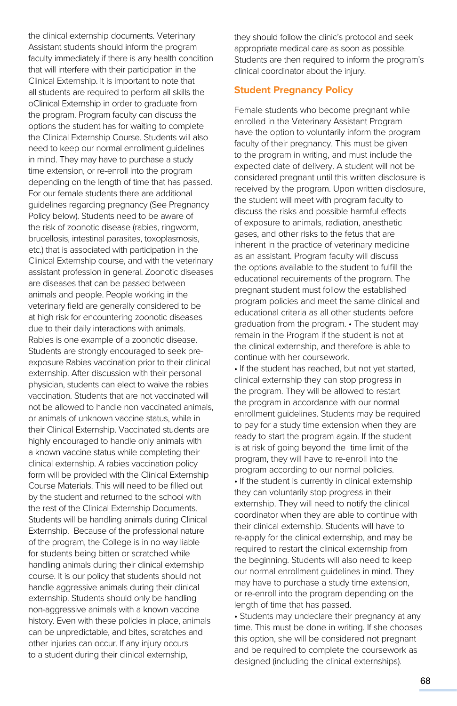the clinical externship documents. Veterinary Assistant students should inform the program faculty immediately if there is any health condition that will interfere with their participation in the Clinical Externship. It is important to note that all students are required to perform all skills the oClinical Externship in order to graduate from the program. Program faculty can discuss the options the student has for waiting to complete the Clinical Externship Course. Students will also need to keep our normal enrollment guidelines in mind. They may have to purchase a study time extension, or re-enroll into the program depending on the length of time that has passed. For our female students there are additional guidelines regarding pregnancy (See Pregnancy Policy below). Students need to be aware of the risk of zoonotic disease (rabies, ringworm, brucellosis, intestinal parasites, toxoplasmosis, etc.) that is associated with participation in the Clinical Externship course, and with the veterinary assistant profession in general. Zoonotic diseases are diseases that can be passed between animals and people. People working in the veterinary field are generally considered to be at high risk for encountering zoonotic diseases due to their daily interactions with animals. Rabies is one example of a zoonotic disease. Students are strongly encouraged to seek preexposure Rabies vaccination prior to their clinical externship. After discussion with their personal physician, students can elect to waive the rabies vaccination. Students that are not vaccinated will not be allowed to handle non vaccinated animals, or animals of unknown vaccine status, while in their Clinical Externship. Vaccinated students are highly encouraged to handle only animals with a known vaccine status while completing their clinical externship. A rabies vaccination policy form will be provided with the Clinical Externship Course Materials. This will need to be filled out by the student and returned to the school with the rest of the Clinical Externship Documents. Students will be handling animals during Clinical Externship. Because of the professional nature of the program, the College is in no way liable for students being bitten or scratched while handling animals during their clinical externship course. It is our policy that students should not handle aggressive animals during their clinical externship. Students should only be handling non-aggressive animals with a known vaccine history. Even with these policies in place, animals can be unpredictable, and bites, scratches and other injuries can occur. If any injury occurs to a student during their clinical externship,

they should follow the clinic's protocol and seek appropriate medical care as soon as possible. Students are then required to inform the program's clinical coordinator about the injury.

# **Student Pregnancy Policy**

Female students who become pregnant while enrolled in the Veterinary Assistant Program have the option to voluntarily inform the program faculty of their pregnancy. This must be given to the program in writing, and must include the expected date of delivery. A student will not be considered pregnant until this written disclosure is received by the program. Upon written disclosure, the student will meet with program faculty to discuss the risks and possible harmful effects of exposure to animals, radiation, anesthetic gases, and other risks to the fetus that are inherent in the practice of veterinary medicine as an assistant. Program faculty will discuss the options available to the student to fulfill the educational requirements of the program. The pregnant student must follow the established program policies and meet the same clinical and educational criteria as all other students before graduation from the program. • The student may remain in the Program if the student is not at the clinical externship, and therefore is able to continue with her coursework.

• If the student has reached, but not yet started, clinical externship they can stop progress in the program. They will be allowed to restart the program in accordance with our normal enrollment guidelines. Students may be required to pay for a study time extension when they are ready to start the program again. If the student is at risk of going beyond the time limit of the program, they will have to re-enroll into the program according to our normal policies. • If the student is currently in clinical externship they can voluntarily stop progress in their externship. They will need to notify the clinical coordinator when they are able to continue with their clinical externship. Students will have to re-apply for the clinical externship, and may be required to restart the clinical externship from the beginning. Students will also need to keep our normal enrollment guidelines in mind. They may have to purchase a study time extension, or re-enroll into the program depending on the length of time that has passed.

• Students may undeclare their pregnancy at any time. This must be done in writing. If she chooses this option, she will be considered not pregnant and be required to complete the coursework as designed (including the clinical externships).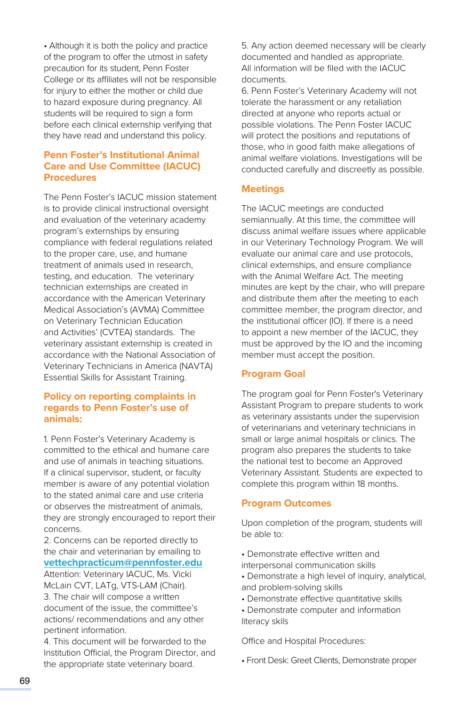• Although it is both the policy and practice of the program to offer the utmost in safety precaution for its student, Penn Foster College or its affiliates will not be responsible for injury to either the mother or child due to hazard exposure during pregnancy. All students will be required to sign a form before each clinical externship verifying that they have read and understand this policy.

# **Penn Foster's Institutional Animal Care and Use Committee (IACUC) Procedures**

The Penn Foster's IACUC mission statement is to provide clinical instructional oversight and evaluation of the veterinary academy program's externships by ensuring compliance with federal regulations related to the proper care, use, and humane treatment of animals used in research, testing, and education. The veterinary technician externships are created in accordance with the American Veterinary Medical Association's (AVMA) Committee on Veterinary Technician Education and Activities' (CVTEA) standards. The veterinary assistant externship is created in accordance with the National Association of Veterinary Technicians in America (NAVTA) Essential Skills for Assistant Training.

## **Policy on reporting complaints in regards to Penn Foster's use of animals:**

1. Penn Foster's Veterinary Academy is committed to the ethical and humane care and use of animals in teaching situations. If a clinical supervisor, student, or faculty member is aware of any potential violation to the stated animal care and use criteria or observes the mistreatment of animals, they are strongly encouraged to report their concerns.

2. Concerns can be reported directly to the chair and veterinarian by emailing to **[vettechpracticum@pennfoster.edu](mailto:mailto:vettechpracticum%40pennfoster.edu?subject=)**

Attention: Veterinary IACUC, Ms. Vicki McLain CVT, LATg, VTS-LAM (Chair). 3. The chair will compose a written document of the issue, the committee's actions/ recommendations and any other pertinent information.

4. This document will be forwarded to the Institution Official, the Program Director, and the appropriate state veterinary board.

5. Any action deemed necessary will be clearly documented and handled as appropriate. All information will be filed with the IACUC documents.

6. Penn Foster's Veterinary Academy will not tolerate the harassment or any retaliation directed at anyone who reports actual or possible violations. The Penn Foster IACUC will protect the positions and reputations of those, who in good faith make allegations of animal welfare violations. Investigations will be conducted carefully and discreetly as possible.

# **Meetings**

The IACUC meetings are conducted semiannually. At this time, the committee will discuss animal welfare issues where applicable in our Veterinary Technology Program. We will evaluate our animal care and use protocols, clinical externships, and ensure compliance with the Animal Welfare Act. The meeting minutes are kept by the chair, who will prepare and distribute them after the meeting to each committee member, the program director, and the institutional officer (IO). If there is a need to appoint a new member of the IACUC, they must be approved by the IO and the incoming member must accept the position.

# **Program Goal**

The program goal for Penn Foster's Veterinary Assistant Program to prepare students to work as veterinary assistants under the supervision of veterinarians and veterinary technicians in small or large animal hospitals or clinics. The program also prepares the students to take the national test to become an Approved Veterinary Assistant. Students are expected to complete this program within 18 months.

## **Program Outcomes**

Upon completion of the program, students will be able to:

- Demonstrate effective written and interpersonal communication skills
- Demonstrate a high level of inquiry, analytical, and problem-solving skills
- Demonstrate effective quantitative skills
- Demonstrate computer and information literacy skils

Office and Hospital Procedures:

• Front Desk: Greet Clients, Demonstrate proper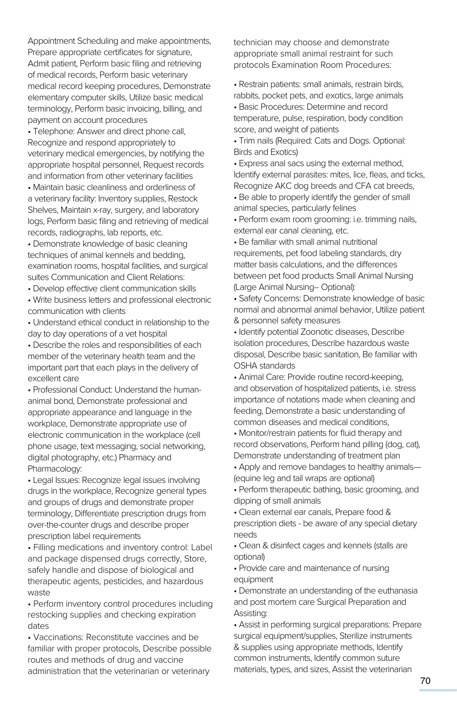Appointment Scheduling and make appointments, Prepare appropriate certificates for signature, Admit patient, Perform basic filing and retrieving of medical records, Perform basic veterinary medical record keeping procedures, Demonstrate elementary computer skills, Utilize basic medical terminology, Perform basic invoicing, billing, and payment on account procedures

• Telephone: Answer and direct phone call, Recognize and respond appropriately to veterinary medical emergencies, by notifying the appropriate hospital personnel, Request records and information from other veterinary facilities

• Maintain basic cleanliness and orderliness of a veterinary facility: Inventory supplies, Restock Shelves, Maintain x-ray, surgery, and laboratory logs, Perform basic filing and retrieving of medical records, radiographs, lab reports, etc.

• Demonstrate knowledge of basic cleaning techniques of animal kennels and bedding, examination rooms, hospital facilities, and surgical suites Communication and Client Relations:

• Develop effective client communication skills

• Write business letters and professional electronic communication with clients

• Understand ethical conduct in relationship to the day to day operations of a vet hospital

• Describe the roles and responsibilities of each member of the veterinary health team and the important part that each plays in the delivery of excellent care

• Professional Conduct: Understand the humananimal bond, Demonstrate professional and appropriate appearance and language in the workplace, Demonstrate appropriate use of electronic communication in the workplace (cell phone usage, text messaging, social networking, digital photography, etc.) Pharmacy and Pharmacology:

• Legal Issues: Recognize legal issues involving drugs in the workplace, Recognize general types and groups of drugs and demonstrate proper terminology, Differentiate prescription drugs from over-the-counter drugs and describe proper prescription label requirements

• Filling medications and inventory control: Label and package dispensed drugs correctly, Store, safely handle and dispose of biological and therapeutic agents, pesticides, and hazardous waste

• Perform inventory control procedures including restocking supplies and checking expiration dates

• Vaccinations: Reconstitute vaccines and be familiar with proper protocols, Describe possible routes and methods of drug and vaccine administration that the veterinarian or veterinary technician may choose and demonstrate appropriate small animal restraint for such protocols Examination Room Procedures:

• Restrain patients: small animals, restrain birds, rabbits, pocket pets, and exotics, large animals

• Basic Procedures: Determine and record temperature, pulse, respiration, body condition score, and weight of patients

• Trim nails (Required: Cats and Dogs. Optional: Birds and Exotics)

• Express anal sacs using the external method, Identify external parasites: mites, lice, fleas, and ticks, Recognize AKC dog breeds and CFA cat breeds,

• Be able to properly identify the gender of small animal species, particularly felines

• Perform exam room grooming: i.e. trimming nails, external ear canal cleaning, etc.

• Be familiar with small animal nutritional requirements, pet food labeling standards, dry matter basis calculations, and the differences between pet food products Small Animal Nursing (Large Animal Nursing-- Optional):

• Safety Concerns: Demonstrate knowledge of basic normal and abnormal animal behavior, Utilize patient & personnel safety measures

• Identify potential Zoonotic diseases, Describe isolation procedures, Describe hazardous waste disposal, Describe basic sanitation, Be familiar with OSHA standards

• Animal Care: Provide routine record-keeping, and observation of hospitalized patients, i.e. stress importance of notations made when cleaning and feeding, Demonstrate a basic understanding of common diseases and medical conditions,

• Monitor/restrain patients for fluid therapy and record observations, Perform hand pilling (dog, cat), Demonstrate understanding of treatment plan

• Apply and remove bandages to healthy animals— (equine leg and tail wraps are optional)

• Perform therapeutic bathing, basic grooming, and dipping of small animals

• Clean external ear canals, Prepare food & prescription diets - be aware of any special dietary needs

• Clean & disinfect cages and kennels (stalls are optional)

• Provide care and maintenance of nursing equipment

• Demonstrate an understanding of the euthanasia and post mortem care Surgical Preparation and Assisting:

• Assist in performing surgical preparations: Prepare surgical equipment/supplies, Sterilize instruments & supplies using appropriate methods, Identify common instruments, Identify common suture materials, types, and sizes, Assist the veterinarian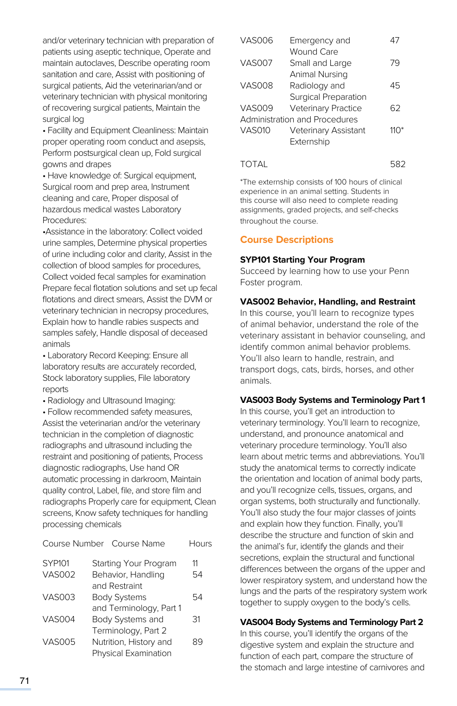and/or veterinary technician with preparation of patients using aseptic technique, Operate and maintain autoclaves, Describe operating room sanitation and care, Assist with positioning of surgical patients, Aid the veterinarian/and or veterinary technician with physical monitoring of recovering surgical patients, Maintain the surgical log

• Facility and Equipment Cleanliness: Maintain proper operating room conduct and asepsis, Perform postsurgical clean up, Fold surgical gowns and drapes

• Have knowledge of: Surgical equipment, Surgical room and prep area, Instrument cleaning and care, Proper disposal of hazardous medical wastes Laboratory Procedures:

•Assistance in the laboratory: Collect voided urine samples, Determine physical properties of urine including color and clarity, Assist in the collection of blood samples for procedures, Collect voided fecal samples for examination Prepare fecal flotation solutions and set up fecal flotations and direct smears, Assist the DVM or veterinary technician in necropsy procedures, Explain how to handle rabies suspects and samples safely, Handle disposal of deceased animals

• Laboratory Record Keeping: Ensure all laboratory results are accurately recorded, Stock laboratory supplies, File laboratory reports

• Radiology and Ultrasound Imaging:

• Follow recommended safety measures, Assist the veterinarian and/or the veterinary technician in the completion of diagnostic radiographs and ultrasound including the restraint and positioning of patients, Process diagnostic radiographs, Use hand OR automatic processing in darkroom, Maintain quality control, Label, file, and store film and radiographs Properly care for equipment, Clean screens, Know safety techniques for handling processing chemicals

|               | Course Number Course Name | Hours |
|---------------|---------------------------|-------|
| SYP101        | Starting Your Program     | 11    |
| <b>VAS002</b> | Behavior, Handling        | 54    |
|               | and Restraint             |       |
| <b>VAS003</b> | <b>Body Systems</b>       | 54    |
|               | and Terminology, Part 1   |       |
| <b>VAS004</b> | Body Systems and          | 31    |
|               | Terminology, Part 2       |       |
| <b>VAS005</b> | Nutrition, History and    | 89    |
|               | Physical Examination      |       |
|               |                           |       |

| VAS006        | Emergency and                 |        |
|---------------|-------------------------------|--------|
|               | Wound Care                    |        |
| <b>VAS007</b> | Small and Large               | 79     |
|               | Animal Nursing                |        |
| <b>VAS008</b> | Radiology and                 | 45     |
|               | Surgical Preparation          |        |
| VAS009        | <b>Veterinary Practice</b>    | 62     |
|               | Administration and Procedures |        |
| <b>VAS010</b> | Veterinary Assistant          | 11( )* |
|               | Externship                    |        |
|               |                               |        |

TOTAL 582

\*The externship consists of 100 hours of clinical experience in an animal setting. Students in this course will also need to complete reading assignments, graded projects, and self-checks throughout the course.

# **Course Descriptions**

#### **SYP101 Starting Your Program**

Succeed by learning how to use your Penn Foster program.

#### **VAS002 Behavior, Handling, and Restraint**

In this course, you'll learn to recognize types of animal behavior, understand the role of the veterinary assistant in behavior counseling, and identify common animal behavior problems. You'll also learn to handle, restrain, and transport dogs, cats, birds, horses, and other animals.

#### **VAS003 Body Systems and Terminology Part 1**

In this course, you'll get an introduction to veterinary terminology. You'll learn to recognize, understand, and pronounce anatomical and veterinary procedure terminology. You'll also learn about metric terms and abbreviations. You'll study the anatomical terms to correctly indicate the orientation and location of animal body parts, and you'll recognize cells, tissues, organs, and organ systems, both structurally and functionally. You'll also study the four major classes of joints and explain how they function. Finally, you'll describe the structure and function of skin and the animal's fur, identify the glands and their secretions, explain the structural and functional differences between the organs of the upper and lower respiratory system, and understand how the lungs and the parts of the respiratory system work together to supply oxygen to the body's cells.

## **VAS004 Body Systems and Terminology Part 2**

In this course, you'll identify the organs of the digestive system and explain the structure and function of each part, compare the structure of the stomach and large intestine of carnivores and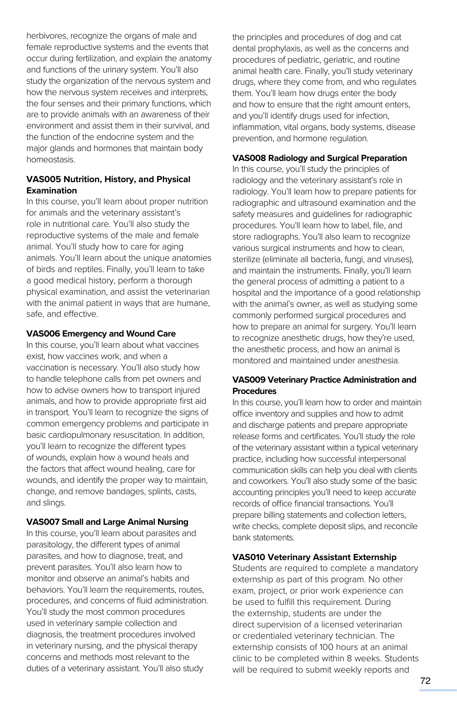herbivores, recognize the organs of male and female reproductive systems and the events that occur during fertilization, and explain the anatomy and functions of the urinary system. You'll also study the organization of the nervous system and how the nervous system receives and interprets, the four senses and their primary functions, which are to provide animals with an awareness of their environment and assist them in their survival, and the function of the endocrine system and the major glands and hormones that maintain body homeostasis.

#### **VAS005 Nutrition, History, and Physical Examination**

In this course, you'll learn about proper nutrition for animals and the veterinary assistant's role in nutritional care. You'll also study the reproductive systems of the male and female animal. You'll study how to care for aging animals. You'll learn about the unique anatomies of birds and reptiles. Finally, you'll learn to take a good medical history, perform a thorough physical examination, and assist the veterinarian with the animal patient in ways that are humane, safe, and effective.

#### **VAS006 Emergency and Wound Care**

In this course, you'll learn about what vaccines exist, how vaccines work, and when a vaccination is necessary. You'll also study how to handle telephone calls from pet owners and how to advise owners how to transport injured animals, and how to provide appropriate first aid in transport. You'll learn to recognize the signs of common emergency problems and participate in basic cardiopulmonary resuscitation. In addition, you'll learn to recognize the different types of wounds, explain how a wound heals and the factors that affect wound healing, care for wounds, and identify the proper way to maintain, change, and remove bandages, splints, casts, and slings.

#### **VAS007 Small and Large Animal Nursing**

In this course, you'll learn about parasites and parasitology, the different types of animal parasites, and how to diagnose, treat, and prevent parasites. You'll also learn how to monitor and observe an animal's habits and behaviors. You'll learn the requirements, routes, procedures, and concerns of fluid administration. You'll study the most common procedures used in veterinary sample collection and diagnosis, the treatment procedures involved in veterinary nursing, and the physical therapy concerns and methods most relevant to the duties of a veterinary assistant. You'll also study

the principles and procedures of dog and cat dental prophylaxis, as well as the concerns and procedures of pediatric, geriatric, and routine animal health care. Finally, you'll study veterinary drugs, where they come from, and who regulates them. You'll learn how drugs enter the body and how to ensure that the right amount enters, and you'll identify drugs used for infection, inflammation, vital organs, body systems, disease prevention, and hormone regulation.

#### **VAS008 Radiology and Surgical Preparation**

In this course, you'll study the principles of radiology and the veterinary assistant's role in radiology. You'll learn how to prepare patients for radiographic and ultrasound examination and the safety measures and guidelines for radiographic procedures. You'll learn how to label, file, and store radiographs. You'll also learn to recognize various surgical instruments and how to clean, sterilize (eliminate all bacteria, fungi, and viruses), and maintain the instruments. Finally, you'll learn the general process of admitting a patient to a hospital and the importance of a good relationship with the animal's owner, as well as studying some commonly performed surgical procedures and how to prepare an animal for surgery. You'll learn to recognize anesthetic drugs, how they're used, the anesthetic process, and how an animal is monitored and maintained under anesthesia.

#### **VAS009 Veterinary Practice Administration and Procedures**

In this course, you'll learn how to order and maintain office inventory and supplies and how to admit and discharge patients and prepare appropriate release forms and certificates. You'll study the role of the veterinary assistant within a typical veterinary practice, including how successful interpersonal communication skills can help you deal with clients and coworkers. You'll also study some of the basic accounting principles you'll need to keep accurate records of office financial transactions. You'll prepare billing statements and collection letters, write checks, complete deposit slips, and reconcile bank statements.

#### **VAS010 Veterinary Assistant Externship**

Students are required to complete a mandatory externship as part of this program. No other exam, project, or prior work experience can be used to fulfill this requirement. During the externship, students are under the direct supervision of a licensed veterinarian or credentialed veterinary technician. The externship consists of 100 hours at an animal clinic to be completed within 8 weeks. Students will be required to submit weekly reports and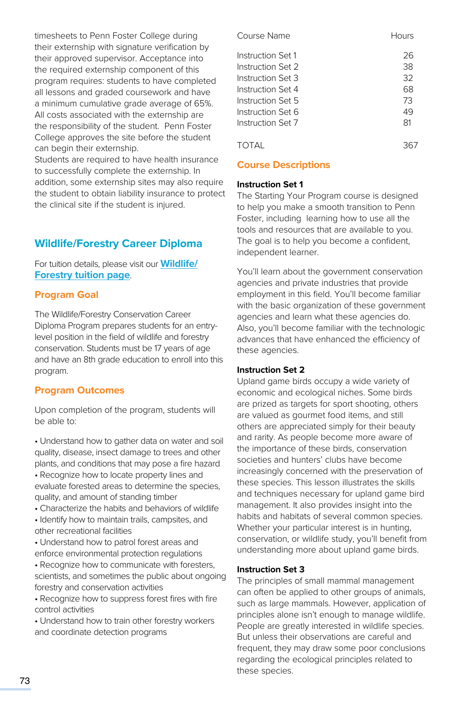timesheets to Penn Foster College during their externship with signature verification by their approved supervisor. Acceptance into the required externship component of this program requires: students to have completed all lessons and graded coursework and have a minimum cumulative grade average of 65%. All costs associated with the externship are the responsibility of the student. Penn Foster College approves the site before the student can begin their externship.

Students are required to have health insurance to successfully complete the externship. In addition, some externship sites may also require the student to obtain liability insurance to protect the clinical site if the student is injured.

# **Wildlife/Forestry Career Diploma**

For tuition details, please visit our **[Wildlife/](https://www.pennfoster.edu/programs/veterinary/wildlife-forestry-conservation-career-diploma/tuition#/) [Forestry tuition page](https://www.pennfoster.edu/programs/veterinary/wildlife-forestry-conservation-career-diploma/tuition#/)**.

#### **Program Goal**

The Wildlife/Forestry Conservation Career Diploma Program prepares students for an entrylevel position in the field of wildlife and forestry conservation. Students must be 17 years of age and have an 8th grade education to enroll into this program.

#### **Program Outcomes**

Upon completion of the program, students will be able to:

- Understand how to gather data on water and soil quality, disease, insect damage to trees and other plants, and conditions that may pose a fire hazard
- Recognize how to locate property lines and evaluate forested areas to determine the species, quality, and amount of standing timber
- Characterize the habits and behaviors of wildlife
- Identify how to maintain trails, campsites, and other recreational facilities
- Understand how to patrol forest areas and enforce environmental protection regulations
- Recognize how to communicate with foresters, scientists, and sometimes the public about ongoing forestry and conservation activities
- Recognize how to suppress forest fires with fire control activities
- Understand how to train other forestry workers and coordinate detection programs

| Course Name       | Hours |
|-------------------|-------|
| Instruction Set 1 | 26    |
| Instruction Set 2 | 38    |
| Instruction Set 3 | 32    |
| Instruction Set 4 | 68    |
| Instruction Set 5 | 73    |
| Instruction Set 6 | 49    |
| Instruction Set 7 | 81    |
| TOTAL             |       |

#### **Course Descriptions**

#### **Instruction Set 1**

The Starting Your Program course is designed to help you make a smooth transition to Penn Foster, including learning how to use all the tools and resources that are available to you. The goal is to help you become a confident, independent learner.

You'll learn about the government conservation agencies and private industries that provide employment in this field. You'll become familiar with the basic organization of these government agencies and learn what these agencies do. Also, you'll become familiar with the technologic advances that have enhanced the efficiency of these agencies.

#### **Instruction Set 2**

Upland game birds occupy a wide variety of economic and ecological niches. Some birds are prized as targets for sport shooting, others are valued as gourmet food items, and still others are appreciated simply for their beauty and rarity. As people become more aware of the importance of these birds, conservation societies and hunters' clubs have become increasingly concerned with the preservation of these species. This lesson illustrates the skills and techniques necessary for upland game bird management. It also provides insight into the habits and habitats of several common species. Whether your particular interest is in hunting, conservation, or wildlife study, you'll benefit from understanding more about upland game birds.

#### **Instruction Set 3**

The principles of small mammal management can often be applied to other groups of animals, such as large mammals. However, application of principles alone isn't enough to manage wildlife. People are greatly interested in wildlife species. But unless their observations are careful and frequent, they may draw some poor conclusions regarding the ecological principles related to these species.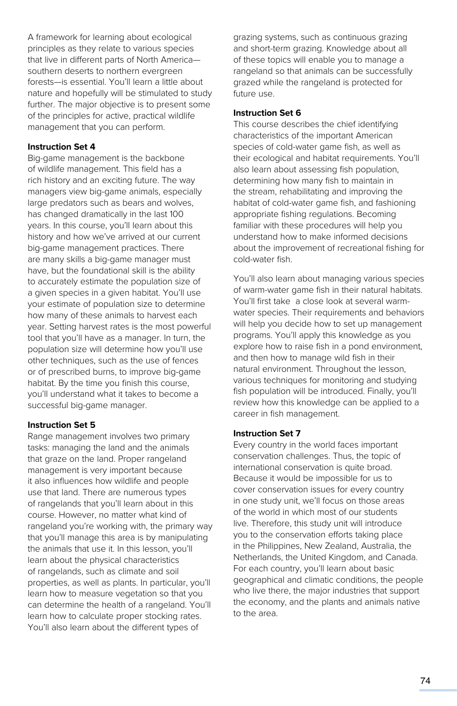A framework for learning about ecological principles as they relate to various species that live in different parts of North America southern deserts to northern evergreen forests—is essential. You'll learn a little about nature and hopefully will be stimulated to study further. The major objective is to present some of the principles for active, practical wildlife management that you can perform.

#### **Instruction Set 4**

Big-game management is the backbone of wildlife management. This field has a rich history and an exciting future. The way managers view big-game animals, especially large predators such as bears and wolves, has changed dramatically in the last 100 years. In this course, you'll learn about this history and how we've arrived at our current big-game management practices. There are many skills a big-game manager must have, but the foundational skill is the ability to accurately estimate the population size of a given species in a given habitat. You'll use your estimate of population size to determine how many of these animals to harvest each year. Setting harvest rates is the most powerful tool that you'll have as a manager. In turn, the population size will determine how you'll use other techniques, such as the use of fences or of prescribed burns, to improve big-game habitat. By the time you finish this course, you'll understand what it takes to become a successful big-game manager.

#### **Instruction Set 5**

Range management involves two primary tasks: managing the land and the animals that graze on the land. Proper rangeland management is very important because it also influences how wildlife and people use that land. There are numerous types of rangelands that you'll learn about in this course. However, no matter what kind of rangeland you're working with, the primary way that you'll manage this area is by manipulating the animals that use it. In this lesson, you'll learn about the physical characteristics of rangelands, such as climate and soil properties, as well as plants. In particular, you'll learn how to measure vegetation so that you can determine the health of a rangeland. You'll learn how to calculate proper stocking rates. You'll also learn about the different types of

grazing systems, such as continuous grazing and short-term grazing. Knowledge about all of these topics will enable you to manage a rangeland so that animals can be successfully grazed while the rangeland is protected for future use.

#### **Instruction Set 6**

This course describes the chief identifying characteristics of the important American species of cold-water game fish, as well as their ecological and habitat requirements. You'll also learn about assessing fish population, determining how many fish to maintain in the stream, rehabilitating and improving the habitat of cold-water game fish, and fashioning appropriate fishing regulations. Becoming familiar with these procedures will help you understand how to make informed decisions about the improvement of recreational fishing for cold-water fish.

You'll also learn about managing various species of warm-water game fish in their natural habitats. You'll first take a close look at several warmwater species. Their requirements and behaviors will help you decide how to set up management programs. You'll apply this knowledge as you explore how to raise fish in a pond environment, and then how to manage wild fish in their natural environment. Throughout the lesson, various techniques for monitoring and studying fish population will be introduced. Finally, you'll review how this knowledge can be applied to a career in fish management.

#### **Instruction Set 7**

Every country in the world faces important conservation challenges. Thus, the topic of international conservation is quite broad. Because it would be impossible for us to cover conservation issues for every country in one study unit, we'll focus on those areas of the world in which most of our students live. Therefore, this study unit will introduce you to the conservation efforts taking place in the Philippines, New Zealand, Australia, the Netherlands, the United Kingdom, and Canada. For each country, you'll learn about basic geographical and climatic conditions, the people who live there, the major industries that support the economy, and the plants and animals native to the area.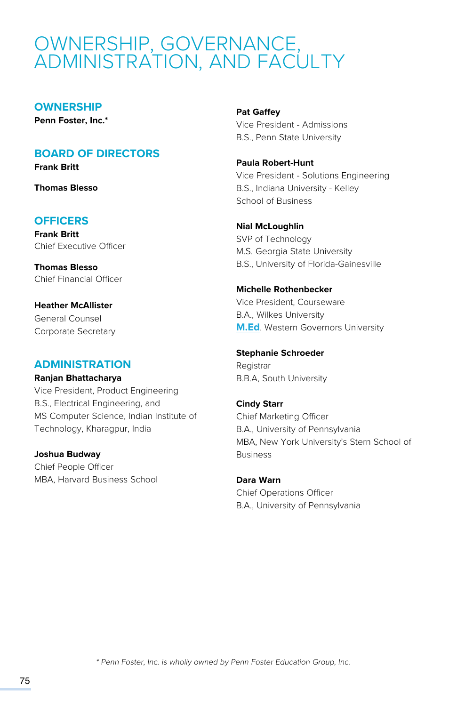# OWNERSHIP, GOVERNANCE, ADMINISTRATION, AND FACULTY

#### **OWNERSHIP**

**Penn Foster, Inc.\***

## **BOARD OF DIRECTORS**

**Frank Britt**

**Thomas Blesso**

# **OFFICERS**

**Frank Britt** Chief Executive Officer

**Thomas Blesso** Chief Financial Officer

**Heather McAllister** General Counsel Corporate Secretary

## **ADMINISTRATION**

**Ranjan Bhattacharya**

Vice President, Product Engineering B.S., Electrical Engineering, and MS Computer Science, Indian Institute of Technology, Kharagpur, India

#### **Joshua Budway**

Chief People Officer MBA, Harvard Business School

#### **Pat Gaffey**

Vice President - Admissions B.S., Penn State University

**Paula Robert-Hunt** Vice President - Solutions Engineering B.S., Indiana University - Kelley School of Business

#### **Nial McLoughlin**

SVP of Technology M.S. Georgia State University B.S., University of Florida-Gainesville

#### **Michelle Rothenbecker**

Vice President, Courseware B.A., Wilkes University **[M.Ed](http://M.Ed)**. Western Governors University

**Stephanie Schroeder** Registrar B.B.A, South University

#### **Cindy Starr**

Chief Marketing Officer B.A., University of Pennsylvania MBA, New York University's Stern School of Business

**Dara Warn** Chief Operations Officer B.A., University of Pennsylvania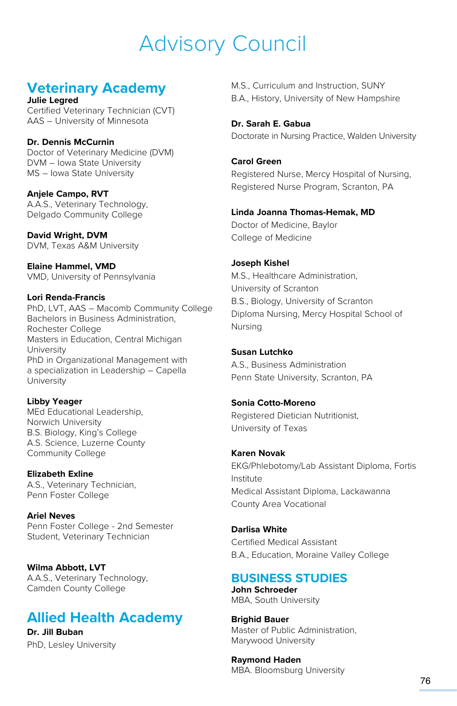# Advisory Council

# **Veterinary Academy**

**Julie Legred** Certified Veterinary Technician (CVT) AAS – University of Minnesota

**Dr. Dennis McCurnin** Doctor of Veterinary Medicine (DVM) DVM – Iowa State University MS – Iowa State University

**Anjele Campo, RVT** A.A.S., Veterinary Technology, Delgado Community College

**David Wright, DVM** DVM, Texas A&M University

**Elaine Hammel, VMD** VMD, University of Pennsylvania

#### **Lori Renda-Francis**

PhD, LVT, AAS – Macomb Community College Bachelors in Business Administration, Rochester College Masters in Education, Central Michigan University PhD in Organizational Management with a specialization in Leadership – Capella University

**Libby Yeager** MEd Educational Leadership, Norwich University B.S. Biology, King's College A.S. Science, Luzerne County Community College

**Elizabeth Exline** A.S., Veterinary Technician, Penn Foster College

**Ariel Neves** Penn Foster College - 2nd Semester Student, Veterinary Technician

**Wilma Abbott, LVT** A.A.S., Veterinary Technology, Camden County College

# **Allied Health Academy**

**Dr. Jill Buban** PhD, Lesley University M.S., Curriculum and Instruction, SUNY B.A., History, University of New Hampshire

**Dr. Sarah E. Gabua** Doctorate in Nursing Practice, Walden University

#### **Carol Green**

Registered Nurse, Mercy Hospital of Nursing, Registered Nurse Program, Scranton, PA

#### **Linda Joanna Thomas-Hemak, MD**

Doctor of Medicine, Baylor College of Medicine

#### **Joseph Kishel**

M.S., Healthcare Administration, University of Scranton B.S., Biology, University of Scranton Diploma Nursing, Mercy Hospital School of Nursing

#### **Susan Lutchko**

A.S., Business Administration Penn State University, Scranton, PA

#### **Sonia Cotto-Moreno**

Registered Dietician Nutritionist, University of Texas

#### **Karen Novak**

EKG/Phlebotomy/Lab Assistant Diploma, Fortis Institute Medical Assistant Diploma, Lackawanna County Area Vocational

**Darlisa White**

Certified Medical Assistant B.A., Education, Moraine Valley College

# **BUSINESS STUDIES**

**John Schroeder** MBA, South University

**Brighid Bauer** Master of Public Administration, Marywood University

**Raymond Haden** MBA. Bloomsburg University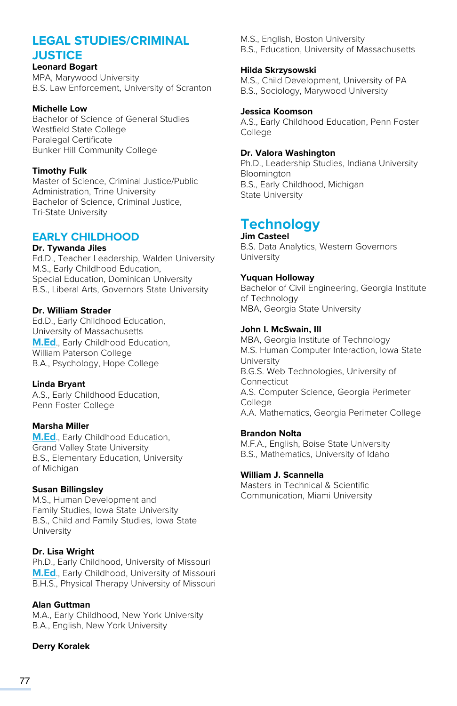# **LEGAL STUDIES/CRIMINAL JUSTICE**

#### **Leonard Bogart**

MPA, Marywood University B.S. Law Enforcement, University of Scranton

#### **Michelle Low**

Bachelor of Science of General Studies Westfield State College Paralegal Certificate Bunker Hill Community College

#### **Timothy Fulk**

Master of Science, Criminal Justice/Public Administration, Trine University Bachelor of Science, Criminal Justice, Tri-State University

#### **EARLY CHILDHOOD**

#### **Dr. Tywanda Jiles** Ed.D., Teacher Leadership, Walden University M.S., Early Childhood Education, Special Education, Dominican University B.S., Liberal Arts, Governors State University

#### **Dr. William Strader**

Ed.D., Early Childhood Education, University of Massachusetts **[M.Ed](http://M.Ed)**., Early Childhood Education, William Paterson College B.A., Psychology, Hope College

#### **Linda Bryant**

A.S., Early Childhood Education, Penn Foster College

#### **Marsha Miller**

**[M.Ed](http://M.Ed)**., Early Childhood Education, Grand Valley State University B.S., Elementary Education, University of Michigan

#### **Susan Billingsley**

M.S., Human Development and Family Studies, Iowa State University B.S., Child and Family Studies, Iowa State University

#### **Dr. Lisa Wright**

Ph.D., Early Childhood, University of Missouri **[M.Ed](http://M.Ed)**., Early Childhood, University of Missouri B.H.S., Physical Therapy University of Missouri

#### **Alan Guttman**

M.A., Early Childhood, New York University B.A., English, New York University

#### **Derry Koralek**

M.S., English, Boston University B.S., Education, University of Massachusetts

#### **Hilda Skrzysowski**

M.S., Child Development, University of PA B.S., Sociology, Marywood University

#### **Jessica Koomson**

A.S., Early Childhood Education, Penn Foster College

#### **Dr. Valora Washington**

Ph.D., Leadership Studies, Indiana University Bloomington B.S., Early Childhood, Michigan State University

# **Technology**

**Jim Casteel** B.S. Data Analytics, Western Governors University

#### **Yuquan Holloway**

Bachelor of Civil Engineering, Georgia Institute of Technology MBA, Georgia State University

#### **John I. McSwain, III**

MBA, Georgia Institute of Technology M.S. Human Computer Interaction, Iowa State University B.G.S. Web Technologies, University of Connecticut A.S. Computer Science, Georgia Perimeter **College** A.A. Mathematics, Georgia Perimeter College

#### **Brandon Nolta**

M.F.A., English, Boise State University B.S., Mathematics, University of Idaho

#### **William J. Scannella**

Masters in Technical & Scientific Communication, Miami University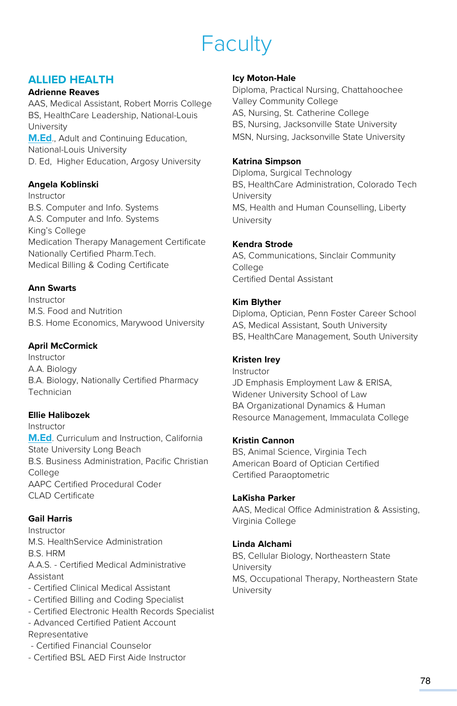# Faculty

# **ALLIED HEALTH**

#### **Adrienne Reaves**

AAS, Medical Assistant, Robert Morris College BS, HealthCare Leadership, National-Louis University **[M.Ed](http://M.Ed)**., Adult and Continuing Education, National-Louis University D. Ed, Higher Education, Argosy University

#### **Angela Koblinski**

Instructor B.S. Computer and Info. Systems A.S. Computer and Info. Systems King's College Medication Therapy Management Certificate Nationally Certified Pharm.Tech. Medical Billing & Coding Certificate

#### **Ann Swarts**

Instructor M.S. Food and Nutrition B.S. Home Economics, Marywood University

#### **April McCormick**

Instructor A.A. Biology B.A. Biology, Nationally Certified Pharmacy Technician

#### **Ellie Halibozek**

Instructor **[M.Ed](http://M.Ed)**. Curriculum and Instruction, California State University Long Beach B.S. Business Administration, Pacific Christian **College** AAPC Certified Procedural Coder CLAD Certificate

#### **Gail Harris**

Instructor M.S. HealthService Administration B.S. HRM A.A.S. - Certified Medical Administrative Assistant - Certified Clinical Medical Assistant

- Certified Billing and Coding Specialist
- Certified Electronic Health Records Specialist
- Advanced Certified Patient Account Representative
- Certified Financial Counselor
- Certified BSL AED First Aide Instructor

#### **Icy Moton-Hale**

Diploma, Practical Nursing, Chattahoochee Valley Community College AS, Nursing, St. Catherine College BS, Nursing, Jacksonville State University MSN, Nursing, Jacksonville State University

#### **Katrina Simpson**

Diploma, Surgical Technology BS, HealthCare Administration, Colorado Tech University MS, Health and Human Counselling, Liberty University

#### **Kendra Strode**

AS, Communications, Sinclair Community College Certified Dental Assistant

#### **Kim Blyther**

Diploma, Optician, Penn Foster Career School AS, Medical Assistant, South University BS, HealthCare Management, South University

#### **Kristen Irey**

Instructor JD Emphasis Employment Law & ERISA, Widener University School of Law BA Organizational Dynamics & Human Resource Management, Immaculata College

#### **Kristin Cannon**

BS, Animal Science, Virginia Tech American Board of Optician Certified Certified Paraoptometric

#### **LaKisha Parker**

AAS, Medical Office Administration & Assisting, Virginia College

#### **Linda Alchami**

BS, Cellular Biology, Northeastern State **University** MS, Occupational Therapy, Northeastern State University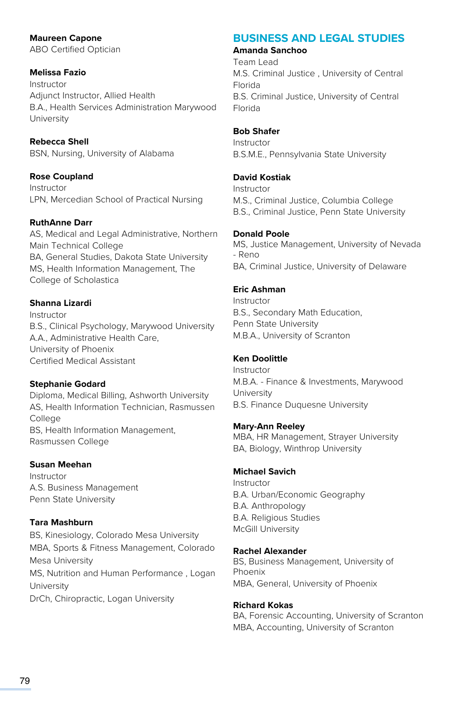**Maureen Capone**  ABO Certified Optician

#### **Melissa Fazio**

Instructor Adjunct Instructor, Allied Health B.A., Health Services Administration Marywood University

#### **Rebecca Shell**

BSN, Nursing, University of Alabama

#### **Rose Coupland**

Instructor LPN, Mercedian School of Practical Nursing

#### **RuthAnne Darr**

AS, Medical and Legal Administrative, Northern Main Technical College BA, General Studies, Dakota State University MS, Health Information Management, The College of Scholastica

#### **Shanna Lizardi**

Instructor B.S., Clinical Psychology, Marywood University A.A., Administrative Health Care, University of Phoenix Certified Medical Assistant

#### **Stephanie Godard**

Diploma, Medical Billing, Ashworth University AS, Health Information Technician, Rasmussen College BS, Health Information Management, Rasmussen College

#### **Susan Meehan**

Instructor A.S. Business Management Penn State University

#### **Tara Mashburn**

BS, Kinesiology, Colorado Mesa University MBA, Sports & Fitness Management, Colorado Mesa University MS, Nutrition and Human Performance , Logan University DrCh, Chiropractic, Logan University

# **BUSINESS AND LEGAL STUDIES**

#### **Amanda Sanchoo**

Team Lead M.S. Criminal Justice , University of Central Florida B.S. Criminal Justice, University of Central Florida

#### **Bob Shafer**

Instructor B.S.M.E., Pennsylvania State University

#### **David Kostiak**

Instructor M.S., Criminal Justice, Columbia College B.S., Criminal Justice, Penn State University

#### **Donald Poole**

MS, Justice Management, University of Nevada - Reno BA, Criminal Justice, University of Delaware

#### **Eric Ashman**

Instructor B.S., Secondary Math Education, Penn State University M.B.A., University of Scranton

#### **Ken Doolittle**

Instructor M.B.A. - Finance & Investments, Marywood **University** B.S. Finance Duquesne University

#### **Mary-Ann Reeley**

MBA, HR Management, Strayer University BA, Biology, Winthrop University

#### **Michael Savich**

Instructor B.A. Urban/Economic Geography B.A. Anthropology B.A. Religious Studies McGill University

#### **Rachel Alexander**

BS, Business Management, University of Phoenix MBA, General, University of Phoenix

#### **Richard Kokas**

BA, Forensic Accounting, University of Scranton MBA, Accounting, University of Scranton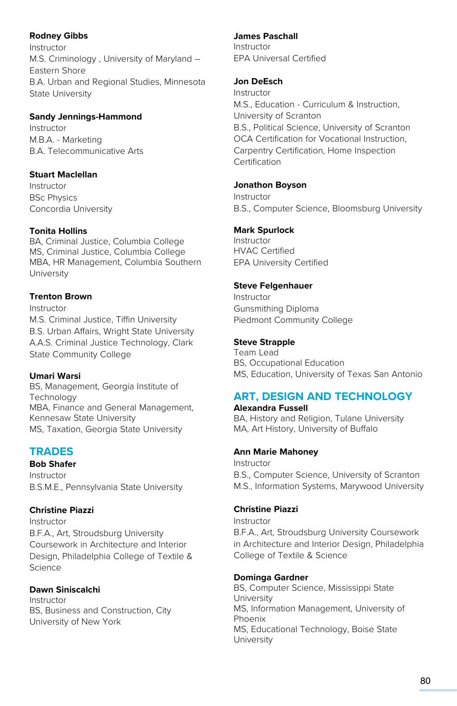#### **Rodney Gibbs**

Instructor M.S. Criminology , University of Maryland – Eastern Shore B.A. Urban and Regional Studies, Minnesota State University

#### **Sandy Jennings-Hammond**

Instructor M.B.A. - Marketing B.A. Telecommunicative Arts

#### **Stuart Maclellan**

Instructor BSc Physics Concordia University

#### **Tonita Hollins**

BA, Criminal Justice, Columbia College MS, Criminal Justice, Columbia College MBA, HR Management, Columbia Southern University

#### **Trenton Brown**

Instructor M.S. Criminal Justice, Tiffin University B.S. Urban Affairs, Wright State University A.A.S. Criminal Justice Technology, Clark State Community College

#### **Umari Warsi**

BS, Management, Georgia Institute of **Technology** MBA, Finance and General Management, Kennesaw State University MS, Taxation, Georgia State University

# **TRADES**

**Bob Shafer** Instructor B.S.M.E., Pennsylvania State University

#### **Christine Piazzi**

Instructor B.F.A., Art, Stroudsburg University Coursework in Architecture and Interior Design, Philadelphia College of Textile & Science

#### **Dawn Siniscalchi**

Instructor BS, Business and Construction, City University of New York

#### **James Paschall**

Instructor EPA Universal Certified

#### **Jon DeEsch**

Instructor M.S., Education - Curriculum & Instruction, University of Scranton B.S., Political Science, University of Scranton OCA Certification for Vocational Instruction, Carpentry Certification, Home Inspection Certification

#### **Jonathon Boyson**

Instructor B.S., Computer Science, Bloomsburg University

#### **Mark Spurlock**

Instructor HVAC Certified EPA University Certified

#### **Steve Felgenhauer**

Instructor Gunsmithing Diploma Piedmont Community College

#### **Steve Strapple**

Team Lead BS, Occupational Education MS, Education, University of Texas San Antonio

# **ART, DESIGN AND TECHNOLOGY**

**Alexandra Fussell**  BA, History and Religion, Tulane University MA, Art History, University of Buffalo

#### **Ann Marie Mahoney**

Instructor B.S., Computer Science, University of Scranton M.S., Information Systems, Marywood University

#### **Christine Piazzi**

Instructor B.F.A., Art, Stroudsburg University Coursework in Architecture and Interior Design, Philadelphia College of Textile & Science

#### **Dominga Gardner**

BS, Computer Science, Mississippi State University MS, Information Management, University of Phoenix MS, Educational Technology, Boise State University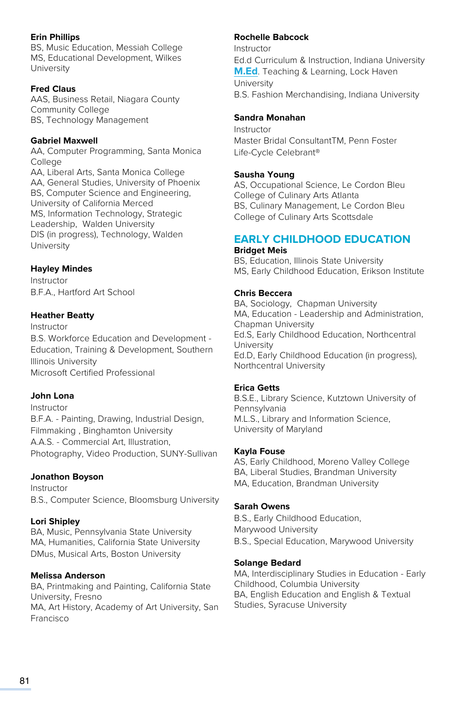#### **Erin Phillips**

BS, Music Education, Messiah College MS, Educational Development, Wilkes University

#### **Fred Claus**

AAS, Business Retail, Niagara County Community College BS, Technology Management

#### **Gabriel Maxwell**

AA, Computer Programming, Santa Monica College AA, Liberal Arts, Santa Monica College AA, General Studies, University of Phoenix BS, Computer Science and Engineering, University of California Merced MS, Information Technology, Strategic Leadership, Walden University DIS (in progress), Technology, Walden **University** 

#### **Hayley Mindes**

Instructor B.F.A., Hartford Art School

#### **Heather Beatty**

Instructor B.S. Workforce Education and Development - Education, Training & Development, Southern Illinois University Microsoft Certified Professional

#### **John Lona**

Instructor B.F.A. - Painting, Drawing, Industrial Design, Filmmaking , Binghamton University A.A.S. - Commercial Art, Illustration, Photography, Video Production, SUNY-Sullivan

#### **Jonathon Boyson**

Instructor B.S., Computer Science, Bloomsburg University

#### **Lori Shipley**

BA, Music, Pennsylvania State University MA, Humanities, California State University DMus, Musical Arts, Boston University

#### **Melissa Anderson**

BA, Printmaking and Painting, California State University, Fresno MA, Art History, Academy of Art University, San Francisco

#### **Rochelle Babcock**

Instructor Ed.d Curriculum & Instruction, Indiana University **[M.Ed](http://M.Ed)**. Teaching & Learning, Lock Haven University B.S. Fashion Merchandising, Indiana University

#### **Sandra Monahan**

Instructor Master Bridal ConsultantTM, Penn Foster Life-Cycle Celebrant®

#### **Sausha Young**

AS, Occupational Science, Le Cordon Bleu College of Culinary Arts Atlanta BS, Culinary Management, Le Cordon Bleu College of Culinary Arts Scottsdale

# **EARLY CHILDHOOD EDUCATION**

#### **Bridget Meis**

BS, Education, Illinois State University MS, Early Childhood Education, Erikson Institute

#### **Chris Beccera**

BA, Sociology, Chapman University MA, Education - Leadership and Administration, Chapman University Ed.S, Early Childhood Education, Northcentral University Ed.D, Early Childhood Education (in progress), Northcentral University

#### **Erica Getts**

B.S.E., Library Science, Kutztown University of Pennsylvania M.L.S., Library and Information Science, University of Maryland

#### **Kayla Fouse**

AS, Early Childhood, Moreno Valley College BA, Liberal Studies, Brandman University MA, Education, Brandman University

#### **Sarah Owens**

B.S., Early Childhood Education, Marywood University B.S., Special Education, Marywood University

#### **Solange Bedard**

MA, Interdisciplinary Studies in Education - Early Childhood, Columbia University BA, English Education and English & Textual Studies, Syracuse University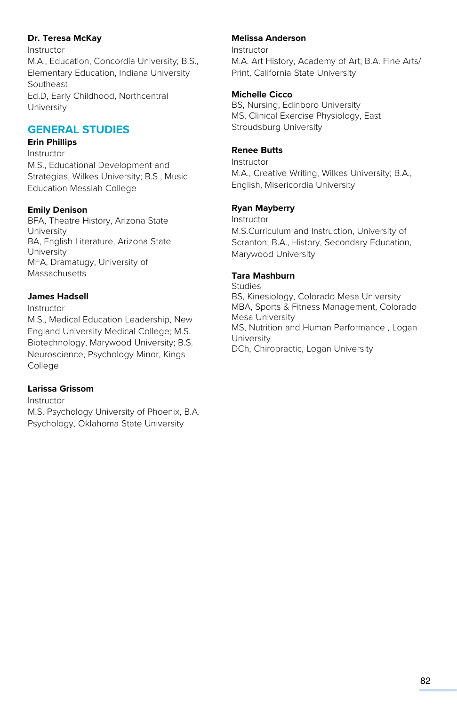#### **Dr. Teresa McKay**

Instructor M.A., Education, Concordia University; B.S., Elementary Education, Indiana University Southeast Ed.D, Early Childhood, Northcentral **University** 

# **GENERAL STUDIES**

#### **Erin Phillips**

Instructor M.S., Educational Development and Strategies, Wilkes University; B.S., Music Education Messiah College

#### **Emily Denison**

BFA, Theatre History, Arizona State University BA, English Literature, Arizona State University MFA, Dramatugy, University of **Massachusetts** 

#### **James Hadsell**

Instructor

M.S., Medical Education Leadership, New England University Medical College; M.S. Biotechnology, Marywood University; B.S. Neuroscience, Psychology Minor, Kings College

## **Larissa Grissom**

Instructor M.S. Psychology University of Phoenix, B.A. Psychology, Oklahoma State University

#### **Melissa Anderson**

Instructor M.A. Art History, Academy of Art; B.A. Fine Arts/ Print, California State University

#### **Michelle Cicco**

BS, Nursing, Edinboro University MS, Clinical Exercise Physiology, East Stroudsburg University

#### **Renee Butts**

Instructor M.A., Creative Writing, Wilkes University; B.A., English, Misericordia University

## **Ryan Mayberry**

Instructor M.S.Curriculum and Instruction, University of Scranton; B.A., History, Secondary Education, Marywood University

#### **Tara Mashburn**

Studies BS, Kinesiology, Colorado Mesa University MBA, Sports & Fitness Management, Colorado Mesa University MS, Nutrition and Human Performance , Logan University DCh, Chiropractic, Logan University